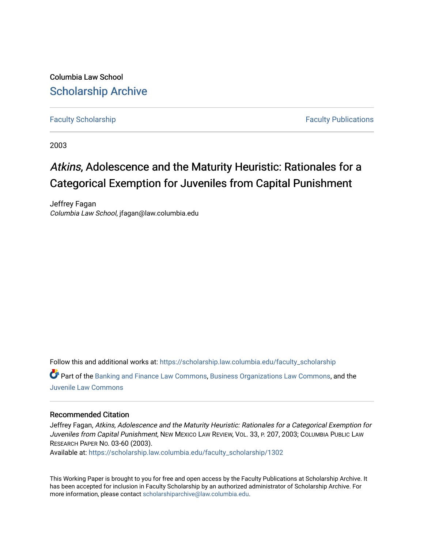Columbia Law School [Scholarship Archive](https://scholarship.law.columbia.edu/) 

[Faculty Scholarship](https://scholarship.law.columbia.edu/faculty_scholarship) **Faculty Scholarship Faculty Publications** 

2003

# Atkins, Adolescence and the Maturity Heuristic: Rationales for a Categorical Exemption for Juveniles from Capital Punishment

Jeffrey Fagan Columbia Law School, jfagan@law.columbia.edu

Follow this and additional works at: [https://scholarship.law.columbia.edu/faculty\\_scholarship](https://scholarship.law.columbia.edu/faculty_scholarship?utm_source=scholarship.law.columbia.edu%2Ffaculty_scholarship%2F1302&utm_medium=PDF&utm_campaign=PDFCoverPages)

Part of the [Banking and Finance Law Commons,](http://network.bepress.com/hgg/discipline/833?utm_source=scholarship.law.columbia.edu%2Ffaculty_scholarship%2F1302&utm_medium=PDF&utm_campaign=PDFCoverPages) [Business Organizations Law Commons](http://network.bepress.com/hgg/discipline/900?utm_source=scholarship.law.columbia.edu%2Ffaculty_scholarship%2F1302&utm_medium=PDF&utm_campaign=PDFCoverPages), and the [Juvenile Law Commons](http://network.bepress.com/hgg/discipline/851?utm_source=scholarship.law.columbia.edu%2Ffaculty_scholarship%2F1302&utm_medium=PDF&utm_campaign=PDFCoverPages)

#### Recommended Citation

Jeffrey Fagan, Atkins, Adolescence and the Maturity Heuristic: Rationales for a Categorical Exemption for Juveniles from Capital Punishment, NEW MEXICO LAW REVIEW, VOL. 33, P. 207, 2003; COLUMBIA PUBLIC LAW RESEARCH PAPER NO. 03-60 (2003).

Available at: [https://scholarship.law.columbia.edu/faculty\\_scholarship/1302](https://scholarship.law.columbia.edu/faculty_scholarship/1302?utm_source=scholarship.law.columbia.edu%2Ffaculty_scholarship%2F1302&utm_medium=PDF&utm_campaign=PDFCoverPages)

This Working Paper is brought to you for free and open access by the Faculty Publications at Scholarship Archive. It has been accepted for inclusion in Faculty Scholarship by an authorized administrator of Scholarship Archive. For more information, please contact [scholarshiparchive@law.columbia.edu.](mailto:scholarshiparchive@law.columbia.edu)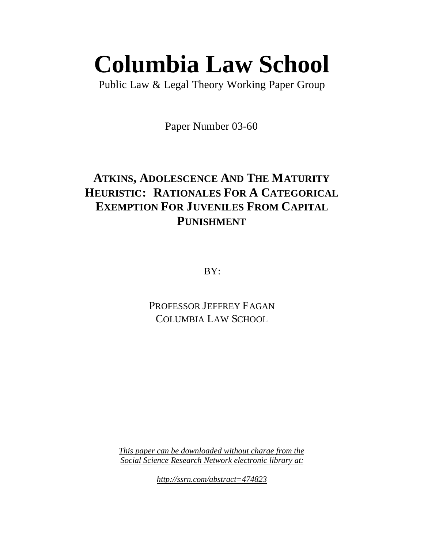# **Columbia Law School**

Public Law & Legal Theory Working Paper Group

Paper Number 03-60

# **ATKINS, ADOLESCENCE AND THE MATURITY HEURISTIC: RATIONALES FOR A CATEGORICAL EXEMPTION FOR JUVENILES FROM CAPITAL PUNISHMENT**

BY:

PROFESSOR JEFFREY FAGAN COLUMBIA LAW SCHOOL

*This paper can be downloaded without charge from the Social Science Research Network electronic library at:*

*http://ssrn.com/abstract=474823*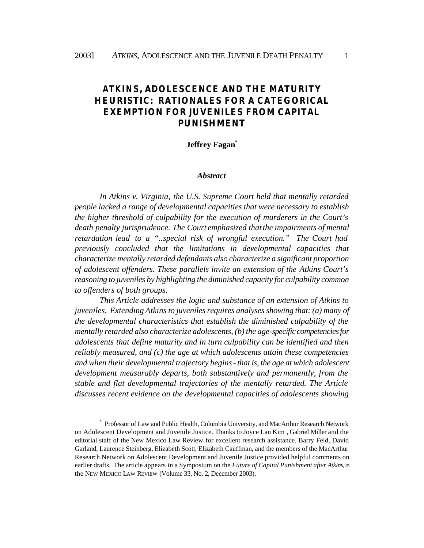### *ATKINS***, ADOLESCENCE AND THE MATURITY HEURISTIC: RATIONALES FOR A CATEGORICAL EXEMPTION FOR JUVENILES FROM CAPITAL PUNISHMENT**

#### **Jeffrey Fagan\***

#### *Abstract*

*In Atkins v. Virginia, the U.S. Supreme Court held that mentally retarded people lacked a range of developmental capacities that were necessary to establish the higher threshold of culpability for the execution of murderers in the Court's death penalty jurisprudence. The Court emphasized that the impairments of mental retardation lead to a "..special risk of wrongful execution." The Court had previously concluded that the limitations in developmental capacities that characterize mentally retarded defendants also characterize a significant proportion of adolescent offenders. These parallels invite an extension of the Atkins Court's reasoning to juveniles by highlighting the diminished capacity for culpability common to offenders of both groups.* 

*This Article addresses the logic and substance of an extension of Atkins to juveniles. Extending Atkins to juveniles requires analyses showing that: (a) many of the developmental characteristics that establish the diminished culpability of the mentally retarded also characterize adolescents, (b) the age-specific competencies for adolescents that define maturity and in turn culpability can be identified and then reliably measured, and (c) the age at which adolescents attain these competencies and when their developmental trajectory begins - that is, the age at which adolescent development measurably departs, both substantively and permanently, from the stable and flat developmental trajectories of the mentally retarded. The Article discusses recent evidence on the developmental capacities of adolescents showing* 

<sup>\*</sup> Professor of Law and Public Health, Columbia University, and MacArthur Research Network on Adolescent Development and Juvenile Justice. Thanks to Joyce Lan Kim , Gabriel Miller and the editorial staff of the New Mexico Law Review for excellent research assistance. Barry Feld, David Garland, Laurence Steinberg, Elizabeth Scott, Elizabeth Cauffman, and the members of the MacArthur Research Network on Adolescent Development and Juvenile Justice provided helpful comments on earlier drafts. The article appears in a Symposium on the *Future of Capital Punishment after Atkins*, in the NEW MEXICO LAW REVIEW (Volume 33, No. 2, December 2003).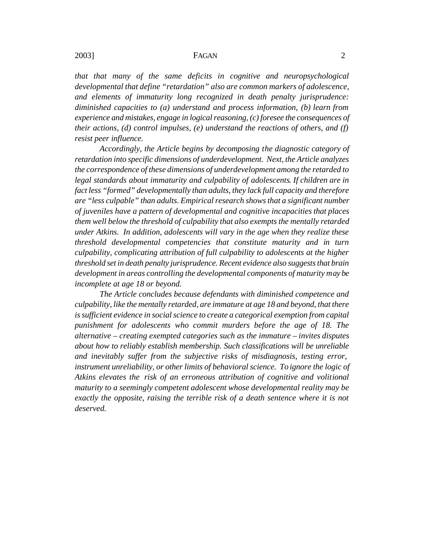*that that many of the same deficits in cognitive and neuropsychological developmental that define "retardation" also are common markers of adolescence, and elements of immaturity long recognized in death penalty jurisprudence: diminished capacities to (a) understand and process information, (b) learn from experience and mistakes, engage in logical reasoning, (c) foresee the consequences of their actions, (d) control impulses, (e) understand the reactions of others, and (f) resist peer influence.* 

*Accordingly, the Article begins by decomposing the diagnostic category of retardation into specific dimensions of underdevelopment. Next, the Article analyzes the correspondence of these dimensions of underdevelopment among the retarded to legal standards about immaturity and culpability of adolescents. If children are in fact less "formed" developmentally than adults, they lack full capacity and therefore are "less culpable" than adults. Empirical research shows that a significant number of juveniles have a pattern of developmental and cognitive incapacities that places them well below the threshold of culpability that also exempts the mentally retarded under Atkins. In addition, adolescents will vary in the age when they realize these threshold developmental competencies that constitute maturity and in turn culpability, complicating attribution of full culpability to adolescents at the higher threshold set in death penalty jurisprudence. Recent evidence also suggests that brain development in areas controlling the developmental components of maturity may be incomplete at age 18 or beyond.*

*The Article concludes because defendants with diminished competence and culpability, like the mentally retarded, are immature at age 18 and beyond, that there is sufficient evidence in social science to create a categorical exemption from capital punishment for adolescents who commit murders before the age of 18. The alternative – creating exempted categories such as the immature – invites disputes about how to reliably establish membership. Such classifications will be unreliable and inevitably suffer from the subjective risks of misdiagnosis, testing error, instrument unreliability, or other limits of behavioral science. To ignore the logic of Atkins elevates the risk of an erroneous attribution of cognitive and volitional maturity to a seemingly competent adolescent whose developmental reality may be exactly the opposite, raising the terrible risk of a death sentence where it is not deserved.*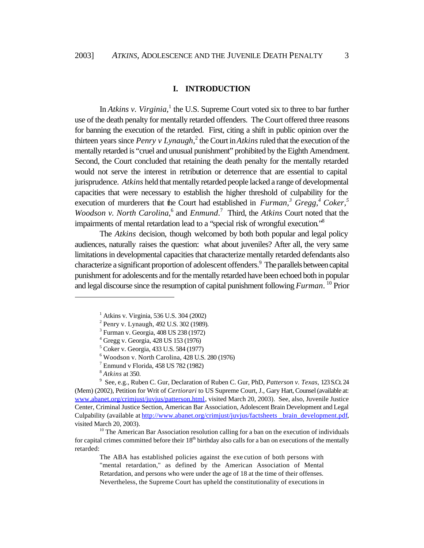$\overline{a}$ 

In *Atkins v. Virginia*,<sup>1</sup> the U.S. Supreme Court voted six to three to bar further use of the death penalty for mentally retarded offenders. The Court offered three reasons for banning the execution of the retarded. First, citing a shift in public opinion over the thirteen years since *Penry v Lynaugh*,<sup>2</sup> the Court in *Atkins* ruled that the execution of the mentally retarded is "cruel and unusual punishment" prohibited by the Eighth Amendment. Second, the Court concluded that retaining the death penalty for the mentally retarded would not serve the interest in retribution or deterrence that are essential to capital jurisprudence. *Atkins* held that mentally retarded people lacked a range of developmental capacities that were necessary to establish the higher threshold of culpability for the execution of murderers that the Court had established in *Furman*,<sup>3</sup> Gregg,<sup>4</sup> Coker,<sup>5</sup> *Woodson v. North Carolina*,<sup>6</sup> and *Enmund*.<sup>7</sup> Third, the *Atkins* Court noted that the impairments of mental retardation lead to a "special risk of wrongful execution."<sup>8</sup>

The *Atkins* decision, though welcomed by both both popular and legal policy audiences, naturally raises the question: what about juveniles? After all, the very same limitations in developmental capacities that characterize mentally retarded defendants also characterize a significant proportion of adolescent offenders.<sup>9</sup> The parallels between capital punishment for adolescents and for the mentally retarded have been echoed both in popular and legal discourse since the resumption of capital punishment following *Furman*. <sup>10</sup> Prior

 $6$  Woodson v. North Carolina, 428 U.S. 280 (1976)

7 Enmund v Florida, 458 US 782 (1982)

8 *Atkins* at 350.

9 See, e.g., Ruben C. Gur, Declaration of Ruben C. Gur, PhD, *Patterson v. Texas,* 123 S.Ct. 24 (Mem) (2002), Petition for Writ of *Certiorari* to US Supreme Court, J., Gary Hart, Counsel (available at: www.abanet.org/crimjust/juvjus/patterson.html, visited March 20, 2003). See, also, Juvenile Justice Center, Criminal Justice Section, American Bar Association, Adolescent Brain Development and Legal Culpability (available at http://www.abanet.org/crimjust/juvjus/factsheets \_brain\_development.pdf, visited March 20, 2003).

 $10$  The American Bar Association resolution calling for a ban on the execution of individuals for capital crimes committed before their  $18<sup>th</sup>$  birthday also calls for a ban on executions of the mentally retarded:

The ABA has established policies against the exe cution of both persons with "mental retardation," as defined by the American Association of Mental Retardation, and persons who were under the age of 18 at the time of their offenses. Nevertheless, the Supreme Court has upheld the constitutionality of executions in

 $1$  Atkins v. Virginia, 536 U.S. 304 (2002)

<sup>&</sup>lt;sup>2</sup> Penry v. Lynaugh, 492 U.S. 302 (1989).

<sup>3</sup> Furman v. Georgia, 408 US 238 (1972)

<sup>4</sup> Gregg v. Georgia, 428 US 153 (1976)

<sup>5</sup> Coker v. Georgia, 433 U.S. 584 (1977)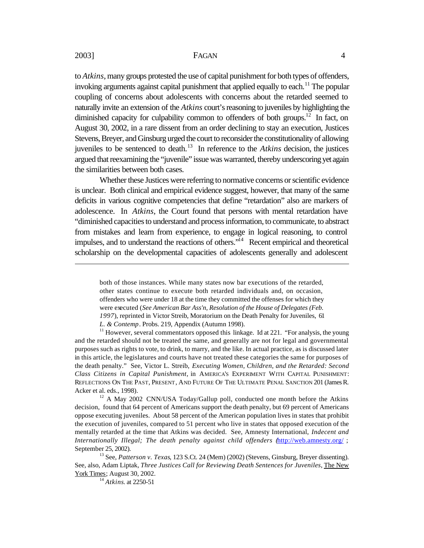$\overline{a}$ 

#### 2003] **FAGAN** 4

to *Atkins*, many groups protested the use of capital punishment for both types of offenders, invoking arguments against capital punishment that applied equally to each.<sup>11</sup> The popular coupling of concerns about adolescents with concerns about the retarded seemed to naturally invite an extension of the *Atkins* court's reasoning to juveniles by highlighting the diminished capacity for culpability common to offenders of both groups.<sup>12</sup> In fact, on August 30, 2002, in a rare dissent from an order declining to stay an execution, Justices Stevens, Breyer, and Ginsburg urged the court to reconsider the constitutionality of allowing juveniles to be sentenced to death.<sup>13</sup> In reference to the *Atkins* decision, the justices argued that reexamining the "juvenile" issue was warranted, thereby underscoring yet again the similarities between both cases.

Whether these Justices were referring to normative concerns or scientific evidence is unclear. Both clinical and empirical evidence suggest, however, that many of the same deficits in various cognitive competencies that define "retardation" also are markers of adolescence. In *Atkins*, the Court found that persons with mental retardation have "diminished capacities to understand and process information, to communicate, to abstract from mistakes and learn from experience, to engage in logical reasoning, to control impulses, and to understand the reactions of others."<sup>14</sup> Recent empirical and theoretical scholarship on the developmental capacities of adolescents generally and adolescent

<sup>11</sup> However, several commentators opposed this linkage. Id at 221. "For analysis, the young and the retarded should not be treated the same, and generally are not for legal and governmental purposes such as rights to vote, to drink, to marry, and the like. In actual practice, as is discussed later in this article, the legislatures and courts have not treated these categories the same for purposes of the death penalty." See, Victor L. Streib, *Executing Women, Children, and the Retarded: Second Class Citizens in Capital Punishment,* in AMERICA'S EXPERIMENT WITH CAPITAL PUNISHMENT: REFLECTIONS ON THE PAST, PRESENT, AND FUTURE OF THE ULTIMATE PENAL SANCTION 201 (James R. Acker et al. eds., 1998).

<sup>12</sup> A May 2002 CNN/USA Today/Gallup poll, conducted one month before the Atkins decision, found that 64 percent of Americans support the death penalty, but 69 percent of Americans oppose executing juveniles. About 58 percent of the American population lives in states that prohibit the execution of juveniles, compared to 51 percent who live in states that opposed execution of the mentally retarded at the time that Atkins was decided. See, Amnesty International, *Indecent and Internationally Illegal; The death penalty against child offenders (http://web.amnesty.org/ ;* September 25, 2002).

<sup>13</sup> See, *Patterson v. Texas*, 123 S.Ct. 24 (Mem) (2002) (Stevens, Ginsburg, Breyer dissenting). See, also, Adam Liptak, *Three Justices Call for Reviewing Death Sentences for Juveniles*, The New York Times; August 30, 2002.

<sup>14</sup> *Atkins*. at 2250-51

both of those instances. While many states now bar executions of the retarded, other states continue to execute both retarded individuals and, on occasion, offenders who were under 18 at the time they committed the offenses for which they were executed (*See American Bar Ass'n, Resolution of the House of Delegates (Feb. 1997*), reprinted in Victor Streib, Moratorium on the Death Penalty for Juveniles, 61 *L. & Contemp*. Probs. 219, Appendix (Autumn 1998).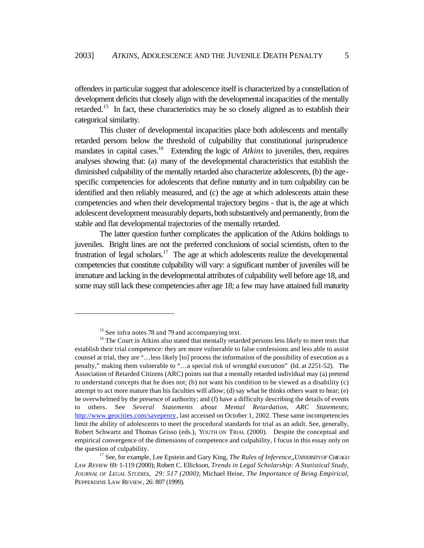offenders in particular suggest that adolescence itself is characterized by a constellation of development deficits that closely align with the developmental incapacities of the mentally retarded.<sup>15</sup> In fact, these characteristics may be so closely aligned as to establish their categorical similarity.

This cluster of developmental incapacities place both adolescents and mentally retarded persons below the threshold of culpability that constitutional jurisprudence mandates in capital cases.<sup>16</sup> Extending the logic of *Atkins* to juveniles, then, requires analyses showing that: (a) many of the developmental characteristics that establish the diminished culpability of the mentally retarded also characterize adolescents, (b) the agespecific competencies for adolescents that define maturity and in turn culpability can be identified and then reliably measured, and (c) the age at which adolescents attain these competencies and when their developmental trajectory begins - that is, the age at which adolescent development measurably departs, both substantively and permanently, from the stable and flat developmental trajectories of the mentally retarded.

The latter question further complicates the application of the Atkins holdings to juveniles. Bright lines are not the preferred conclusions of social scientists, often to the frustration of legal scholars.<sup>17</sup> The age at which adolescents realize the developmental competencies that constitute culpability will vary: a significant number of juveniles will be immature and lacking in the developmental attributes of culpability well before age 18, and some may still lack these competencies after age 18; a few may have attained full maturity

<sup>&</sup>lt;sup>15</sup> See infra notes 78 and 79 and accompanying text.

<sup>&</sup>lt;sup>16</sup> The Court in Atkins also stated that mentally retarded persons less likely to meet tests that establish their trial competence: they are more vulnerable to false confessions and less able to assist counsel at trial, they are "…less likely [to] process the information of the possibility of execution as a penalty," making them vulnerable to "…a special risk of wrongful execution" (Id. at 2251-52). The Association of Retarded Citizens (ARC) points out that a mentally retarded individual may (a) pretend to understand concepts that he does not; (b) not want his condition to be viewed as a disability (c) attempt to act more mature than his faculties will allow; (d) say what he thinks others want to hear; (e) be overwhelmed by the presence of authority; and (f) have a difficulty describing the details of events to others. See *Several Statements about Mental Retardation, ARC Statements*; http://www.geocities.com/savepenry, last accessed on October 1, 2002. These same incompetencies limit the ability of adolescents to meet the procedural standards for trial as an adult. See, generally, Robert Schwartz and Thomas Grisso (eds.), YOUTH ON TRIAL (2000). Despite the conceptual and empirical convergence of the dimensions of competence and culpability, I focus in this essay only on the question of culpability.

<sup>17</sup> See, for example, Lee Epstein and Gary King, *The Rules of Inference,*,*UNIVERSITY OF CHICAGO LAW REVIEW* 69: 1-119 (2000); Robert C. Ellickson, *Trends in Legal Scholarship: A Statistical Study, JOURNAL OF LEGAL STUDIEs, 29: 517 (2000)*; Michael Heise, *The Importance of Being Empirical,*  PEPPERDINE LAW REVIEW, 26: 807 (1999).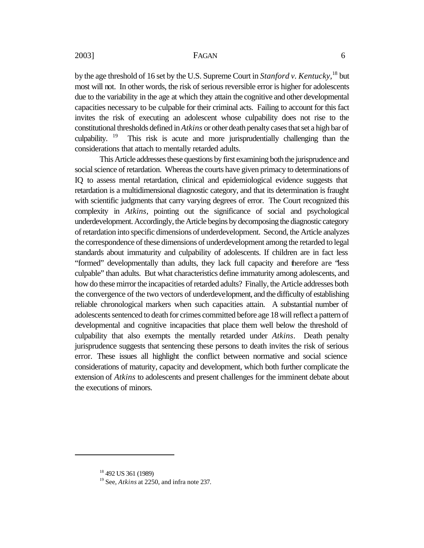by the age threshold of 16 set by the U.S. Supreme Court in *Stanford v. Kentucky,*<sup>18</sup> but most will not. In other words, the risk of serious reversible error is higher for adolescents due to the variability in the age at which they attain the cognitive and other developmental capacities necessary to be culpable for their criminal acts. Failing to account for this fact invites the risk of executing an adolescent whose culpability does not rise to the constitutional thresholds defined in *Atkins* or other death penalty cases that set a high bar of culpability.  $19$  This risk is acute and more jurisprudentially challenging than the considerations that attach to mentally retarded adults.

This Article addresses these questions by first examining both the jurisprudence and social science of retardation. Whereas the courts have given primacy to determinations of IQ to assess mental retardation, clinical and epidemiological evidence suggests that retardation is a multidimensional diagnostic category, and that its determination is fraught with scientific judgments that carry varying degrees of error. The Court recognized this complexity in *Atkins*, pointing out the significance of social and psychological underdevelopment. Accordingly, the Article begins by decomposing the diagnostic category of retardation into specific dimensions of underdevelopment. Second, the Article analyzes the correspondence of these dimensions of underdevelopment among the retarded to legal standards about immaturity and culpability of adolescents. If children are in fact less "formed" developmentally than adults, they lack full capacity and therefore are "less culpable" than adults. But what characteristics define immaturity among adolescents, and how do these mirror the incapacities of retarded adults? Finally, the Article addresses both the convergence of the two vectors of underdevelopment, and the difficulty of establishing reliable chronological markers when such capacities attain. A substantial number of adolescents sentenced to death for crimes committed before age 18 will reflect a pattern of developmental and cognitive incapacities that place them well below the threshold of culpability that also exempts the mentally retarded under *Atkins*. Death penalty jurisprudence suggests that sentencing these persons to death invites the risk of serious error. These issues all highlight the conflict between normative and social science considerations of maturity, capacity and development, which both further complicate the extension of *Atkins* to adolescents and present challenges for the imminent debate about the executions of minors.

<sup>18</sup> 492 US 361 (1989)

<sup>19</sup> See, *Atkins* at 2250, and infra note 237.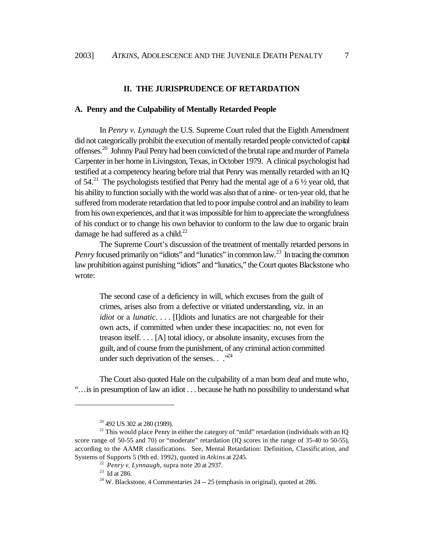#### **II. THE JURISPRUDENCE OF RETARDATION**

#### **A. Penry and the Culpability of Mentally Retarded People**

In *Penry v. Lynaugh* the U.S. Supreme Court ruled that the Eighth Amendment did not categorically prohibit the execution of mentally retarded people convicted of capital offenses.<sup>20</sup> Johnny Paul Penry had been convicted of the brutal rape and murder of Pamela Carpenter in her home in Livingston, Texas, in October 1979. A clinical psychologist had testified at a competency hearing before trial that Penry was mentally retarded with an IQ of  $54.<sup>21</sup>$  The psychologists testified that Penry had the mental age of a 6  $\frac{1}{2}$  year old, that his ability to function socially with the world was also that of a nine- or ten-year old, that he suffered from moderate retardation that led to poor impulse control and an inability to learn from his own experiences, and that it was impossible for him to appreciate the wrongfulness of his conduct or to change his own behavior to conform to the law due to organic brain damage he had suffered as a child. $^{22}$ 

The Supreme Court's discussion of the treatment of mentally retarded persons in *Penry* focused primarily on "idiots" and "lunatics" in common law.<sup>23</sup> In tracing the common law prohibition against punishing "idiots" and "lunatics," the Court quotes Blackstone who wrote:

The second case of a deficiency in will, which excuses from the guilt of crimes, arises also from a defective or vitiated understanding, viz. in an *idiot* or a *lunatic*. . . . [I]diots and lunatics are not chargeable for their own acts, if committed when under these incapacities: no, not even for treason itself. . . . [A] total idiocy, or absolute insanity, excuses from the guilt, and of course from the punishment, of any criminal action committed under such deprivation of the senses. . ."<sup>24</sup>

The Court also quoted Hale on the culpability of a man born deaf and mute who, "…is in presumption of law an idiot . . . because he hath no possibility to understand what

<sup>&</sup>lt;sup>20</sup> 492 US 302 at 280 (1989).

 $21$ <sup>21</sup> This would place Penry in either the category of "mild" retardation (individuals with an IQ score range of 50-55 and 70) or "moderate" retardation (IQ scores in the range of 35-40 to 50-55), according to the AAMR classifications. See, Mental Retardation: Definition, Classification, and Systems of Supports 5 (9th ed. 1992), quoted in *Atkins* at 2245.

<sup>22</sup> *Penry v. Lynnaugh*, supra note 20 at 2937.

 $^{23}$  Id at 286.

 $24$  W. Blackstone, 4 Commentaries 24 -- 25 (emphasis in original), quoted at 286.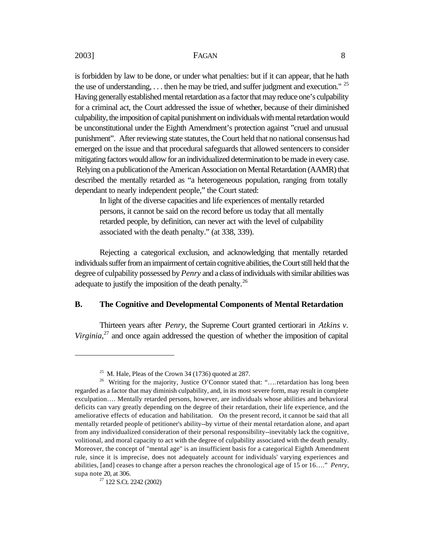is forbidden by law to be done, or under what penalties: but if it can appear, that he hath the use of understanding,  $\dots$  then he may be tried, and suffer judgment and execution." <sup>25</sup> Having generally established mental retardation as a factor that may reduce one's culpability for a criminal act, the Court addressed the issue of whether, because of their diminished culpability, the imposition of capital punishment on individuals with mental retardation would be unconstitutional under the Eighth Amendment's protection against "cruel and unusual punishment". After reviewing state statutes, the Court held that no national consensus had emerged on the issue and that procedural safeguards that allowed sentencers to consider mitigating factors would allow for an individualized determination to be made in every case. Relying on a publication of the American Association on Mental Retardation (AAMR) that described the mentally retarded as "a heterogeneous population, ranging from totally dependant to nearly independent people," the Court stated:

In light of the diverse capacities and life experiences of mentally retarded persons, it cannot be said on the record before us today that all mentally retarded people, by definition, can never act with the level of culpability associated with the death penalty." (at 338, 339).

Rejecting a categorical exclusion, and acknowledging that mentally retarded individuals suffer from an impairment of certain cognitive abilities, the Court still held that the degree of culpability possessed by *Penry* and a class of individuals with similar abilities was adequate to justify the imposition of the death penalty.<sup>26</sup>

#### **B. The Cognitive and Developmental Components of Mental Retardation**

Thirteen years after *Penry*, the Supreme Court granted certiorari in *Atkins v.*  Virginia,<sup>27</sup> and once again addressed the question of whether the imposition of capital

<sup>&</sup>lt;sup>25</sup> M. Hale, Pleas of the Crown 34 (1736) quoted at 287.

<sup>&</sup>lt;sup>26</sup> Writing for the majority, Justice O'Connor stated that: "....retardation has long been regarded as a factor that may diminish culpability, and, in its most severe form, may result in complete exculpation…. Mentally retarded persons, however, are individuals whose abilities and behavioral deficits can vary greatly depending on the degree of their retardation, their life experience, and the ameliorative effects of education and habilitation. On the present record, it cannot be said that all mentally retarded people of petitioner's ability--by virtue of their mental retardation alone, and apart from any individualized consideration of their personal responsibility--inevitably lack the cognitive, volitional, and moral capacity to act with the degree of culpability associated with the death penalty. Moreover, the concept of "mental age" is an insufficient basis for a categorical Eighth Amendment rule, since it is imprecise, does not adequately account for individuals' varying experiences and abilities, [and] ceases to change after a person reaches the chronological age of 15 or 16…." *Penry*, supa note 20, at 306.

<sup>27</sup> 122 S.Ct. 2242 (2002)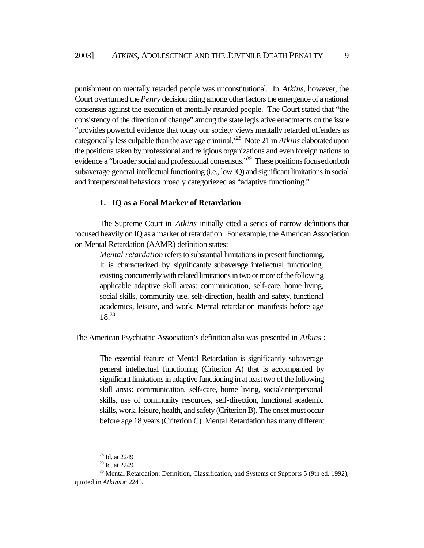punishment on mentally retarded people was unconstitutional. In *Atkins*, however, the Court overturned the *Penry* decision citing among other factors the emergence of a national consensus against the execution of mentally retarded people. The Court stated that "the consistency of the direction of change" among the state legislative enactments on the issue "provides powerful evidence that today our society views mentally retarded offenders as categorically less culpable than the average criminal."<sup>28</sup> Note 21 in *Atkins* elaborated upon the positions taken by professional and religious organizations and even foreign nations to evidence a "broader social and professional consensus."<sup>29</sup> These positions focused on both subaverage general intellectual functioning (i.e., low IQ) and significant limitations in social and interpersonal behaviors broadly categoriezed as "adaptive functioning."

#### **1. IQ as a Focal Marker of Retardation**

The Supreme Court in *Atkins* initially cited a series of narrow definitions that focused heavily on IQ as a marker of retardation. For example, the American Association on Mental Retardation (AAMR) definition states:

*Mental retardation* refers to substantial limitations in present functioning. It is characterized by significantly subaverage intellectual functioning, existing concurrently with related limitations in two or more of the following applicable adaptive skill areas: communication, self-care, home living, social skills, community use, self-direction, health and safety, functional academics, leisure, and work. Mental retardation manifests before age 18.<sup>30</sup>

The American Psychiatric Association's definition also was presented in *Atkins* :

The essential feature of Mental Retardation is significantly subaverage general intellectual functioning (Criterion A) that is accompanied by significant limitations in adaptive functioning in at least two of the following skill areas: communication, self-care, home living, social/interpersonal skills, use of community resources, self-direction, functional academic skills, work, leisure, health, and safety (Criterion B). The onset must occur before age 18 years (Criterion C). Mental Retardation has many different

<sup>28</sup> Id. at 2249

<sup>29</sup> Id. at 2249

<sup>&</sup>lt;sup>30</sup> Mental Retardation: Definition, Classification, and Systems of Supports 5 (9th ed. 1992), quoted in *Atkins* at 2245.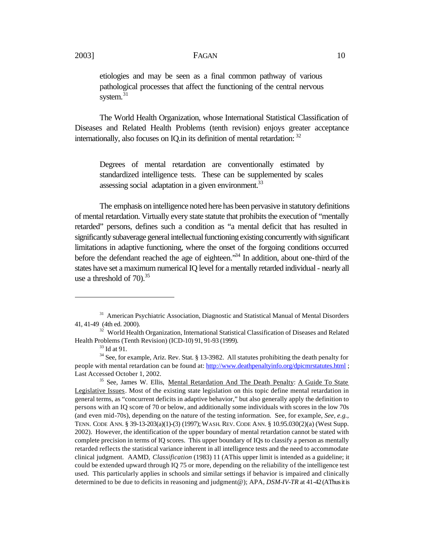etiologies and may be seen as a final common pathway of various pathological processes that affect the functioning of the central nervous system.<sup>31</sup>

The World Health Organization, whose International Statistical Classification of Diseases and Related Health Problems (tenth revision) enjoys greater acceptance internationally, also focuses on IO. in its definition of mental retardation:  $32$ 

Degrees of mental retardation are conventionally estimated by standardized intelligence tests. These can be supplemented by scales assessing social adaptation in a given environment.<sup>33</sup>

The emphasis on intelligence noted here has been pervasive in statutory definitions of mental retardation. Virtually every state statute that prohibits the execution of "mentally retarded" persons, defines such a condition as "a mental deficit that has resulted in significantly subaverage general intellectual functioning existing concurrently with significant limitations in adaptive functioning, where the onset of the forgoing conditions occurred before the defendant reached the age of eighteen.<sup>34</sup> In addition, about one-third of the states have set a maximum numerical IQ level for a mentally retarded individual - nearly all use a threshold of  $70^{35}$ .

<sup>&</sup>lt;sup>31</sup> American Psychiatric Association, Diagnostic and Statistical Manual of Mental Disorders 41, 41-49 (4th ed. 2000).

<sup>&</sup>lt;sup>32</sup> World Health Organization, International Statistical Classification of Diseases and Related Health Problems (Tenth Revision) (ICD-10) 91, 91-93 (1999).

 $33$  Id at 91.

<sup>&</sup>lt;sup>34</sup> See, for example, Ariz. Rev. Stat. § 13-3982. All statutes prohibiting the death penalty for people with mental retardation can be found at: http://www.deathpenaltyinfo.org/dpicmrstatutes.html ; Last Accessed October 1, 2002.

<sup>&</sup>lt;sup>35</sup> See, James W. Ellis, Mental Retardation And The Death Penalty: A Guide To State Legislative Issues. Most of the existing state legislation on this topic define mental retardation in general terms, as "concurrent deficits in adaptive behavior," but also generally apply the definition to persons with an IQ score of 70 or below, and additionally some individuals with scores in the low 70s (and even mid-70s), depending on the nature of the testing information. See, for example, *See, e.g.,* TENN. CODE ANN. § 39-13-203(a)(1)-(3) (1997); WASH. REV. CODE ANN. § 10.95.030(2)(a) (West Supp. 2002). However, the identification of the upper boundary of mental retardation cannot be stated with complete precision in terms of IQ scores. This upper boundary of IQs to classify a person as mentally retarded reflects the statistical variance inherent in all intelligence tests and the need to accommodate clinical judgment. AAMD, *Classification* (1983) 11 (AThis upper limit is intended as a guideline; it could be extended upward through IQ 75 or more, depending on the reliability of the intelligence test used. This particularly applies in schools and similar settings if behavior is impaired and clinically determined to be due to deficits in reasoning and judgment@); APA, *DSM-IV-TR* at 41-42 (AThus it is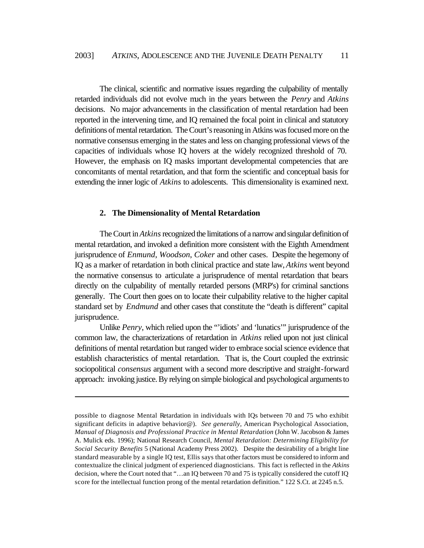The clinical, scientific and normative issues regarding the culpability of mentally retarded individuals did not evolve much in the years between the *Penry* and *Atkins* decisions. No major advancements in the classification of mental retardation had been reported in the intervening time, and IQ remained the focal point in clinical and statutory definitions of mental retardation. The Court's reasoning in Atkins was focused more on the normative consensus emerging in the states and less on changing professional views of the capacities of individuals whose IQ hovers at the widely recognized threshold of 70. However, the emphasis on IQ masks important developmental competencies that are concomitants of mental retardation, and that form the scientific and conceptual basis for extending the inner logic of *Atkins* to adolescents. This dimensionality is examined next.

#### **2. The Dimensionality of Mental Retardation**

 $\overline{a}$ 

The Court in *Atkins* recognized the limitations of a narrow and singular definition of mental retardation, and invoked a definition more consistent with the Eighth Amendment jurisprudence of *Enmund*, *Woodson*, *Coker* and other cases. Despite the hegemony of IQ as a marker of retardation in both clinical practice and state law, *Atkins* went beyond the normative consensus to articulate a jurisprudence of mental retardation that bears directly on the culpability of mentally retarded persons (MRP's) for criminal sanctions generally. The Court then goes on to locate their culpability relative to the higher capital standard set by *Endmund* and other cases that constitute the "death is different" capital jurisprudence.

Unlike *Penry*, which relied upon the "'idiots' and 'lunatics'" jurisprudence of the common law, the characterizations of retardation in *Atkins* relied upon not just clinical definitions of mental retardation but ranged wider to embrace social science evidence that establish characteristics of mental retardation. That is, the Court coupled the extrinsic sociopolitical *consensus* argument with a second more descriptive and straight-forward approach: invoking justice. By relying on simple biological and psychological arguments to

possible to diagnose Mental Retardation in individuals with IQs between 70 and 75 who exhibit significant deficits in adaptive behavior@). *See generally,* American Psychological Association, *Manual of Diagnosis and Professional Practice in Mental Retardation* (John W. Jacobson & James A. Mulick eds. 1996); National Research Council, *Mental Retardation: Determining Eligibility for Social Security Benefits* 5 (National Academy Press 2002). Despite the desirability of a bright line standard measurable by a single IQ test, Ellis says that other factors must be considered to inform and contextualize the clinical judgment of experienced diagnosticians. This fact is reflected in the *Atkins* decision, where the Court noted that "…an IQ between 70 and 75 is typically considered the cutoff IQ score for the intellectual function prong of the mental retardation definition." 122 S.Ct. at 2245 n.5.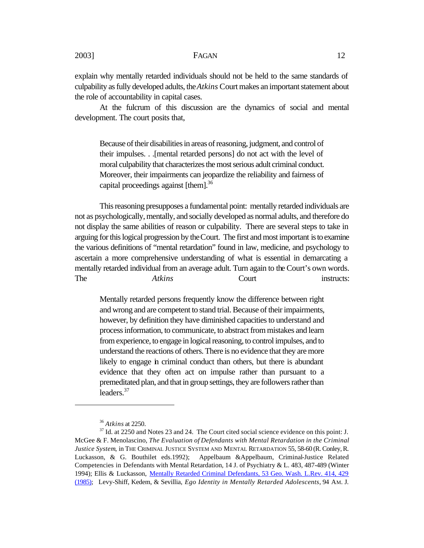explain why mentally retarded individuals should not be held to the same standards of culpability as fully developed adults, the *Atkins* Court makes an important statement about the role of accountability in capital cases.

At the fulcrum of this discussion are the dynamics of social and mental development. The court posits that,

Because of their disabilities in areas of reasoning, judgment, and control of their impulses. . .[mental retarded persons] do not act with the level of moral culpability that characterizes the most serious adult criminal conduct. Moreover, their impairments can jeopardize the reliability and fairness of capital proceedings against [them].<sup>36</sup>

This reasoning presupposes a fundamental point: mentally retarded individuals are not as psychologically, mentally, and socially developed as normal adults, and therefore do not display the same abilities of reason or culpability. There are several steps to take in arguing for this logical progression by the Court. The first and most important is to examine the various definitions of "mental retardation" found in law, medicine, and psychology to ascertain a more comprehensive understanding of what is essential in demarcating a mentally retarded individual from an average adult. Turn again to the Court's own words. The *Atkins* Court instructs:

Mentally retarded persons frequently know the difference between right and wrong and are competent to stand trial. Because of their impairments, however, by definition they have diminished capacities to understand and process information, to communicate, to abstract from mistakes and learn from experience, to engage in logical reasoning, to control impulses, and to understand the reactions of others. There is no evidence that they are more likely to engage in criminal conduct than others, but there is abundant evidence that they often act on impulse rather than pursuant to a premeditated plan, and that in group settings, they are followers rather than leaders.<sup>37</sup>

<sup>36</sup> *Atkins* at 2250.

<sup>&</sup>lt;sup>37</sup> Id. at 2250 and Notes 23 and 24. The Court cited social science evidence on this point: J. McGee & F. Menolascino, *The Evaluation of Defendants with Mental Retardation in the Criminal Justice System*, in THE CRIMINAL JUSTICE SYSTEM AND MENTAL RETARDATION 55, 58-60 (R. Conley, R. Luckasson, & G. Bouthilet eds.1992); Appelbaum &Appelbaum, Criminal-Justice Related Competencies in Defendants with Mental Retardation, 14 J. of Psychiatry & L. 483, 487-489 (Winter 1994); Ellis & Luckasson, Mentally Retarded Criminal Defendants, 53 Geo. Wash. L.Rev. 414, 429 (1985); Levy-Shiff, Kedem, & Sevillia, *Ego Identity in Mentally Retarded Adolescents*, 94 AM. J.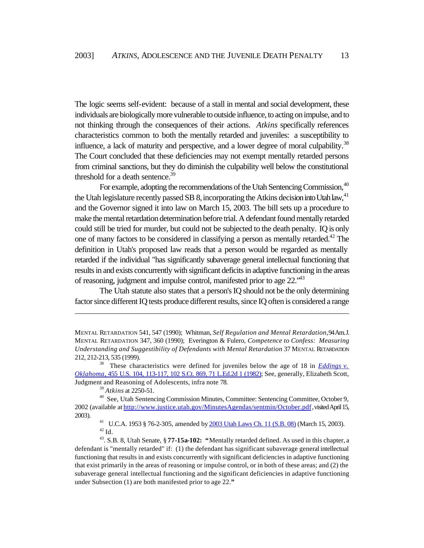The logic seems self-evident: because of a stall in mental and social development, these individuals are biologically more vulnerable to outside influence, to acting on impulse, and to not thinking through the consequences of their actions. *Atkins* specifically references characteristics common to both the mentally retarded and juveniles: a susceptibility to influence, a lack of maturity and perspective, and a lower degree of moral culpability.<sup>38</sup> The Court concluded that these deficiencies may not exempt mentally retarded persons from criminal sanctions, but they do diminish the culpability well below the constitutional threshold for a death sentence.<sup>39</sup>

For example, adopting the recommendations of the Utah Sentencing Commission, <sup>40</sup> the Utah legislature recently passed SB 8, incorporating the Atkins decision into Utah law,  $41$ and the Governor signed it into law on March 15, 2003. The bill sets up a procedure to make the mental retardation determination before trial. A defendant found mentally retarded could still be tried for murder, but could not be subjected to the death penalty. IQ is only one of many factors to be considered in classifying a person as mentally retarded.<sup>42</sup> The definition in Utah's proposed law reads that a person would be regarded as mentally retarded if the individual "has significantly subaverage general intellectual functioning that results in and exists concurrently with significant deficits in adaptive functioning in the areas of reasoning, judgment and impulse control, manifested prior to age 22.<sup>\*43</sup>

The Utah statute also states that a person's IQ should not be the only determining factor since different IQ tests produce different results, since IQ often is considered a range

 $\overline{a}$ 

<sup>41</sup> U.C.A. 1953 § 76-2-305, amended by 2003 Utah Laws Ch. 11 (S.B. 08) (March 15, 2003).  $^{42}$  Id.

MENTAL RETARDATION 541, 547 (1990); Whitman, *Self Regulation and Mental Retardation*, 94 Am. J. MENTAL RETARDATION 347, 360 (1990); Everington & Fulero, *Competence to Confess: Measuring Understanding and Suggestibility of Defendants with Mental Retardation* 37 MENTAL RETARDATION 212, 212-213, 535 (1999).

<sup>&</sup>lt;sup>38</sup> These characteristics were defined for juveniles below the age of 18 in *Eddings v. Oklahoma,* 455 U.S. 104, 113-117, 102 S.Ct. 869, 71 L.Ed.2d 1 (1982); See, generally, Elizabeth Scott, Judgment and Reasoning of Adolescents, infra note 78.

<sup>39</sup> *Atkins* at 2250-51.

<sup>40</sup> See, Utah Sentencing Commission Minutes, Committee: Sentencing Committee, October 9, 2002 (available at http://www.justice.utah.gov/MinutesAgendas/sentmin/October.pdf , visited April 15, 2003).

<sup>43</sup>. S.B. 8, Utah Senate, § **77-15a-102: "**Mentally retarded defined. As used in this chapter, a defendant is "mentally retarded" if: (1) the defendant has significant subaverage general intellectual functioning that results in and exists concurrently with significant deficiencies in adaptive functioning that exist primarily in the areas of reasoning or impulse control, or in both of these areas; and (2) the subaverage general intellectual functioning and the significant deficiencies in adaptive functioning under Subsection (1) are both manifested prior to age 22.**"**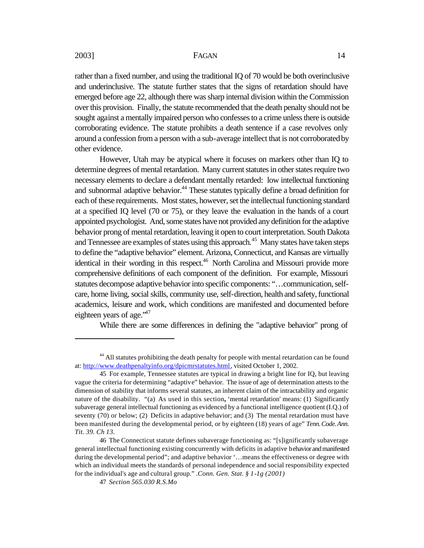rather than a fixed number, and using the traditional IQ of 70 would be both overinclusive and underinclusive. The statute further states that the signs of retardation should have emerged before age 22, although there was sharp internal division within the Commission over this provision. Finally, the statute recommended that the death penalty should not be sought against a mentally impaired person who confesses to a crime unless there is outside corroborating evidence. The statute prohibits a death sentence if a case revolves only around a confession from a person with a sub-average intellect that is not corroborated by other evidence.

However, Utah may be atypical where it focuses on markers other than IQ to determine degrees of mental retardation. Many current statutes in other states require two necessary elements to declare a defendant mentally retarded: low intellectual functioning and subnormal adaptive behavior.<sup>44</sup> These statutes typically define a broad definition for each of these requirements. Most states, however, set the intellectual functioning standard at a specified IQ level (70 or 75), or they leave the evaluation in the hands of a court appointed psychologist. And, some states have not provided any definition for the adaptive behavior prong of mental retardation, leaving it open to court interpretation. South Dakota and Tennessee are examples of states using this approach.<sup>45</sup> Many states have taken steps to define the "adaptive behavior" element. Arizona, Connecticut, and Kansas are virtually identical in their wording in this respect.<sup>46</sup> North Carolina and Missouri provide more comprehensive definitions of each component of the definition. For example, Missouri statutes decompose adaptive behavior into specific components: "…communication, selfcare, home living, social skills, community use, self-direction, health and safety, functional academics, leisure and work, which conditions are manifested and documented before eighteen years of age. $147$ 

While there are some differences in defining the "adaptive behavior" prong of

<sup>&</sup>lt;sup>44</sup> All statutes prohibiting the death penalty for people with mental retardation can be found at: http://www.deathpenaltyinfo.org/dpicmrstatutes.html, visited October 1, 2002.

<sup>45</sup> For example, Tennessee statutes are typical in drawing a bright line for IQ, but leaving vague the criteria for determining "adaptive" behavior. The issue of age of determination attests to the dimension of stability that informs several statutes, an inherent claim of the intractability and organic nature of the disability. "(a) As used in this section**,** 'mental retardation' means: (1) Significantly subaverage general intellectual functioning as evidenced by a functional intelligence quotient (I.Q.) of seventy (70) or below; (2) Deficits in adaptive behavior; and (3) The mental retardation must have been manifested during the developmental period, or by eighteen (18) years of age" *Tenn. Code. Ann. Tit. 39. Ch 13*.

<sup>46</sup> The Connecticut statute defines subaverage functioning as: "[s]ignificantly subaverage general intellectual functioning existing concurrently with deficits in adaptive behavior and manifested during the developmental period"; and adaptive behavior '…means the effectiveness or degree with which an individual meets the standards of personal independence and social responsibility expected for the individual's age and cultural group." .*Conn. Gen. Stat. § 1-1g (2001)*

<sup>47</sup> *Section 565.030 R.S.Mo*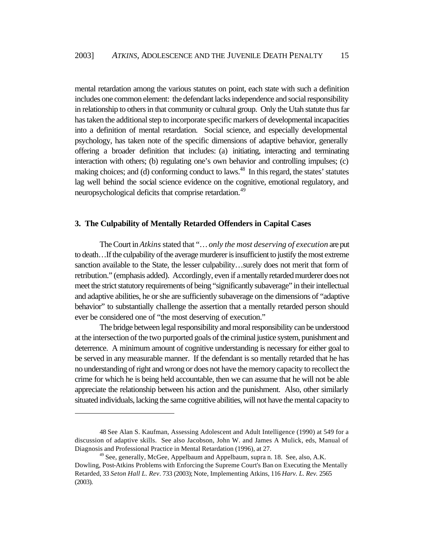mental retardation among the various statutes on point, each state with such a definition includes one common element: the defendant lacks independence and social responsibility in relationship to others in that community or cultural group. Only the Utah statute thus far has taken the additional step to incorporate specific markers of developmental incapacities into a definition of mental retardation. Social science, and especially developmental psychology, has taken note of the specific dimensions of adaptive behavior, generally offering a broader definition that includes: (a) initiating, interacting and terminating interaction with others; (b) regulating one's own behavior and controlling impulses; (c) making choices; and (d) conforming conduct to laws.<sup>48</sup> In this regard, the states' statutes lag well behind the social science evidence on the cognitive, emotional regulatory, and neuropsychological deficits that comprise retardation.<sup>49</sup>

#### **3. The Culpability of Mentally Retarded Offenders in Capital Cases**

The Court in *Atkins* stated that "… *only the most deserving of execution* are put to death…If the culpability of the average murderer is insufficient to justify the most extreme sanction available to the State, the lesser culpability...surely does not merit that form of retribution." (emphasis added). Accordingly, even if a mentally retarded murderer does not meet the strict statutory requirements of being "significantly subaverage" in their intellectual and adaptive abilities, he or she are sufficiently subaverage on the dimensions of "adaptive behavior" to substantially challenge the assertion that a mentally retarded person should ever be considered one of "the most deserving of execution."

The bridge between legal responsibility and moral responsibility can be understood at the intersection of the two purported goals of the criminal justice system, punishment and deterrence. A minimum amount of cognitive understanding is necessary for either goal to be served in any measurable manner. If the defendant is so mentally retarded that he has no understanding of right and wrong or does not have the memory capacity to recollect the crime for which he is being held accountable, then we can assume that he will not be able appreciate the relationship between his action and the punishment. Also, other similarly situated individuals, lacking the same cognitive abilities, will not have the mental capacity to

<sup>48</sup> See Alan S. Kaufman, Assessing Adolescent and Adult Intelligence (1990) at 549 for a discussion of adaptive skills. See also Jacobson, John W. and James A Mulick, eds, Manual of Diagnosis and Professional Practice in Mental Retardation (1996), at 27.

<sup>&</sup>lt;sup>49</sup> See, generally, McGee, Appelbaum and Appelbaum, supra n. 18. See, also, A.K. Dowling, Post-Atkins Problems with Enforcing the Supreme Court's Ban on Executing the Mentally Retarded, 33 *Seton Hall L. Rev*. 733 (2003); Note, Implementing Atkins, 116 *Harv. L. Rev.* 2565 (2003).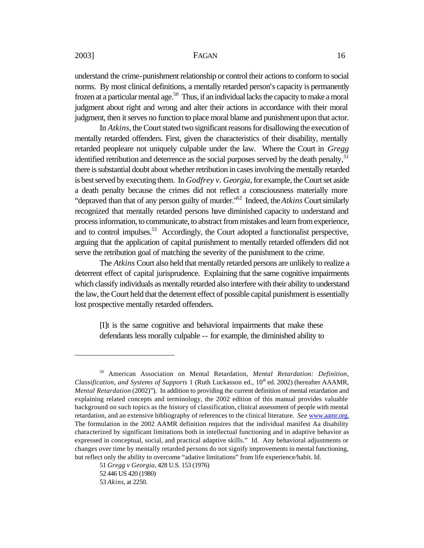understand the crime-punishment relationship or control their actions to conform to social norms. By most clinical definitions, a mentally retarded person's capacity is permanently frozen at a particular mental age.<sup>50</sup> Thus, if an individual lacks the capacity to make a moral judgment about right and wrong and alter their actions in accordance with their moral judgment, then it serves no function to place moral blame and punishment upon that actor.

In *Atkins*, the Court stated two significant reasons for disallowing the execution of mentally retarded offenders. First, given the characteristics of their disability, mentally retarded peopleare not uniquely culpable under the law. Where the Court in *Gregg* identified retribution and deterrence as the social purposes served by the death penalty,  $51$ there is substantial doubt about whether retribution in cases involving the mentally retarded is best served by executing them. In *Godfrey v. Georgia*, for example, the Court set aside a death penalty because the crimes did not reflect a consciousness materially more "depraved than that of any person guilty of murder."<sup>52</sup> Indeed, the *Atkins* Court similarly recognized that mentally retarded persons have diminished capacity to understand and process information, to communicate, to abstract from mistakes and learn from experience, and to control impulses.<sup>53</sup> Accordingly, the Court adopted a functionalist perspective, arguing that the application of capital punishment to mentally retarded offenders did not serve the retribution goal of matching the severity of the punishment to the crime.

The *Atkins* Court also held that mentally retarded persons are unlikely to realize a deterrent effect of capital jurisprudence. Explaining that the same cognitive impairments which classify individuals as mentally retarded also interfere with their ability to understand the law, the Court held that the deterrent effect of possible capital punishment is essentially lost prospective mentally retarded offenders.

[I]t is the same cognitive and behavioral impairments that make these defendants less morally culpable -- for example, the diminished ability to

<sup>50</sup> American Association on Mental Retardation, *Mental Retardation: Definition, Classification, and Systems of Supports* 1 (Ruth Luckasson ed., 10<sup>th</sup> ed. 2002) (hereafter AAAMR, *Mental Retardation* (2002)"). In addition to providing the current definition of mental retardation and explaining related concepts and terminology, the 2002 edition of this manual provides valuable background on such topics as the history of classification, clinical assessment of people with mental retardation, and an extensive bibliography of references to the clinical literature. *See* www.aamr.org. The formulation in the 2002 AAMR definition requires that the individual manifest Aa disability characterized by significant limitations both in intellectual functioning and in adaptive behavior as expressed in conceptual, social, and practical adaptive skills." Id. Any behavioral adjustments or changes over time by mentally retarded persons do not signify improvements in mental functioning, but reflect only the ability to overcome "adative limitations" from life experience/habit. Id.

<sup>51</sup> *Gregg v Georgia*, 428 U.S. 153 (1976)

<sup>52 446</sup> US 420 (1980)

<sup>53</sup> *Akins*, at 2250.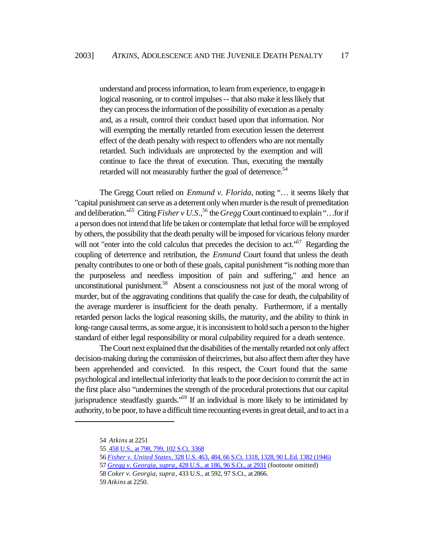understand and process information, to learn from experience, to engage in logical reasoning, or to control impulses -- that also make it less likely that they can process the information of the possibility of execution as a penalty and, as a result, control their conduct based upon that information. Nor will exempting the mentally retarded from execution lessen the deterrent effect of the death penalty with respect to offenders who are not mentally retarded. Such individuals are unprotected by the exemption and will continue to face the threat of execution. Thus, executing the mentally retarded will not measurably further the goal of deterrence.<sup>54</sup>

The Gregg Court relied on *Enmund v. Florida*, noting "… it seems likely that "capital punishment can serve as a deterrent only when murder is the result of premeditation and deliberation.<sup>55</sup> Citing *Fisher v U.S.*,<sup>56</sup> the *Gregg* Court continued to explain "...for if a person does not intend that life be taken or contemplate that lethal force will be employed by others, the possibility that the death penalty will be imposed for vicarious felony murder will not "enter into the cold calculus that precedes the decision to act."<sup>57</sup> Regarding the coupling of deterrence and retribution, the *Enmund* Court found that unless the death penalty contributes to one or both of these goals, capital punishment "is nothing more than the purposeless and needless imposition of pain and suffering," and hence an unconstitutional punishment.<sup>58</sup> Absent a consciousness not just of the moral wrong of murder, but of the aggravating conditions that qualify the case for death, the culpability of the average murderer is insufficient for the death penalty. Furthermore, if a mentally retarded person lacks the logical reasoning skills, the maturity, and the ability to think in long-range causal terms, as some argue, it is inconsistent to hold such a person to the higher standard of either legal responsibility or moral culpability required for a death sentence.

The Court next explained that the disabilities of the mentally retarded not only affect decision-making during the commission of theircrimes, but also affect them after they have been apprehended and convicted. In this respect, the Court found that the same psychological and intellectual inferiority that leads to the poor decision to commit the act in the first place also "undermines the strength of the procedural protections that our capital jurisprudence steadfastly guards."<sup>59</sup> If an individual is more likely to be intimidated by authority, to be poor, to have a difficult time recounting events in great detail, and to act in a

<sup>54</sup> *Atkins* at 2251

<sup>55 458</sup> U.S., at 798, 799, 102 S.Ct. 3368

<sup>56</sup> *Fisher v. United States*, 328 U.S. 463, 484, 66 S.Ct. 1318, 1328, 90 L.Ed. 1382 (1946)

<sup>57</sup> *Gregg v. Georgia, supra*, 428 U.S., at 186, 96 S.Ct., at 2931 (footnote omitted)

<sup>58</sup> *Coker v. Georgia, supra*, 433 U.S., at 592, 97 S.Ct., at 2866.

<sup>59</sup> *Atkins* at 2250.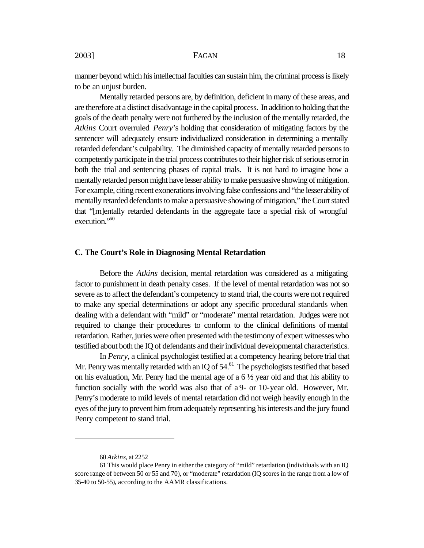manner beyond which his intellectual faculties can sustain him, the criminal process is likely to be an unjust burden.

Mentally retarded persons are, by definition, deficient in many of these areas, and are therefore at a distinct disadvantage in the capital process. In addition to holding that the goals of the death penalty were not furthered by the inclusion of the mentally retarded, the *Atkins* Court overruled *Penry*'s holding that consideration of mitigating factors by the sentencer will adequately ensure individualized consideration in determining a mentally retarded defendant's culpability. The diminished capacity of mentally retarded persons to competently participate in the trial process contributes to their higher risk of serious error in both the trial and sentencing phases of capital trials. It is not hard to imagine how a mentally retarded person might have lesser ability to make persuasive showing of mitigation. For example, citing recent exonerations involving false confessions and "the lesser ability of mentally retarded defendants to make a persuasive showing of mitigation," the Court stated that "[m]entally retarded defendants in the aggregate face a special risk of wrongful execution."<sup>60</sup>

#### **C. The Court's Role in Diagnosing Mental Retardation**

Before the *Atkins* decision, mental retardation was considered as a mitigating factor to punishment in death penalty cases. If the level of mental retardation was not so severe as to affect the defendant's competency to stand trial, the courts were not required to make any special determinations or adopt any specific procedural standards when dealing with a defendant with "mild" or "moderate" mental retardation. Judges were not required to change their procedures to conform to the clinical definitions of mental retardation. Rather, juries were often presented with the testimony of expert witnesses who testified about both the IQ of defendants and their individual developmental characteristics.

In *Penry*, a clinical psychologist testified at a competency hearing before trial that Mr. Penry was mentally retarded with an IQ of  $54<sup>61</sup>$  The psychologists testified that based on his evaluation, Mr. Penry had the mental age of a  $6\frac{1}{2}$  year old and that his ability to function socially with the world was also that of a 9- or 10-year old. However, Mr. Penry's moderate to mild levels of mental retardation did not weigh heavily enough in the eyes of the jury to prevent him from adequately representing his interests and the jury found Penry competent to stand trial.

<sup>60</sup> *Atkins*, at 2252

<sup>61</sup> This would place Penry in either the category of "mild" retardation (individuals with an IQ score range of between 50 or 55 and 70), or "moderate" retardation (IQ scores in the range from a low of 35-40 to 50-55), according to the AAMR classifications.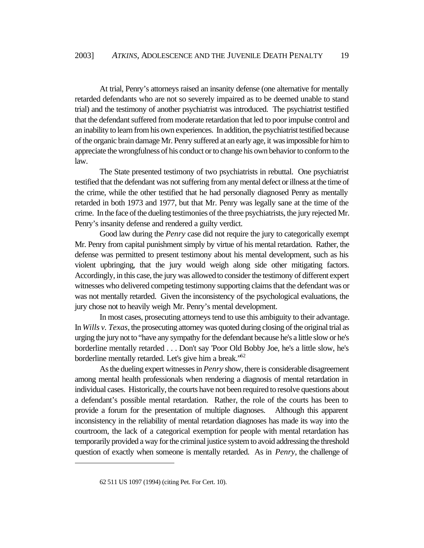At trial, Penry's attorneys raised an insanity defense (one alternative for mentally retarded defendants who are not so severely impaired as to be deemed unable to stand trial) and the testimony of another psychiatrist was introduced. The psychiatrist testified that the defendant suffered from moderate retardation that led to poor impulse control and an inability to learn from his own experiences. In addition, the psychiatrist testified because of the organic brain damage Mr. Penry suffered at an early age, it was impossible for him to appreciate the wrongfulness of his conduct or to change his own behavior to conform to the law.

The State presented testimony of two psychiatrists in rebuttal. One psychiatrist testified that the defendant was not suffering from any mental defect or illness at the time of the crime, while the other testified that he had personally diagnosed Penry as mentally retarded in both 1973 and 1977, but that Mr. Penry was legally sane at the time of the crime. In the face of the dueling testimonies of the three psychiatrists, the jury rejected Mr. Penry's insanity defense and rendered a guilty verdict.

Good law during the *Penry* case did not require the jury to categorically exempt Mr. Penry from capital punishment simply by virtue of his mental retardation. Rather, the defense was permitted to present testimony about his mental development, such as his violent upbringing, that the jury would weigh along side other mitigating factors. Accordingly, in this case, the jury was allowed to consider the testimony of different expert witnesses who delivered competing testimony supporting claims that the defendant was or was not mentally retarded. Given the inconsistency of the psychological evaluations, the jury chose not to heavily weigh Mr. Penry's mental development.

In most cases, prosecuting attorneys tend to use this ambiguity to their advantage. In *Wills v. Texas*, the prosecuting attorney was quoted during closing of the original trial as urging the jury not to "have any sympathy for the defendant because he's a little slow or he's borderline mentally retarded . . . Don't say 'Poor Old Bobby Joe, he's a little slow, he's borderline mentally retarded. Let's give him a break.<sup>562</sup>

As the dueling expert witnesses in *Penry* show, there is considerable disagreement among mental health professionals when rendering a diagnosis of mental retardation in individual cases. Historically, the courts have not been required to resolve questions about a defendant's possible mental retardation. Rather, the role of the courts has been to provide a forum for the presentation of multiple diagnoses. Although this apparent inconsistency in the reliability of mental retardation diagnoses has made its way into the courtroom, the lack of a categorical exemption for people with mental retardation has temporarily provided a way for the criminal justice system to avoid addressing the threshold question of exactly when someone is mentally retarded. As in *Penry*, the challenge of

<sup>62 511</sup> US 1097 (1994) (citing Pet. For Cert. 10).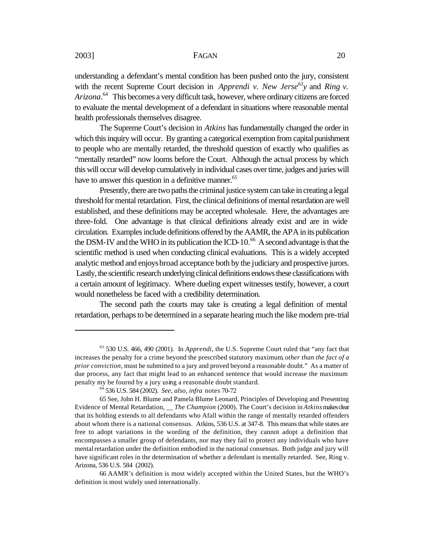understanding a defendant's mental condition has been pushed onto the jury, consistent with the recent Supreme Court decision in *Apprendi v. New Jerse*<sup>63</sup>*y* and *Ring v. Arizona*. <sup>64</sup> This becomes a very difficult task, however, where ordinary citizens are forced to evaluate the mental development of a defendant in situations where reasonable mental health professionals themselves disagree.

The Supreme Court's decision in *Atkins* has fundamentally changed the order in which this inquiry will occur. By granting a categorical exemption from capital punishment to people who are mentally retarded, the threshold question of exactly who qualifies as "mentally retarded" now looms before the Court. Although the actual process by which this will occur will develop cumulatively in individual cases over time, judges and juries will have to answer this question in a definitive manner.<sup>65</sup>

Presently, there are two paths the criminal justice system can take in creating a legal threshold for mental retardation. First, the clinical definitions of mental retardation are well established, and these definitions may be accepted wholesale. Here, the advantages are three-fold. One advantage is that clinical definitions already exist and are in wide circulation. Examples include definitions offered by the AAMR, the APA in its publication the DSM-IV and the WHO in its publication the ICD-10.<sup>66</sup> A second advantage is that the scientific method is used when conducting clinical evaluations. This is a widely accepted analytic method and enjoys broad acceptance both by the judiciary and prospective jurors. Lastly, the scientific research underlying clinical definitions endows these classifications with a certain amount of legitimacy. Where dueling expert witnesses testify, however, a court would nonetheless be faced with a credibility determination.

The second path the courts may take is creating a legal definition of mental retardation, perhaps to be determined in a separate hearing much the like modern pre-trial

<sup>63</sup> 530 U.S. 466, 490 (2001). In *Apprendi*, the U.S. Supreme Court ruled that "any fact that increases the penalty for a crime beyond the prescribed statutory maximum, *other than the fact of a prior conviction*, must be submitted to a jury and proved beyond a reasonable doubt." As a matter of due process, any fact that might lead to an enhanced sentence that would increase the maximum penalty my be fournd by a jury using a reasonable doubt standard.

<sup>64</sup> 536 U.S. 584 (2002). *See, also, infra* notes 70-72

<sup>65</sup> See, John H. Blume and Pamela Blume Leonard, Principles of Developing and Presenting Evidence of Mental Retardation, \_\_ *The Champion* (2000). The Court's decision in *Atkins* makes clear that its holding extends to all defendants who Afall within the range of mentally retarded offenders about whom there is a national consensus. Atkins, 536 U.S. at 347-8. This means that while states are free to adopt variations in the wording of the definition, they cannot adopt a definition that encompasses a smaller group of defendants, nor may they fail to protect any individuals who have mental retardation under the definition embodied in the national consensus. Both judge and jury will have significant roles in the determination of whether a defendant is mentally retarded. See, Ring v. Arizona, 536 U.S. 584 (2002).

<sup>66</sup> AAMR's definition is most widely accepted within the United States, but the WHO's definition is most widely used internationally.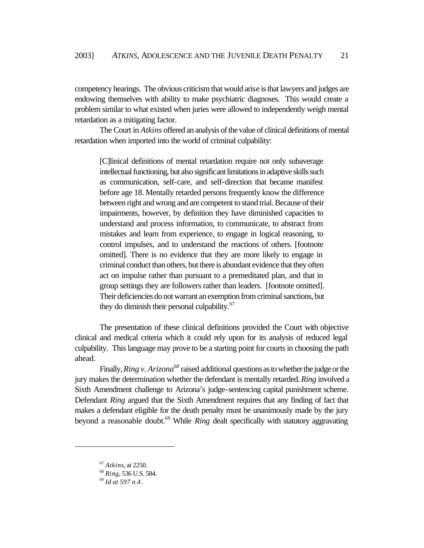competency hearings. The obvious criticism that would arise is that lawyers and judges are endowing themselves with ability to make psychiatric diagnoses. This would create a problem similar to what existed when juries were allowed to independently weigh mental retardation as a mitigating factor.

The Court in *Atkins* offered an analysis of the value of clinical definitions of mental retardation when imported into the world of criminal culpability:

[C]linical definitions of mental retardation require not only subaverage intellectual functioning, but also significant limitations in adaptive skills such as communication, self-care, and self-direction that became manifest before age 18. Mentally retarded persons frequently know the difference between right and wrong and are competent to stand trial. Because of their impairments, however, by definition they have diminished capacities to understand and process information, to communicate, to abstract from mistakes and learn from experience, to engage in logical reasoning, to control impulses, and to understand the reactions of others. [footnote omitted]. There is no evidence that they are more likely to engage in criminal conduct than others, but there is abundant evidence that they often act on impulse rather than pursuant to a premeditated plan, and that in group settings they are followers rather than leaders. [footnote omitted]. Their deficiencies do not warrant an exemption from criminal sanctions, but they do diminish their personal culpability.<sup>67</sup>

The presentation of these clinical definitions provided the Court with objective clinical and medical criteria which it could rely upon for its analysis of reduced legal culpability. This language may prove to be a starting point for courts in choosing the path ahead.

Finally, *Ring v. Arizona<sup>68</sup>* raised additional questions as to whether the judge or the jury makes the determination whether the defendant is mentally retarded. *Ring* involved a Sixth Amendment challenge to Arizona's judge-sentencing capital punishment scheme. Defendant *Ring* argued that the Sixth Amendment requires that any finding of fact that makes a defendant eligible for the death penalty must be unanimously made by the jury beyond a reasonable doubt.<sup>69</sup> While *Ring* dealt specifically with statutory aggravating

<sup>67</sup> *Atkins*, at 2250.

<sup>68</sup> *Ring*, 536 U.S. 584.

<sup>69</sup> *Id at 597 n.4*.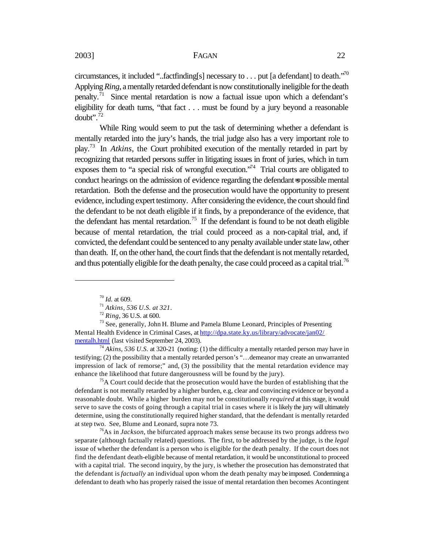circumstances, it included "..factfinding[s] necessary to . . . put [a defendant] to death."<sup>70</sup> Applying *Ring*, a mentally retarded defendant is now constitutionally ineligible for the death penalty.<sup>71</sup> Since mental retardation is now a factual issue upon which a defendant's eligibility for death turns, "that fact . . . must be found by a jury beyond a reasonable doubt". $^{72}$ 

While Ring would seem to put the task of determining whether a defendant is mentally retarded into the jury's hands, the trial judge also has a very important role to play.<sup>73</sup> In *Atkins,* the Court prohibited execution of the mentally retarded in part by recognizing that retarded persons suffer in litigating issues in front of juries, which in turn exposes them to "a special risk of wrongful execution."<sup>74</sup> Trial courts are obligated to conduct hearings on the admission of evidence regarding the defendant=s possible mental retardation. Both the defense and the prosecution would have the opportunity to present evidence, including expert testimony. After considering the evidence, the court should find the defendant to be not death eligible if it finds, by a preponderance of the evidence, that the defendant has mental retardation.<sup>75</sup> If the defendant is found to be not death eligible because of mental retardation, the trial could proceed as a non-capital trial, and, if convicted, the defendant could be sentenced to any penalty available under state law, other than death. If, on the other hand, the court finds that the defendant is not mentally retarded, and thus potentially eligible for the death penalty, the case could proceed as a capital trial.<sup>76</sup>

 $\overline{a}$ 

<sup>74</sup> *Akins, 536 U.S.* at 320-21 (noting: (1) the difficulty a mentally retarded person may have in testifying; (2) the possibility that a mentally retarded person's "…demeanor may create an unwarranted impression of lack of remorse;" and, (3) the possibility that the mental retardation evidence may enhance the likelihood that future dangerousness will be found by the jury).

<sup>75</sup>A Court could decide that the prosecution would have the burden of establishing that the defendant is not mentally retarded by a higher burden, e.g, clear and convincing evidence or beyond a reasonable doubt. While a higher burden may not be constitutionally *required* at this stage, it would serve to save the costs of going through a capital trial in cases where it is likely the jury will ultimately determine, using the constitutionally required higher standard, that the defendant is mentally retarded at step two. See, Blume and Leonard, supra note 73.

<sup>76</sup>As in *Jackson*, the bifurcated approach makes sense because its two prongs address two separate (although factually related) questions. The first, to be addressed by the judge, is the *legal*  issue of whether the defendant is a person who is eligible for the death penalty. If the court does not find the defendant death-eligible because of mental retardation, it would be unconstitutional to proceed with a capital trial. The second inquiry, by the jury, is whether the prosecution has demonstrated that the defendant is *factually* an individual upon whom the death penalty may be imposed. Condemning a defendant to death who has properly raised the issue of mental retardation then becomes Acontingent

<sup>70</sup> *Id.* at 609.

<sup>71</sup> *Atkins, 536 U.S. at 321*.

<sup>72</sup> *Ring*, 36 U.S. at 600.

 $73$  See, generally, John H. Blume and Pamela Blume Leonard, Principles of Presenting Mental Health Evidence in Criminal Cases, at http://dpa.state.ky.us/library/advocate/jan02/ mentalh.html (last visited September 24, 2003).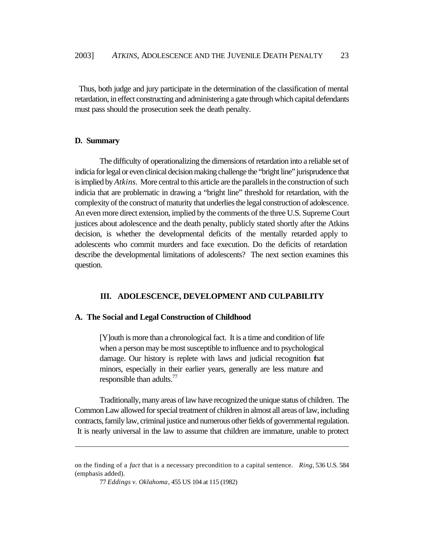Thus, both judge and jury participate in the determination of the classification of mental retardation, in effect constructing and administering a gate through which capital defendants must pass should the prosecution seek the death penalty.

#### **D. Summary**

 $\overline{a}$ 

The difficulty of operationalizing the dimensions of retardation into a reliable set of indicia for legal or even clinical decision making challenge the "bright line" jurisprudence that is implied by *Atkins*. More central to this article are the parallels in the construction of such indicia that are problematic in drawing a "bright line" threshold for retardation, with the complexity of the construct of maturity that underlies the legal construction of adolescence. An even more direct extension, implied by the comments of the three U.S. Supreme Court justices about adolescence and the death penalty, publicly stated shortly after the Atkins decision, is whether the developmental deficits of the mentally retarded apply to adolescents who commit murders and face execution. Do the deficits of retardation describe the developmental limitations of adolescents? The next section examines this question.

#### **III. ADOLESCENCE, DEVELOPMENT AND CULPABILITY**

#### **A. The Social and Legal Construction of Childhood**

[Y]outh is more than a chronological fact. It is a time and condition of life when a person may be most susceptible to influence and to psychological damage. Our history is replete with laws and judicial recognition that minors, especially in their earlier years, generally are less mature and responsible than adults.<sup>77</sup>

Traditionally, many areas of law have recognized the unique status of children. The Common Law allowed for special treatment of children in almost all areas of law, including contracts, family law, criminal justice and numerous other fields of governmental regulation. It is nearly universal in the law to assume that children are immature, unable to protect

on the finding of a *fact* that is a necessary precondition to a capital sentence. *Ring*, 536 U.S. 584 (emphasis added).

<sup>77</sup> *Eddings v. Oklahoma*, 455 US 104 at 115 (1982)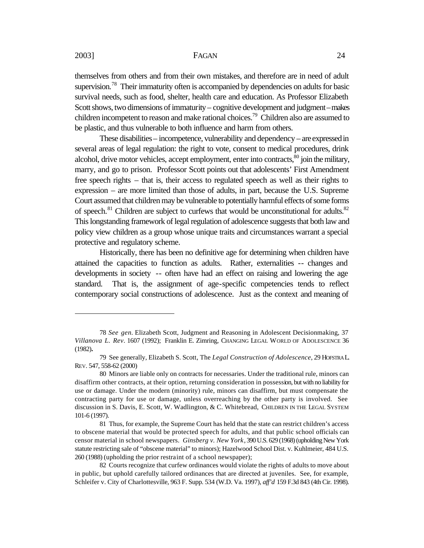themselves from others and from their own mistakes, and therefore are in need of adult supervision.<sup>78</sup> Their immaturity often is accompanied by dependencies on adults for basic survival needs, such as food, shelter, health care and education. As Professor Elizabeth Scott shows, two dimensions of immaturity – cognitive development and judgment – makes children incompetent to reason and make rational choices.<sup>79</sup> Children also are assumed to be plastic, and thus vulnerable to both influence and harm from others.

These disabilities – incompetence, vulnerability and dependency – are expressed in several areas of legal regulation: the right to vote, consent to medical procedures, drink alcohol, drive motor vehicles, accept employment, enter into contracts,  $80$  join the military, marry, and go to prison. Professor Scott points out that adolescents' First Amendment free speech rights – that is, their access to regulated speech as well as their rights to expression – are more limited than those of adults, in part, because the U.S. Supreme Court assumed that children may be vulnerable to potentially harmful effects of some forms of speech. $81$  Children are subject to curfews that would be unconstitutional for adults. $82$ This longstanding framework of legal regulation of adolescence suggests that both law and policy view children as a group whose unique traits and circumstances warrant a special protective and regulatory scheme.

Historically, there has been no definitive age for determining when children have attained the capacities to function as adults. Rather, externalities -- changes and developments in society -- often have had an effect on raising and lowering the age standard. That is, the assignment of age-specific competencies tends to reflect contemporary social constructions of adolescence. Just as the context and meaning of

<sup>78</sup> *See gen.* Elizabeth Scott, Judgment and Reasoning in Adolescent Decisionmaking, 37 *Villanova L. Rev*. 1607 (1992); Franklin E. Zimring, CHANGING LEGAL WORLD OF ADOLESCENCE 36 (1982)**.**

<sup>79</sup> See generally, Elizabeth S. Scott, The *Legal Construction of Adolescence*, 29 HOFSTRA L. REV. 547, 558-62 (2000)

<sup>80</sup> Minors are liable only on contracts for necessaries. Under the traditional rule, minors can disaffirm other contracts, at their option, returning consideration in possession, but with no liability for use or damage. Under the modern (minority) rule, minors can disaffirm, but must compensate the contracting party for use or damage, unless overreaching by the other party is involved. See discussion in S. Davis, E. Scott, W. Wadlington, & C. Whitebread, CHILDREN IN THE LEGAL SYSTEM 101-6 (1997).

<sup>81</sup> Thus, for example, the Supreme Court has held that the state can restrict children's access to obscene material that would be protected speech for adults, and that public school officials can censor material in school newspapers. *Ginsberg v. New York*, 390 U.S. 629 (1968) (upholding New York statute restricting sale of "obscene material" to minors); Hazelwood School Dist. v. Kuhlmeier, 484 U.S. 260 (1988) (upholding the prior restraint of a school newspaper);

<sup>82</sup> Courts recognize that curfew ordinances would violate the rights of adults to move about in public, but uphold carefully tailored ordinances that are directed at juveniles. See, for example, Schleifer v. City of Charlottesville, 963 F. Supp. 534 (W.D. Va. 1997), *aff'd* 159 F.3d 843 (4th Cir. 1998).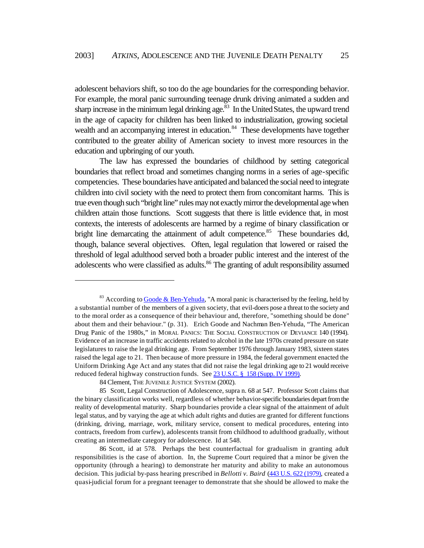adolescent behaviors shift, so too do the age boundaries for the corresponding behavior. For example, the moral panic surrounding teenage drunk driving animated a sudden and sharp increase in the minimum legal drinking age.<sup>83</sup> In the United States, the upward trend in the age of capacity for children has been linked to industrialization, growing societal wealth and an accompanying interest in education.<sup>84</sup> These developments have together contributed to the greater ability of American society to invest more resources in the education and upbringing of our youth.

The law has expressed the boundaries of childhood by setting categorical boundaries that reflect broad and sometimes changing norms in a series of age-specific competencies. These boundaries have anticipated and balanced the social need to integrate children into civil society with the need to protect them from concomitant harms. This is true even though such "bright line" rules may not exactly mirror the developmental age when children attain those functions. Scott suggests that there is little evidence that, in most contexts, the interests of adolescents are harmed by a regime of binary classification or bright line demarcating the attainment of adult competence.<sup>85</sup> These boundaries did, though, balance several objectives. Often, legal regulation that lowered or raised the threshold of legal adulthood served both a broader public interest and the interest of the adolescents who were classified as adults.<sup>86</sup> The granting of adult responsibility assumed

 $83$  According to Goode & Ben-Yehuda, "A moral panic is characterised by the feeling, held by a substantial number of the members of a given society, that evil-doers pose a threat to the society and to the moral order as a consequence of their behaviour and, therefore, "something should be done" about them and their behaviour." (p. 31). Erich Goode and Nachman Ben-Yehuda, "The American Drug Panic of the 1980s," in MORAL PANICS: THE SOCIAL CONSTRUCTION OF DEVIANCE 140 (1994). Evidence of an increase in traffic accidents related to alcohol in the late 1970s created pressure on state legislatures to raise the legal drinking age. From September 1976 through January 1983, sixteen states raised the legal age to 21. Then because of more pressure in 1984, the federal government enacted the Uniform Drinking Age Act and any states that did not raise the legal drinking age to 21 would receive reduced federal highway construction funds. See 23 U.S.C. § 158 (Supp. IV 1999).

<sup>84</sup> Clement, THE JUVENILE JUSTICE SYSTEM (2002).

<sup>85</sup> Scott, Legal Construction of Adolescence, supra n. 68 at 547. Professor Scott claims that the binary classification works well, regardless of whether behavior-specific boundaries depart from the reality of developmental maturity. Sharp boundaries provide a clear signal of the attainment of adult legal status, and by varying the age at which adult rights and duties are granted for different functions (drinking, driving, marriage, work, military service, consent to medical procedures, entering into contracts, freedom from curfew), adolescents transit from childhood to adulthood gradually, without creating an intermediate category for adolescence. Id at 548.

<sup>86</sup> Scott, id at 578. Perhaps the best counterfactual for gradualism in granting adult responsibilities is the case of abortion. In, the Supreme Court required that a minor be given the opportunity (through a hearing) to demonstrate her maturity and ability to make an autonomous decision. This judicial by-pass hearing prescribed in *Bellotti v. Baird* (443 U.S. 622 (1979), created a quasi-judicial forum for a pregnant teenager to demonstrate that she should be allowed to make the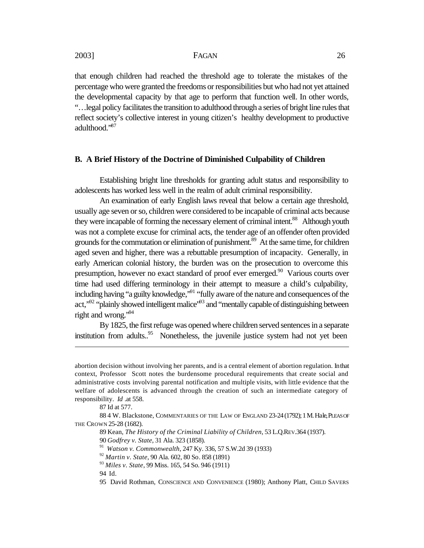that enough children had reached the threshold age to tolerate the mistakes of the percentage who were granted the freedoms or responsibilities but who had not yet attained the developmental capacity by that age to perform that function well. In other words, "…legal policy facilitates the transition to adulthood through a series of bright line rules that reflect society's collective interest in young citizen's healthy development to productive adulthood."<sup>87</sup>

#### **B. A Brief History of the Doctrine of Diminished Culpability of Children**

Establishing bright line thresholds for granting adult status and responsibility to adolescents has worked less well in the realm of adult criminal responsibility.

An examination of early English laws reveal that below a certain age threshold, usually age seven or so, children were considered to be incapable of criminal acts because they were incapable of forming the necessary element of criminal intent.<sup>88</sup> Although youth was not a complete excuse for criminal acts, the tender age of an offender often provided grounds for the commutation or elimination of punishment.<sup>89</sup> At the same time, for children aged seven and higher, there was a rebuttable presumption of incapacity. Generally, in early American colonial history, the burden was on the prosecution to overcome this presumption, however no exact standard of proof ever emerged.<sup>90</sup> Various courts over time had used differing terminology in their attempt to measure a child's culpability, including having "a guilty knowledge,"<sup>91</sup> "fully aware of the nature and consequences of the act," $^{92}$ " plainly showed intelligent malice" $^{93}$  and "mentally capable of distinguishing between right and wrong."<sup>94</sup>

By 1825, the first refuge was opened where children served sentences in a separate institution from adults..<sup>95</sup> Nonetheless, the juvenile justice system had not yet been

abortion decision without involving her parents, and is a central element of abortion regulation. In that context, Professor Scott notes the burdensome procedural requirements that create social and administrative costs involving parental notification and multiple visits, with little evidence that the welfare of adolescents is advanced through the creation of such an intermediate category of responsibility. *Id* .at 558.

<sup>87</sup> Id at 577.

<sup>88 4</sup> W. Blackstone, COMMENTARIES OF THE LAW OF ENGLAND 23-24 (1792); 1 M. Hale, PLEAS OF THE CROWN 25-28 (1682).

<sup>89</sup> Kean, *The History of the Criminal Liability of Children*, 53 L.Q.REV.364 (1937).

<sup>90</sup> *Godfrey v. State*, 31 Ala. 323 (1858).

<sup>91</sup> *Watson v. Commonwealth*, 247 Ky. 336, 57 S.W.2d 39 (1933)

<sup>92</sup> *Martin v. State*, 90 Ala. 602, 80 So. 858 (1891)

<sup>93</sup> *Miles v. State*, 99 Miss. 165, 54 So. 946 (1911)

<sup>94</sup> Id.

<sup>95</sup> David Rothman, CONSCIENCE AND CONVENIENCE (1980); Anthony Platt, CHILD SAVERS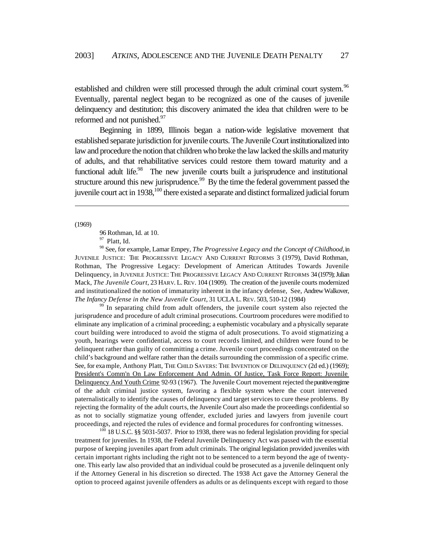established and children were still processed through the adult criminal court system.<sup>96</sup> Eventually, parental neglect began to be recognized as one of the causes of juvenile delinquency and destitution; this discovery animated the idea that children were to be reformed and not punished.<sup>97</sup>

Beginning in 1899, Illinois began a nation-wide legislative movement that established separate jurisdiction for juvenile courts. The Juvenile Court institutionalized into law and procedure the notion that children who broke the law lacked the skills and maturity of adults, and that rehabilitative services could restore them toward maturity and a functional adult life.<sup>98</sup> The new juvenile courts built a jurisprudence and institutional structure around this new jurisprudence.<sup>99</sup> By the time the federal government passed the juvenile court act in 1938,<sup>100</sup> there existed a separate and distinct formalized judicial forum

(1969)

 $\overline{a}$ 

96 Rothman, Id. at 10.

<sup>97</sup> Platt, Id.

<sup>98</sup> See, for example, Lamar Empey, *The Progressive Legacy and the Concept of Childhood*, in JUVENILE JUSTICE: THE PROGRESSIVE LEGACY AND CURRENT REFORMS 3 (1979), David Rothman, Rothman, The Progressive Legacy: Development of American Attitudes Towards Juvenile Delinquency, in JUVENILE JUSTICE: THE PROGRESSIVE LEGACY AND CURRENT REFORMS 34 (1979); Julian Mack, *The Juvenile Court*, 23 HARV. L. REV. 104 (1909). The creation of the juvenile courts modernized and institutionalized the notion of immaturity inherent in the infancy defense, See, Andrew Walkover, *The Infancy Defense in the New Juvenile Court*, 31 UCLA L. REV. 503, 510-12 (1984)

<sup>99</sup> In separating child from adult offenders, the juvenile court system also rejected the jurisprudence and procedure of adult criminal prosecutions. Courtroom procedures were modified to eliminate any implication of a criminal proceeding; a euphemistic vocabulary and a physically separate court building were introduced to avoid the stigma of adult prosecutions. To avoid stigmatizing a youth, hearings were confidential, access to court records limited, and children were found to be delinquent rather than guilty of committing a crime. Juvenile court proceedings concentrated on the child's background and welfare rather than the details surrounding the commission of a specific crime. See, for example, Anthony Platt, THE CHILD SAVERS: THE INVENTION OF DELINQUENCY (2d ed.) (1969); President's Comm'n On Law Enforcement And Admin. Of Justice, Task Force Report: Juvenile Delinquency And Youth Crime 92-93 (1967). The Juvenile Court movement rejected the punitive regime of the adult criminal justice system, favoring a flexible system where the court intervened paternalistically to identify the causes of delinquency and target services to cure these problems. By rejecting the formality of the adult courts, the Juvenile Court also made the proceedings confidential so as not to socially stigmatize young offender, excluded juries and lawyers from juvenile court proceedings, and rejected the rules of evidence and formal procedures for confronting witnesses.

 $100$  18 U.S.C. §§ 5031-5037. Prior to 1938, there was no federal legislation providing for special treatment for juveniles. In 1938, the Federal Juvenile Delinquency Act was passed with the essential purpose of keeping juveniles apart from adult criminals. The original legislation provided juveniles with certain important rights including the right not to be sentenced to a term beyond the age of twentyone. This early law also provided that an individual could be prosecuted as a juvenile delinquent only if the Attorney General in his discretion so directed. The 1938 Act gave the Attorney General the option to proceed against juvenile offenders as adults or as delinquents except with regard to those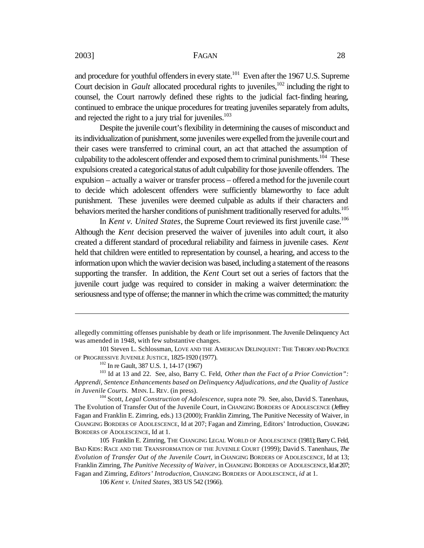and procedure for youthful offenders in every state.<sup>101</sup> Even after the 1967 U.S. Supreme Court decision in *Gault* allocated procedural rights to juveniles,<sup>102</sup> including the right to counsel, the Court narrowly defined these rights to the judicial fact-finding hearing, continued to embrace the unique procedures for treating juveniles separately from adults, and rejected the right to a jury trial for juveniles.<sup>103</sup>

Despite the juvenile court's flexibility in determining the causes of misconduct and its individualization of punishment, some juveniles were expelled from the juvenile court and their cases were transferred to criminal court, an act that attached the assumption of culpability to the adolescent offender and exposed them to criminal punishments.<sup>104</sup> These expulsions created a categorical status of adult culpability for those juvenile offenders. The expulsion – actually a waiver or transfer process – offered a method for the juvenile court to decide which adolescent offenders were sufficiently blameworthy to face adult punishment. These juveniles were deemed culpable as adults if their characters and behaviors merited the harsher conditions of punishment traditionally reserved for adults.<sup>105</sup>

In *Kent v. United States*, the Supreme Court reviewed its first juvenile case.<sup>106</sup> Although the *Kent* decision preserved the waiver of juveniles into adult court, it also created a different standard of procedural reliability and fairness in juvenile cases. *Kent* held that children were entitled to representation by counsel, a hearing, and access to the information upon which the wavier decision was based, including a statement of the reasons supporting the transfer. In addition, the *Kent* Court set out a series of factors that the juvenile court judge was required to consider in making a waiver determination: the seriousness and type of offense; the manner in which the crime was committed; the maturity

allegedly committing offenses punishable by death or life imprisonment. The Juvenile Delinquency Act was amended in 1948, with few substantive changes.

<sup>101</sup> Steven L. Schlossman, LOVE AND THE AMERICAN DELINQUENT: THE THEORY AND PRACTICE OF PROGRESSIVE JUVENILE JUSTICE, 1825-1920 (1977).

<sup>102</sup> In re Gault, 387 U.S. 1, 14-17 (1967)

<sup>103</sup> Id at 13 and 22. See, also, Barry C. Feld, *Other than the Fact of a Prior Conviction": Apprendi, Sentence Enhancements based on Delinquency Adjudications, and the Quality of Justice in Juvenile Courts.* MINN. L. REV. (in press).

<sup>&</sup>lt;sup>104</sup> Scott, *Legal Construction of Adolescence*, supra note 79. See, also, David S. Tanenhaus, The Evolution of Transfer Out of the Juvenile Court, in CHANGING BORDERS OF ADOLESCENCE (Jeffrey Fagan and Franklin E. Zimring, eds.) 13 (2000); Franklin Zimring, The Punitive Necessity of Waiver, in CHANGING BORDERS OF ADOLESCENCE, Id at 207; Fagan and Zimring, Editors' Introduction, CHANGING BORDERS OF ADOLESCENCE, Id at 1.

<sup>105</sup> Franklin E. Zimring, THE CHANGING LEGAL WORLD OF ADOLESCENCE (1981); Barry C. Feld, BAD KIDS: RACE AND THE TRANSFORMATION OF THE JUVENILE COURT (1999); David S. Tanenhaus, *The Evolution of Transfer Out of the Juvenile Court*, in CHANGING BORDERS OF ADOLESCENCE, Id at 13; Franklin Zimring, *The Punitive Necessity of Waiver*, in CHANGING BORDERS OF ADOLESCENCE, Id at 207; Fagan and Zimring, *Editors' Introduction*, CHANGING BORDERS OF ADOLESCENCE, *id* at 1.

<sup>106</sup> *Kent v. United States*, 383 US 542 (1966).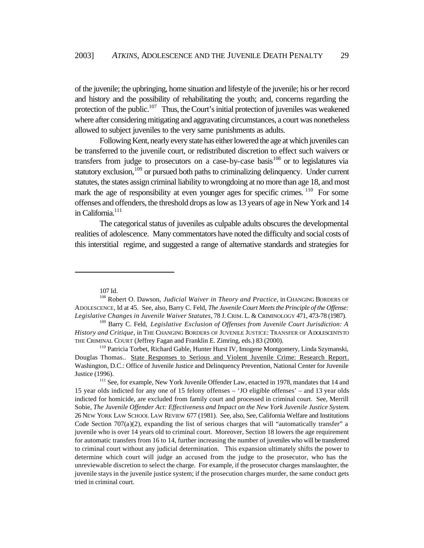of the juvenile; the upbringing, home situation and lifestyle of the juvenile; his or her record and history and the possibility of rehabilitating the youth; and, concerns regarding the protection of the public.<sup>107</sup> Thus, the Court's initial protection of juveniles was weakened where after considering mitigating and aggravating circumstances, a court was nonetheless allowed to subject juveniles to the very same punishments as adults.

Following Kent, nearly every state has either lowered the age at which juveniles can be transferred to the juvenile court, or redistributed discretion to effect such waivers or transfers from judge to prosecutors on a case-by-case basis $108$  or to legislatures via statutory exclusion,<sup>109</sup> or pursued both paths to criminalizing delinquency. Under current statutes, the states assign criminal liability to wrongdoing at no more than age 18, and most mark the age of responsibility at even younger ages for specific crimes. <sup>110</sup> For some offenses and offenders, the threshold drops as low as 13 years of age in New York and 14 in California.<sup>111</sup>

The categorical status of juveniles as culpable adults obscures the developmental realities of adolescence. Many commentators have noted the difficulty and social costs of this interstitial regime, and suggested a range of alternative standards and strategies for

<sup>107</sup> Id.

<sup>&</sup>lt;sup>108</sup> Robert O. Dawson, *Judicial Waiver in Theory and Practice*, in CHANGING BORDERS OF ADOLESCENCE, Id at 45. See, also, Barry C. Feld, *The Juvenile Court Meets the Principle of the Offense: Legislative Changes in Juvenile Waiver Statutes*, 78 J. CRIM. L. & CRIMINOLOGY 471, 473-78 (1987).

<sup>&</sup>lt;sup>109</sup> Barry C. Feld, *Legislative Exclusion of Offenses from Juvenile Court Jurisdiction: A History and Critique*, in THE CHANGING BORDERS OF JUVENILE JUSTICE: TRANSFER OF ADOLESCENTS TO THE CRIMINAL COURT (Jeffrey Fagan and Franklin E. Zimring, eds.) 83 (2000).

<sup>&</sup>lt;sup>110</sup> Patricia Torbet, Richard Gable, Hunter Hurst IV, Imogene Montgomery, Linda Szymanski, Douglas Thomas.. State Responses to Serious and Violent Juvenile Crime: Research Report. Washington, D.C.: Office of Juvenile Justice and Delinquency Prevention, National Center for Juvenile Justice (1996).

<sup>&</sup>lt;sup>111</sup> See, for example, New York Juvenile Offender Law, enacted in 1978, mandates that 14 and 15 year olds indicted for any one of 15 felony offenses – 'JO eligible offenses' – and 13 year olds indicted for homicide, are excluded from family court and processed in criminal court. See, Merrill Sobie, *The Juvenile Offender Act: Effectiveness and Impact on the New York Juvenile Justice System*. 26 NEW YORK LAW SCHOOL LAW REVIEW 677 (1981). See, also, See, California Welfare and Institutions Code Section  $707(a)(2)$ , expanding the list of serious charges that will "automatically transfer" a juvenile who is over 14 years old to criminal court. Moreover, Section 18 lowers the age requirement for automatic transfers from 16 to 14, further increasing the number of juveniles who will be transferred to criminal court without any judicial determination. This expansion ultimately shifts the power to determine which court will judge an accused from the judge to the prosecutor, who has the unreviewable discretion to select the charge. For example, if the prosecutor charges manslaughter, the juvenile stays in the juvenile justice system; if the prosecution charges murder, the same conduct gets tried in criminal court.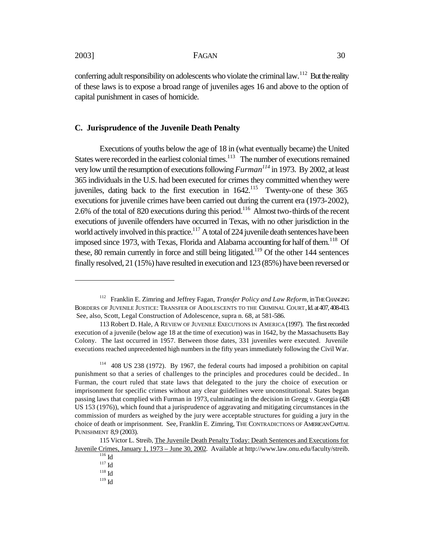$\overline{a}$ 

conferring adult responsibility on adolescents who violate the criminal law.<sup>112</sup> But the reality of these laws is to expose a broad range of juveniles ages 16 and above to the option of capital punishment in cases of homicide.

#### **C. Jurisprudence of the Juvenile Death Penalty**

Executions of youths below the age of 18 in (what eventually became) the United States were recorded in the earliest colonial times.<sup>113</sup> The number of executions remained very low until the resumption of executions following *Furman<sup>114</sup>* in 1973. By 2002, at least 365 individuals in the U.S. had been executed for crimes they committed when they were juveniles, dating back to the first execution in  $1642$ .<sup>115</sup> Twenty-one of these 365 executions for juvenile crimes have been carried out during the current era (1973-2002), 2.6% of the total of 820 executions during this period.<sup>116</sup> Almost two-thirds of the recent executions of juvenile offenders have occurred in Texas, with no other jurisdiction in the world actively involved in this practice.<sup>117</sup> A total of 224 juvenile death sentences have been imposed since 1973, with Texas, Florida and Alabama accounting for half of them.<sup>118</sup> Of these, 80 remain currently in force and still being litigated.<sup>119</sup> Of the other 144 sentences finally resolved, 21 (15%) have resulted in execution and 123 (85%) have been reversed or

<sup>&</sup>lt;sup>112</sup> Franklin E. Zimring and Jeffrey Fagan, *Transfer Policy and Law Reform*, in THE CHANGING BORDERS OF JUVENILE JUSTICE: TRANSFER OF ADOLESCENTS TO THE CRIMINAL COURT, Id. at 407, 408-413. See, also, Scott, Legal Construction of Adolescence, supra n. 68, at 581-586.

<sup>113</sup> Robert D. Hale, A REVIEW OF JUVENILE EXECUTIONS IN AMERICA (1997). The first recorded execution of a juvenile (below age 18 at the time of execution) was in 1642, by the Massachusetts Bay Colony. The last occurred in 1957. Between those dates, 331 juveniles were executed. Juvenile executions reached unprecedented high numbers in the fifty years immediately following the Civil War.

<sup>114</sup> 408 US 238 (1972). By 1967, the federal courts had imposed a prohibition on capital punishment so that a series of challenges to the principles and procedures could be decided.. In Furman, the court ruled that state laws that delegated to the jury the choice of execution or imprisonment for specific crimes without any clear guidelines were unconstitutional. States began passing laws that complied with Furman in 1973, culminating in the decision in Gregg v. Georgia (428 US 153 (1976)), which found that a jurisprudence of aggravating and mitigating circumstances in the commission of murders as weighed by the jury were acceptable structures for guiding a jury in the choice of death or imprisonment. See, Franklin E. Zimring, THE CONTRADICTIONS OF AMERICAN CAPITAL PUNISHMENT 8,9 (2003).

<sup>115</sup> Victor L. Streib, The Juvenile Death Penalty Today: Death Sentences and Executions for Juvenile Crimes, January 1, 1973 – June 30, 2002. Available at http://www.law.onu.edu/faculty/streib.

 $\overline{^{116}}$  Id

 $^{117}\mbox{Id}$ 

 $^{118}$  Id

 $119$  Id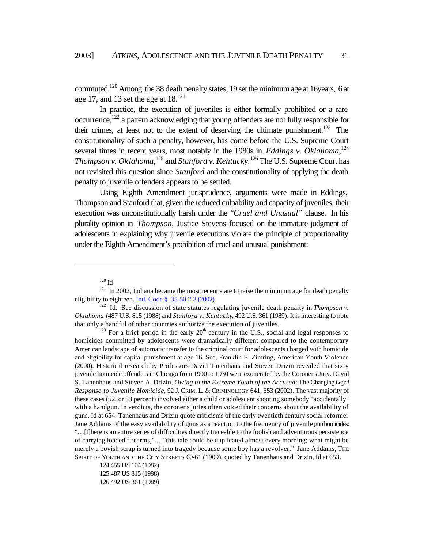commuted.<sup>120</sup> Among the 38 death penalty states, 19 set the minimum age at 16years, 6 at age 17, and 13 set the age at  $18^{121}$ 

In practice, the execution of juveniles is either formally prohibited or a rare occurrence, $122$  a pattern acknowledging that young offenders are not fully responsible for their crimes, at least not to the extent of deserving the ultimate punishment.<sup>123</sup> The constitutionality of such a penalty, however, has come before the U.S. Supreme Court several times in recent years, most notably in the 1980s in *Eddings v. Oklahoma*,<sup>124</sup> *Thompson v. Oklahoma*,<sup>125</sup> and *Stanford v. Kentucky*.<sup>126</sup> The U.S. Supreme Court has not revisited this question since *Stanford* and the constitutionality of applying the death penalty to juvenile offenders appears to be settled.

Using Eighth Amendment jurisprudence, arguments were made in Eddings, Thompson and Stanford that, given the reduced culpability and capacity of juveniles, their execution was unconstitutionally harsh under the "*Cruel and Unusual"* clause. In his plurality opinion in *Thompson*, Justice Stevens focused on the immature judgment of adolescents in explaining why juvenile executions violate the principle of proportionality under the Eighth Amendment's prohibition of cruel and unusual punishment:

 $\overline{a}$ 

 $123$  For a brief period in the early  $20<sup>th</sup>$  century in the U.S., social and legal responses to homicides committed by adolescents were dramatically different compared to the contemporary American landscape of automatic transfer to the criminal court for adolescents charged with homicide and eligibility for capital punishment at age 16. See, Franklin E. Zimring, American Youth Violence (2000). Historical research by Professors David Tanenhaus and Steven Drizin revealed that sixty juvenile homicide offenders in Chicago from 1900 to 1930 were exonerated by the Coroner's Jury. David S. Tanenhaus and Steven A. Drizin, *Owing to the Extreme Youth of the Accused*: The Changing *Legal Response to Juvenile Homicide*, 92 J. CRIM. L. & CRIMINOLOGY 641, 653 (2002). The vast majority of these cases (52, or 83 percent) involved either a child or adolescent shooting somebody "accidentally" with a handgun. In verdicts, the coroner's juries often voiced their concerns about the availability of guns. Id at 654. Tanenhaus and Drizin quote criticisms of the early twentieth century social reformer Jane Addams of the easy availability of guns as a reaction to the frequency of juvenile gun homicides: "…[t]here is an entire series of difficulties directly traceable to the foolish and adventurous persistence of carrying loaded firearms," …"this tale could be duplicated almost every morning; what might be merely a boyish scrap is turned into tragedy because some boy has a revolver." Jane Addams, THE SPIRIT OF YOUTH AND THE CITY STREETS 60-61 (1909), quoted by Tanenhaus and Drizin, Id at 653.

124 455 US 104 (1982) 125 487 US 815 (1988) 126 492 US 361 (1989)

 $120$  Id

 $121$  In 2002, Indiana became the most recent state to raise the minimum age for death penalty eligibility to eighteen. Ind. Code  $\frac{8}{9}$  35-50-2-3 (2002).

<sup>&</sup>lt;sup>122</sup> Id. See discussion of state statutes regulating juvenile death penalty in *Thompson v*. *Oklahoma* (487 U.S. 815 (1988) and *Stanford v. Kentucky*, 492 U.S. 361 (1989). It is interesting to note that only a handful of other countries authorize the execution of juveniles.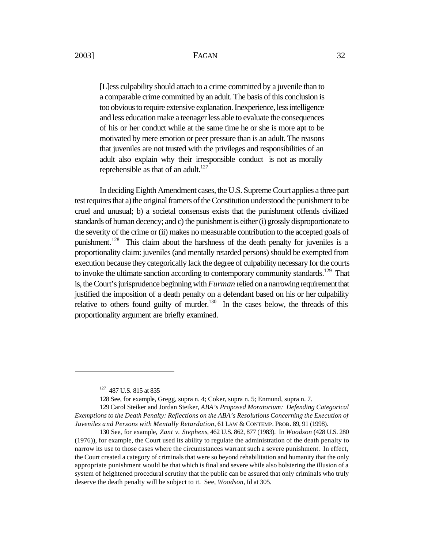[L]ess culpability should attach to a crime committed by a juvenile than to a comparable crime committed by an adult. The basis of this conclusion is too obvious to require extensive explanation. Inexperience, less intelligence and less education make a teenager less able to evaluate the consequences of his or her conduct while at the same time he or she is more apt to be motivated by mere emotion or peer pressure than is an adult. The reasons that juveniles are not trusted with the privileges and responsibilities of an adult also explain why their irresponsible conduct is not as morally reprehensible as that of an adult. $127$ 

In deciding Eighth Amendment cases, the U.S. Supreme Court applies a three part test requires that a) the original framers of the Constitution understood the punishment to be cruel and unusual; b) a societal consensus exists that the punishment offends civilized standards of human decency; and c) the punishment is either (i) grossly disproportionate to the severity of the crime or (ii) makes no measurable contribution to the accepted goals of punishment.<sup>128</sup> This claim about the harshness of the death penalty for juveniles is a proportionality claim: juveniles (and mentally retarded persons) should be exempted from execution because they categorically lack the degree of culpability necessary for the courts to invoke the ultimate sanction according to contemporary community standards.<sup>129</sup> That is, the Court's jurisprudence beginning with *Furman* relied on a narrowing requirement that justified the imposition of a death penalty on a defendant based on his or her culpability relative to others found guilty of murder.<sup>130</sup> In the cases below, the threads of this proportionality argument are briefly examined.

 $\overline{a}$ 

128 See, for example, Gregg, supra n. 4; Coker, supra n. 5; Enmund, supra n. 7.

<sup>&</sup>lt;sup>127</sup> 487 U.S. 815 at 835

<sup>129</sup> Carol Steiker and Jordan Steiker, *ABA's Proposed Moratorium: Defending Categorical Exemptions to the Death Penalty: Reflections on the ABA's Resolutions Concerning the Execution of Juveniles and Persons with Mentally Retardation*, 61 LAW & CONTEMP. PROB. 89, 91 (1998).

<sup>130</sup> See, for example, *Zant v. Stephens*, 462 U.S. 862, 877 (1983). In *Woodson* (428 U.S. 280 (1976)), for example, the Court used its ability to regulate the administration of the death penalty to narrow its use to those cases where the circumstances warrant such a severe punishment. In effect, the Court created a category of criminals that were so beyond rehabilitation and humanity that the only appropriate punishment would be that which is final and severe while also bolstering the illusion of a system of heightened procedural scrutiny that the public can be assured that only criminals who truly deserve the death penalty will be subject to it. See, *Woodson*, Id at 305.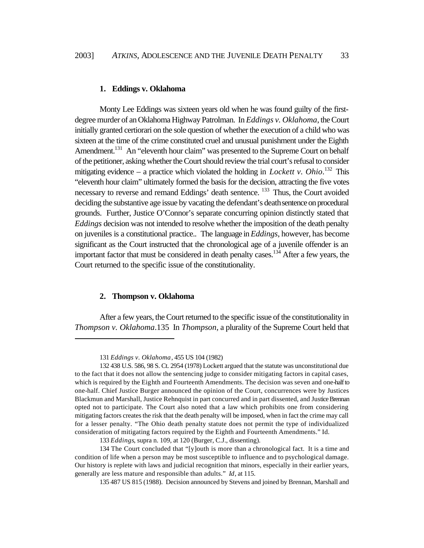#### **1. Eddings v. Oklahoma**

Monty Lee Eddings was sixteen years old when he was found guilty of the firstdegree murder of an Oklahoma Highway Patrolman. In *Eddings v. Oklahoma*, the Court initially granted certiorari on the sole question of whether the execution of a child who was sixteen at the time of the crime constituted cruel and unusual punishment under the Eighth Amendment.<sup>131</sup> An "eleventh hour claim" was presented to the Supreme Court on behalf of the petitioner, asking whether the Court should review the trial court's refusal to consider mitigating evidence  $-$  a practice which violated the holding in *Lockett v. Ohio*.<sup>132</sup> This "eleventh hour claim" ultimately formed the basis for the decision, attracting the five votes necessary to reverse and remand Eddings' death sentence. <sup>133</sup> Thus, the Court avoided deciding the substantive age issue by vacating the defendant's death sentence on procedural grounds. Further, Justice O'Connor's separate concurring opinion distinctly stated that *Eddings* decision was not intended to resolve whether the imposition of the death penalty on juveniles is a constitutional practice.. The language in *Eddings*, however, has become significant as the Court instructed that the chronological age of a juvenile offender is an important factor that must be considered in death penalty cases.<sup>134</sup> After a few years, the Court returned to the specific issue of the constitutionality.

#### **2. Thompson v. Oklahoma**

 $\overline{a}$ 

After a few years, the Court returned to the specific issue of the constitutionality in *Thompson v. Oklahoma*.135 In *Thompson*, a plurality of the Supreme Court held that

<sup>131</sup> *Eddings v. Oklahoma*, 455 US 104 (1982)

<sup>132</sup> 438 U.S. 586, 98 S. Ct. 2954 (1978) Lockett argued that the statute was unconstitutional due to the fact that it does not allow the sentencing judge to consider mitigating factors in capital cases, which is required by the Eighth and Fourteenth Amendments. The decision was seven and one-half to one-half. Chief Justice Burger announced the opinion of the Court, concurrences were by Justices Blackmun and Marshall, Justice Rehnquist in part concurred and in part dissented, and Justice Brennan opted not to participate. The Court also noted that a law which prohibits one from considering mitigating factors creates the risk that the death penalty will be imposed, when in fact the crime may call for a lesser penalty. "The Ohio death penalty statute does not permit the type of individualized consideration of mitigating factors required by the Eighth and Fourteenth Amendments." Id.

<sup>133</sup> *Eddings*, supra n. 109, at 120 (Burger, C.J., dissenting).

<sup>134</sup> The Court concluded that "[y]outh is more than a chronological fact. It is a time and condition of life when a person may be most susceptible to influence and to psychological damage. Our history is replete with laws and judicial recognition that minors, especially in their earlier years, generally are less mature and responsible than adults." *Id*, at 115.

<sup>135 487</sup> US 815 (1988). Decision announced by Stevens and joined by Brennan, Marshall and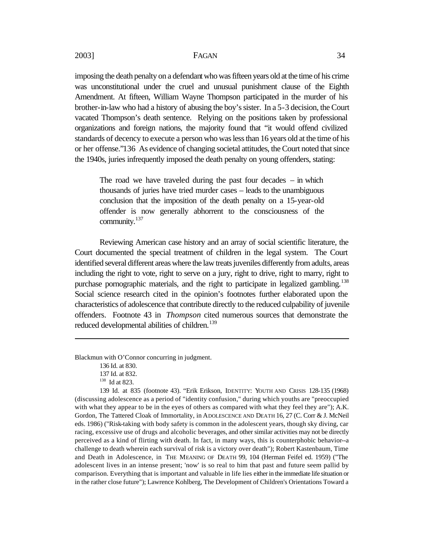imposing the death penalty on a defendant who was fifteen years old at the time of his crime was unconstitutional under the cruel and unusual punishment clause of the Eighth Amendment. At fifteen, William Wayne Thompson participated in the murder of his brother-in-law who had a history of abusing the boy's sister. In a 5-3 decision, the Court vacated Thompson's death sentence. Relying on the positions taken by professional organizations and foreign nations, the majority found that "it would offend civilized standards of decency to execute a person who was less than 16 years old at the time of his or her offense."136 As evidence of changing societal attitudes, the Court noted that since the 1940s, juries infrequently imposed the death penalty on young offenders, stating:

The road we have traveled during the past four decades  $-$  in which thousands of juries have tried murder cases – leads to the unambiguous conclusion that the imposition of the death penalty on a 15-year-old offender is now generally abhorrent to the consciousness of the community.<sup>137</sup>

Reviewing American case history and an array of social scientific literature, the Court documented the special treatment of children in the legal system. The Court identified several different areas where the law treats juveniles differently from adults, areas including the right to vote, right to serve on a jury, right to drive, right to marry, right to purchase pornographic materials, and the right to participate in legalized gambling.<sup>138</sup> Social science research cited in the opinion's footnotes further elaborated upon the characteristics of adolescence that contribute directly to the reduced culpability of juvenile offenders. Footnote 43 in *Thompson* cited numerous sources that demonstrate the reduced developmental abilities of children.<sup>139</sup>

Blackmun with O'Connor concurring in judgment.

 $\overline{a}$ 

139 Id. at 835 (footnote 43). "Erik Erikson, IDENTITY: YOUTH AND CRISIS 128-135 (1968) (discussing adolescence as a period of "identity confusion," during which youths are "preoccupied with what they appear to be in the eyes of others as compared with what they feel they are"); A.K. Gordon, The Tattered Cloak of Immortality, in ADOLESCENCE AND DEATH 16, 27 (C. Corr & J. McNeil eds. 1986) ("Risk-taking with body safety is common in the adolescent years, though sky diving, car racing, excessive use of drugs and alcoholic beverages, and other similar activities may not be directly perceived as a kind of flirting with death. In fact, in many ways, this is counterphobic behavior--a challenge to death wherein each survival of risk is a victory over death"); Robert Kastenbaum, Time and Death in Adolescence, in THE MEANING OF DEATH 99, 104 (Herman Feifel ed. 1959) ("The adolescent lives in an intense present; 'now' is so real to him that past and future seem pallid by comparison. Everything that is important and valuable in life lies either in the immediate life situation or in the rather close future"); Lawrence Kohlberg, The Development of Children's Orientations Toward a

<sup>136</sup> Id. at 830.

<sup>137</sup> Id. at 832.

<sup>138</sup> Id at 823.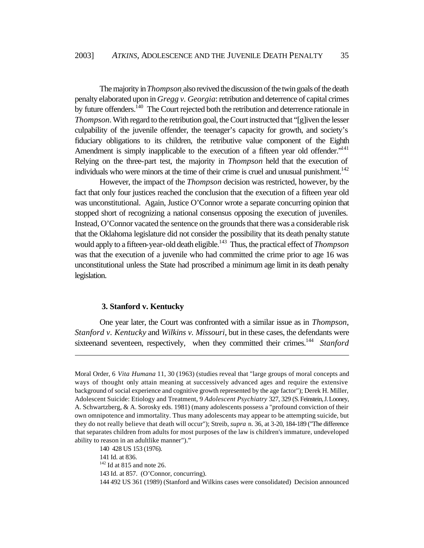The majority in *Thompson* also revived the discussion of the twin goals of the death penalty elaborated upon in *Gregg v. Georgia*: retribution and deterrence of capital crimes by future offenders.<sup>140</sup> The Court rejected both the retribution and deterrence rationale in *Thompson*. With regard to the retribution goal, the Court instructed that "[g]iven the lesser culpability of the juvenile offender, the teenager's capacity for growth, and society's fiduciary obligations to its children, the retributive value component of the Eighth Amendment is simply inapplicable to the execution of a fifteen year old offender."<sup>141</sup> Relying on the three-part test, the majority in *Thompson* held that the execution of individuals who were minors at the time of their crime is cruel and unusual punishment.<sup>142</sup>

However, the impact of the *Thompson* decision was restricted, however, by the fact that only four justices reached the conclusion that the execution of a fifteen year old was unconstitutional. Again, Justice O'Connor wrote a separate concurring opinion that stopped short of recognizing a national consensus opposing the execution of juveniles. Instead, O'Connor vacated the sentence on the grounds that there was a considerable risk that the Oklahoma legislature did not consider the possibility that its death penalty statute would apply to a fifteen-year-old death eligible.<sup>143</sup> Thus, the practical effect of *Thompson* was that the execution of a juvenile who had committed the crime prior to age 16 was unconstitutional unless the State had proscribed a minimum age limit in its death penalty legislation.

#### **3. Stanford v. Kentucky**

One year later, the Court was confronted with a similar issue as in *Thompson*, *Stanford v. Kentucky* and *Wilkins v. Missouri*, but in these cases, the defendants were sixteenand seventeen, respectively, when they committed their crimes.<sup>144</sup> Stanford

Moral Order, 6 *Vita Humana* 11, 30 (1963) (studies reveal that "large groups of moral concepts and ways of thought only attain meaning at successively advanced ages and require the extensive background of social experience and cognitive growth represented by the age factor"); Derek H. Miller, Adolescent Suicide: Etiology and Treatment, 9 *Adolescent Psychiatry* 327, 329 (S. Feinstein, J. Looney, A. Schwartzberg, & A. Sorosky eds. 1981) (many adolescents possess a "profound conviction of their own omnipotence and immortality. Thus many adolescents may appear to be attempting suicide, but they do not really believe that death will occur"); Streib, *supra* n. 36, at 3-20, 184-189 ("The difference that separates children from adults for most purposes of the law is children's immature, undeveloped ability to reason in an adultlike manner")."

<sup>140 428</sup> US 153 (1976).

<sup>141</sup> Id. at 836.

 $142$  Id at 815 and note 26.

<sup>143</sup> Id. at 857. (O'Connor, concurring).

<sup>144 492</sup> US 361 (1989) (Stanford and Wilkins cases were consolidated) Decision announced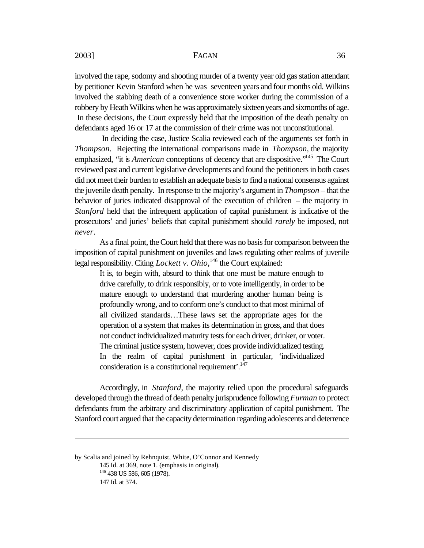involved the rape, sodomy and shooting murder of a twenty year old gas station attendant by petitioner Kevin Stanford when he was seventeen years and four months old. Wilkins involved the stabbing death of a convenience store worker during the commission of a robbery by Heath Wilkins when he was approximately sixteenyears and sixmonths of age. In these decisions, the Court expressly held that the imposition of the death penalty on defendants aged 16 or 17 at the commission of their crime was not unconstitutional.

 In deciding the case, Justice Scalia reviewed each of the arguments set forth in *Thompson*. Rejecting the international comparisons made in *Thompson*, the majority emphasized, "it is *American* conceptions of decency that are dispositive."<sup>145</sup> The Court reviewed past and current legislative developments and found the petitioners in both cases did not meet their burden to establish an adequate basis to find a national consensus against the juvenile death penalty. In response to the majority's argument in *Thompson* – that the behavior of juries indicated disapproval of the execution of children – the majority in *Stanford* held that the infrequent application of capital punishment is indicative of the prosecutors' and juries' beliefs that capital punishment should *rarely* be imposed, not *never*.

As a final point, the Court held that there was no basis for comparison between the imposition of capital punishment on juveniles and laws regulating other realms of juvenile legal responsibility. Citing *Lockett v. Ohio*,<sup>146</sup> the Court explained:

It is, to begin with, absurd to think that one must be mature enough to drive carefully, to drink responsibly, or to vote intelligently, in order to be mature enough to understand that murdering another human being is profoundly wrong, and to conform one's conduct to that most minimal of all civilized standards…These laws set the appropriate ages for the operation of a system that makes its determination in gross, and that does not conduct individualized maturity tests for each driver, drinker, or voter. The criminal justice system, however, does provide individualized testing. In the realm of capital punishment in particular, 'individualized consideration is a constitutional requirement'.<sup>147</sup>

Accordingly, in *Stanford*, the majority relied upon the procedural safeguards developed through the thread of death penalty jurisprudence following *Furman* to protect defendants from the arbitrary and discriminatory application of capital punishment. The Stanford court argued that the capacity determination regarding adolescents and deterrence

by Scalia and joined by Rehnquist, White, O'Connor and Kennedy 145 Id. at 369, note 1. (emphasis in original). <sup>146</sup> 438 US 586, 605 (1978). 147 Id. at 374.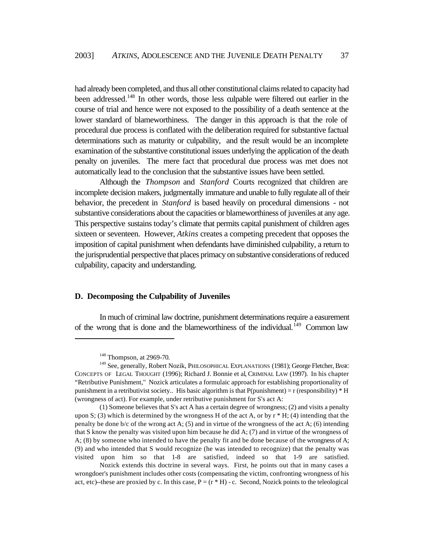had already been completed, and thus all other constitutional claims related to capacity had been addressed.<sup>148</sup> In other words, those less culpable were filtered out earlier in the course of trial and hence were not exposed to the possibility of a death sentence at the lower standard of blameworthiness. The danger in this approach is that the role of procedural due process is conflated with the deliberation required for substantive factual determinations such as maturity or culpability, and the result would be an incomplete examination of the substantive constitutional issues underlying the application of the death penalty on juveniles. The mere fact that procedural due process was met does not automatically lead to the conclusion that the substantive issues have been settled.

Although the *Thompson* and *Stanford* Courts recognized that children are incomplete decision makers, judgmentally immature and unable to fully regulate all of their behavior, the precedent in *Stanford* is based heavily on procedural dimensions - not substantive considerations about the capacities or blameworthiness of juveniles at any age. This perspective sustains today's climate that permits capital punishment of children ages sixteen or seventeen. However, *Atkins* creates a competing precedent that opposes the imposition of capital punishment when defendants have diminished culpability, a return to the jurisprudential perspective that places primacy on substantive considerations of reduced culpability, capacity and understanding.

#### **D. Decomposing the Culpability of Juveniles**

In much of criminal law doctrine, punishment determinations require a easurement of the wrong that is done and the blameworthiness of the individual.<sup>149</sup> Common law

<sup>&</sup>lt;sup>148</sup> Thompson, at 2969-70.

<sup>&</sup>lt;sup>149</sup> See, generally, Robert Nozik, PHILOSOPHICAL EXPLANATIONS (1981); George Fletcher, BASIC CONCEPTS OF LEGAL THOUGHT (1996); Richard J. Bonnie et al, CRIMINAL LAW (1997). In his chapter "Retributive Punishment," Nozick articulates a formulaic approach for establishing proportionality of punishment in a retributivist society.. His basic algorithm is that  $P(punishment) = r$  (responsibility) \* H (wrongness of act). For example, under retributive punishment for S's act A:

<sup>(1)</sup> Someone believes that S's act A has a certain degree of wrongness; (2) and visits a penalty upon S; (3) which is determined by the wrongness H of the act A, or by  $r * H$ ; (4) intending that the penalty be done  $b/c$  of the wrong act A; (5) and in virtue of the wrongness of the act A; (6) intending that S know the penalty was visited upon him because he did A; (7) and in virtue of the wrongness of A; (8) by someone who intended to have the penalty fit and be done because of the wrongness of A; (9) and who intended that S would recognize (he was intended to recognize) that the penalty was visited upon him so that 1-8 are satisfied, indeed so that 1-9 are satisfied.

Nozick extends this doctrine in several ways. First, he points out that in many cases a wrongdoer's punishment includes other costs (compensating the victim, confronting wrongness of his act, etc)--these are proxied by c. In this case,  $P = (r * H) - c$ . Second, Nozick points to the teleological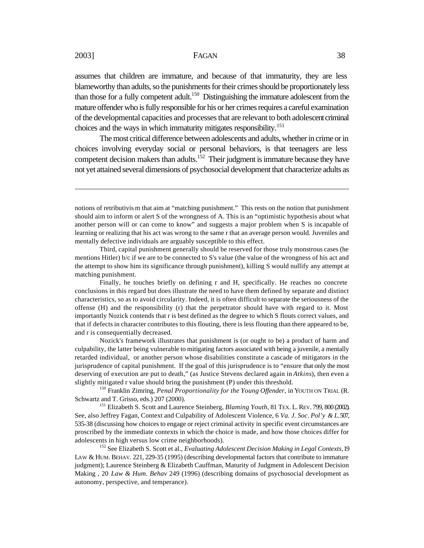assumes that children are immature, and because of that immaturity, they are less blameworthy than adults, so the punishments for their crimes should be proportionately less than those for a fully competent adult.<sup>150</sup> Distinguishing the immature adolescent from the mature offender who is fully responsible for his or her crimes requires a careful examination of the developmental capacities and processes that are relevant to both adolescent criminal choices and the ways in which immaturity mitigates responsibility.<sup>151</sup>

The most critical difference between adolescents and adults, whether in crime or in choices involving everyday social or personal behaviors, is that teenagers are less competent decision makers than adults.<sup>152</sup> Their judgment is immature because they have not yet attained several dimensions of psychosocial development that characterize adults as

Third, capital punishment generally should be reserved for those truly monstrous cases (he mentions Hitler) b/c if we are to be connected to S's value (the value of the wrongness of his act and the attempt to show him its significance through punishment), killing S would nullify any attempt at matching punishment.

Finally, he touches briefly on defining r and H, specifically. He reaches no concrete conclusions in this regard but does illustrate the need to have them defined by separate and distinct characteristics, so as to avoid circularity. Indeed, it is often difficult to separate the seriousness of the offense (H) and the responsibility (r) that the perpetrator should have with regard to it. Most importantly Nozick contends that r is best defined as the degree to which S flouts correct values, and that if defects in character contributes to this flouting, there is less flouting than there appeared to be, and r is consequentially decreased.

Nozick's framework illustrates that punishment is (or ought to be) a product of harm and culpability, the latter being vulnerable to mitigating factors associated with being a juvenile, a mentally retarded individual, or another person whose disabilities constitute a cascade of mitigators in the jurisprudence of capital punishment. If the goal of this jurisprudence is to "ensure that only the most deserving of execution are put to death," (as Justice Stevens declared again in *Atkins*), then even a slightly mitigated r value should bring the punishment (P) under this threshold.

<sup>150</sup> Franklin Zimring, *Penal Proportionality for the Young Offender*, in YOUTH ON TRIAL (R. Schwartz and T. Grisso, eds.) 207 (2000).

<sup>151</sup> Elizabeth S. Scott and Laurence Steinberg, *Blaming Youth*, 81 TEX. L. REV. 799, 800 (2002). See, also Jeffrey Fagan, Context and Culpability of Adolescent Violence, 6 *Va. J. Soc. Pol'y & L*. 507, 535-38 (discussing how choices to engage or reject criminal activity in specific event circumstances are proscribed by the immediate contexts in which the choice is made, and how those choices differ for adolescents in high versus low crime neighborhoods).

<sup>152</sup> See Elizabeth S. Scott et al., *Evaluating Adolescent Decision Making in Legal Contexts*, 19 LAW & HUM. BEHAV. 221, 229-35 (1995) (describing developmental factors that contribute to immature judgment); Laurence Steinberg & Elizabeth Cauffman, Maturity of Judgment in Adolescent Decision Making , 20 *Law & Hum. Behav* 249 (1996) (describing domains of psychosocial development as autonomy, perspective, and temperance).

notions of retributivis m that aim at "matching punishment." This rests on the notion that punishment should aim to inform or alert S of the wrongness of A. This is an "optimistic hypothesis about what another person will or can come to know" and suggests a major problem when S is incapable of learning or realizing that his act was wrong to the same r that an average person would. Juveniles and mentally defective individuals are arguably susceptible to this effect.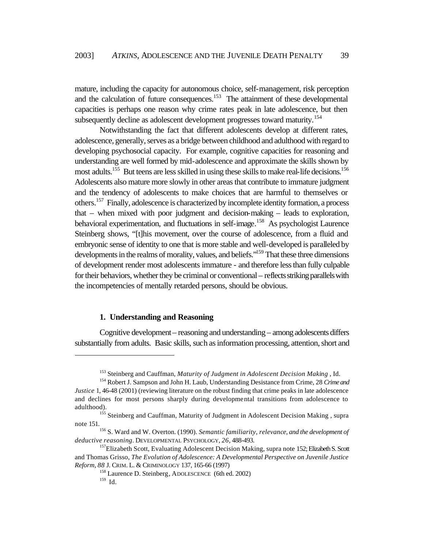mature, including the capacity for autonomous choice, self-management, risk perception and the calculation of future consequences.<sup>153</sup> The attainment of these developmental capacities is perhaps one reason why crime rates peak in late adolescence, but then subsequently decline as adolescent development progresses toward maturity.<sup>154</sup>

Notwithstanding the fact that different adolescents develop at different rates, adolescence, generally, serves as a bridge between childhood and adulthood with regard to developing psychosocial capacity. For example, cognitive capacities for reasoning and understanding are well formed by mid-adolescence and approximate the skills shown by most adults.<sup>155</sup> But teens are less skilled in using these skills to make real-life decisions.<sup>156</sup> Adolescents also mature more slowly in other areas that contribute to immature judgment and the tendency of adolescents to make choices that are harmful to themselves or others.<sup>157</sup> Finally, adolescence is characterized by incomplete identity formation, a process that – when mixed with poor judgment and decision-making – leads to exploration, behavioral experimentation, and fluctuations in self-image.<sup>158</sup> As psychologist Laurence Steinberg shows, "[t]his movement, over the course of adolescence, from a fluid and embryonic sense of identity to one that is more stable and well-developed is paralleled by developments in the realms of morality, values, and beliefs."<sup>159</sup> That these three dimensions of development render most adolescents immature - and therefore less than fully culpable for their behaviors, whether they be criminal or conventional – reflects striking parallels with the incompetencies of mentally retarded persons, should be obvious.

#### **1. Understanding and Reasoning**

Cognitive development – reasoning and understanding – among adolescents differs substantially from adults. Basic skills, such as information processing, attention, short and

<sup>153</sup> Steinberg and Cauffman*, Maturity of Judgment in Adolescent Decision Making* , Id.

<sup>154</sup> Robert J. Sampson and John H. Laub, Understanding Desistance from Crime, 28 *Crime and Justice* 1, 46-48 (2001) (reviewing literature on the robust finding that crime peaks in late adolescence and declines for most persons sharply during developmental transitions from adolescence to adulthood).

<sup>&</sup>lt;sup>155</sup> Steinberg and Cauffman, Maturity of Judgment in Adolescent Decision Making, supra note 151.

<sup>156</sup> S. Ward and W. Overton. (1990). *Semantic familiarity, relevance, and the development of deductive reasoning*. DEVELOPMENTAL PSYCHOLOGY, *26*, 488-493.

<sup>&</sup>lt;sup>157</sup>Elizabeth Scott, Evaluating Adolescent Decision Making, supra note 152; Elizabeth S. Scott and Thomas Grisso, *The Evolution of Adolescence: A Developmental Perspective on Juvenile Justice Reform*, *88* J. CRIM. L. & CRIMINOLOGY 137, 165-66 (1997)

 $158$  Laurence D. Steinberg, ADOLESCENCE (6th ed. 2002)

<sup>159</sup> Id.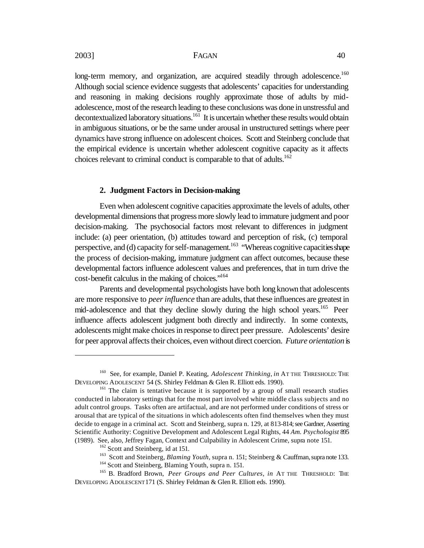$\overline{a}$ 

#### 2003] FAGAN 40

long-term memory, and organization, are acquired steadily through adolescence.<sup>160</sup> Although social science evidence suggests that adolescents' capacities for understanding and reasoning in making decisions roughly approximate those of adults by midadolescence, most of the research leading to these conclusions was done in unstressful and decontextualized laboratory situations.<sup>161</sup> It is uncertain whether these results would obtain in ambiguous situations, or be the same under arousal in unstructured settings where peer dynamics have strong influence on adolescent choices. Scott and Steinberg conclude that the empirical evidence is uncertain whether adolescent cognitive capacity as it affects choices relevant to criminal conduct is comparable to that of adults.<sup>162</sup>

#### **2. Judgment Factors in Decision-making**

Even when adolescent cognitive capacities approximate the levels of adults, other developmental dimensions that progress more slowly lead to immature judgment and poor decision-making. The psychosocial factors most relevant to differences in judgment include: (a) peer orientation, (b) attitudes toward and perception of risk, (c) temporal perspective, and (d) capacity for self-management.<sup>163</sup> "Whereas cognitive capacities shape the process of decision-making, immature judgment can affect outcomes, because these developmental factors influence adolescent values and preferences, that in turn drive the cost-benefit calculus in the making of choices."<sup>164</sup>

Parents and developmental psychologists have both long known that adolescents are more responsive to *peer influence* than are adults, that these influences are greatest in mid-adolescence and that they decline slowly during the high school years.<sup>165</sup> Peer influence affects adolescent judgment both directly and indirectly. In some contexts, adolescents might make choices in response to direct peer pressure. Adolescents' desire for peer approval affects their choices, even without direct coercion. *Future orientation* is

<sup>&</sup>lt;sup>160</sup> See, for example, Daniel P. Keating, *Adolescent Thinking*, *in* AT THE THRESHOLD: THE DEVELOPING ADOLESCENT 54 (S. Shirley Feldman & Glen R. Elliott eds. 1990).

<sup>&</sup>lt;sup>161</sup> The claim is tentative because it is supported by a group of small research studies conducted in laboratory settings that for the most part involved white middle class subjects and no adult control groups. Tasks often are artifactual, and are not performed under conditions of stress or arousal that are typical of the situations in which adolescents often find themselves when they must decide to engage in a criminal act. Scott and Steinberg, supra n. 129, at 813-814; see Gardner, Asserting Scientific Authority: Cognitive Development and Adolescent Legal Rights, 44 *Am. Psychologist* 895 (1989). See, also, Jeffrey Fagan, Context and Culpability in Adolescent Crime, supra note 151.

 $162$  Scott and Steinberg, id at 151.

<sup>163</sup> Scott and Steinberg, *Blaming Youth*, supra n. 151; Steinberg & Cauffman, supra note 133. <sup>164</sup> Scott and Steinberg, Blaming Youth, supra n. 151.

<sup>165</sup> B. Bradford Brown, *Peer Groups and Peer Cultures*, *in* AT THE THRESHOLD: THE DEVELOPING ADOLESCENT 171 (S. Shirley Feldman & Glen R. Elliott eds. 1990).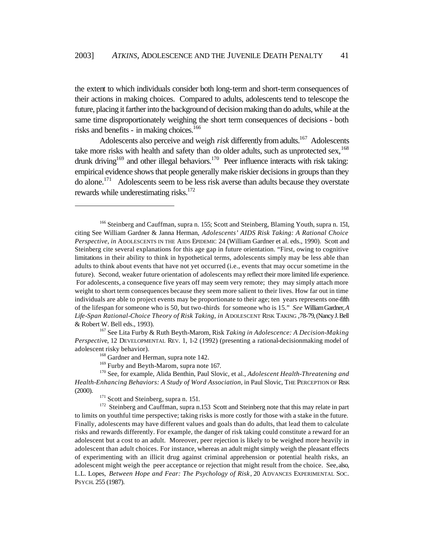the extent to which individuals consider both long-term and short-term consequences of their actions in making choices. Compared to adults, adolescents tend to telescope the future, placing it farther into the background of decision making than do adults, while at the same time disproportionately weighing the short term consequences of decisions - both risks and benefits - in making choices.<sup>166</sup>

Adolescents also perceive and weigh *risk* differently from adults.<sup>167</sup> Adolescents take more risks with health and safety than do older adults, such as unprotected sex,  $^{168}$ drunk driving<sup>169</sup> and other illegal behaviors.<sup>170</sup> Peer influence interacts with risk taking: empirical evidence shows that people generally make riskier decisions in groups than they do alone.<sup>171</sup> Adolescents seem to be less risk averse than adults because they overstate rewards while underestimating risks. $172$ 

<sup>&</sup>lt;sup>166</sup> Steinberg and Cauffman, supra n. 155; Scott and Steinberg, Blaming Youth, supra n. 151, citing See William Gardner & Janna Herman, *Adolescents' AIDS Risk Taking: A Rational Choice Perspective, in* ADOLESCENTS IN THE AIDS EPIDEMIC 24 (William Gardner et al. eds., 1990). Scott and Steinberg cite several explanations for this age gap in future orientation. "First, owing to cognitive limitations in their ability to think in hypothetical terms, adolescents simply may be less able than adults to think about events that have not yet occurred (i.e., events that may occur sometime in the future). Second, weaker future orientation of adolescents may reflect their more limited life experience. For adolescents, a consequence five years off may seem very remote; they may simply attach more weight to short term consequences because they seem more salient to their lives. How far out in time individuals are able to project events may be proportionate to their age; ten years represents one-fifth of the lifespan for someone who is 50, but two-thirds for someone who is 15." *See* William Gardner, *A Life-Span Rational-Choice Theory of Risk Taking, in* ADOLESCENT RISK TAKING ,78-79, (Nancy J. Bell & Robert W. Bell eds., 1993).

<sup>167</sup> See Lita Furby & Ruth Beyth-Marom, Risk *Taking in Adolescence: A Decision-Making Perspective*, 12 DEVELOPMENTAL REV. 1, 1-2 (1992) (presenting a rational-decisionmaking model of adolescent risky behavior).

<sup>&</sup>lt;sup>168</sup> Gardner and Herman, supra note 142.

<sup>&</sup>lt;sup>169</sup> Furby and Beyth-Marom, supra note 167.

<sup>170</sup> See, for example, Alida Benthin, Paul Slovic, et al., *Adolescent Health-Threatening and Health-Enhancing Behaviors: A Study of Word Association*, in Paul Slovic, THE PERCEPTION OF RISK (2000).

<sup>&</sup>lt;sup>171</sup> Scott and Steinberg, supra n. 151.

<sup>&</sup>lt;sup>172</sup> Steinberg and Cauffman, supra n.153 Scott and Steinberg note that this may relate in part to limits on youthful time perspective; taking risks is more costly for those with a stake in the future. Finally, adolescents may have different values and goals than do adults, that lead them to calculate risks and rewards differently. For example, the danger of risk taking could constitute a reward for an adolescent but a cost to an adult. Moreover, peer rejection is likely to be weighed more heavily in adolescent than adult choices. For instance, whereas an adult might simply weigh the pleasant effects of experimenting with an illicit drug against criminal apprehension or potential health risks, an adolescent might weigh the peer acceptance or rejection that might result from the choice. See, also, L.L. Lopes, *Between Hope and Fear: The Psychology of Risk*, 20 ADVANCES EXPERIMENTAL SOC. PSYCH. 255 (1987).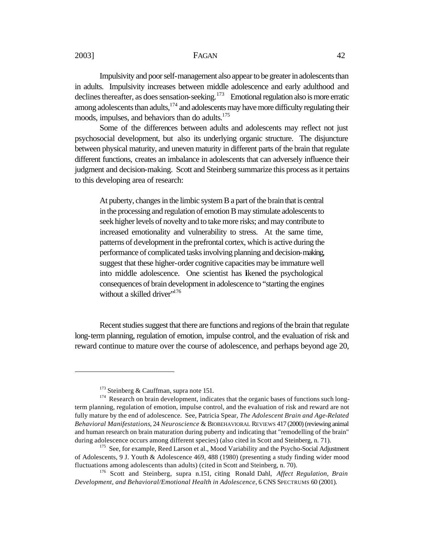Impulsivity and poor self-management also appear to be greater in adolescents than in adults. Impulsivity increases between middle adolescence and early adulthood and declines thereafter, as does sensation-seeking.<sup>173</sup> Emotional regulation also is more erratic among adolescents than adults, $174$  and adolescents may have more difficulty regulating their moods, impulses, and behaviors than do adults.<sup>175</sup>

Some of the differences between adults and adolescents may reflect not just psychosocial development, but also its underlying organic structure. The disjuncture between physical maturity, and uneven maturity in different parts of the brain that regulate different functions, creates an imbalance in adolescents that can adversely influence their judgment and decision-making. Scott and Steinberg summarize this process as it pertains to this developing area of research:

At puberty, changes in the limbic system B a part of the brain that is central in the processing and regulation of emotion B may stimulate adolescents to seek higher levels of novelty and to take more risks; and may contribute to increased emotionality and vulnerability to stress. At the same time, patterns of development in the prefrontal cortex, which is active during the performance of complicated tasks involving planning and decision-making, suggest that these higher-order cognitive capacities may be immature well into middle adolescence. One scientist has likened the psychological consequences of brain development in adolescence to "starting the engines without a skilled driver"<sup>176</sup>

Recent studies suggest that there are functions and regions of the brain that regulate long-term planning, regulation of emotion, impulse control, and the evaluation of risk and reward continue to mature over the course of adolescence, and perhaps beyond age 20,

 $173$  Steinberg & Cauffman, supra note 151.

<sup>174</sup> Research on brain development, indicates that the organic bases of functions such longterm planning, regulation of emotion, impulse control, and the evaluation of risk and reward are not fully mature by the end of adolescence. See, Patricia Spear, *The Adolescent Brain and Age-Related Behavioral Manifestations*, 24 *Neuroscience* & BIOBEHAVIORAL REVIEWS 417 (2000) (reviewing animal and human research on brain maturation during puberty and indicating that "remodelling of the brain" during adolescence occurs among different species) (also cited in Scott and Steinberg, n. 71).

<sup>&</sup>lt;sup>175</sup> See, for example, Reed Larson et al., Mood Variability and the Psycho-Social Adjustment of Adolescents, 9 J. Youth & Adolescence 469, 488 (1980) (presenting a study finding wider mood fluctuations among adolescents than adults) (cited in Scott and Steinberg, n. 70).

<sup>176</sup> Scott and Steinberg, supra n.151, citing Ronald Dahl, *Affect Regulation, Brain Development, and Behavioral/Emotional Health in Adolescence*, 6 CNS SPECTRUMS 60 (2001).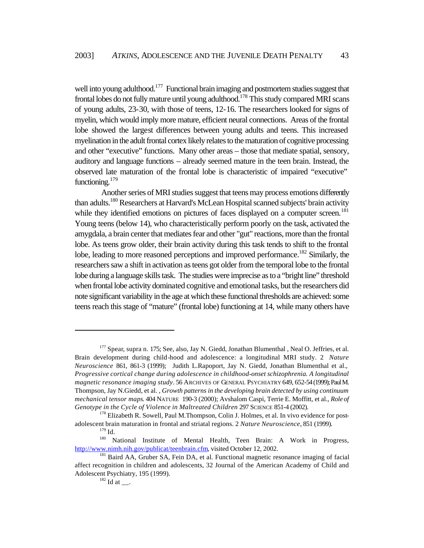well into young adulthood.<sup>177</sup> Functional brain imaging and postmortem studies suggest that frontal lobes do not fully mature until young adulthood.<sup>178</sup> This study compared MRI scans of young adults, 23-30, with those of teens, 12-16. The researchers looked for signs of myelin, which would imply more mature, efficient neural connections. Areas of the frontal lobe showed the largest differences between young adults and teens. This increased myelination in the adult frontal cortex likely relates to the maturation of cognitive processing and other "executive" functions. Many other areas – those that mediate spatial, sensory, auditory and language functions – already seemed mature in the teen brain. Instead, the observed late maturation of the frontal lobe is characteristic of impaired "executive" functioning.<sup>179</sup>

 Another series of MRI studies suggest that teens may process emotions differently than adults.<sup>180</sup> Researchers at Harvard's McLean Hospital scanned subjects' brain activity while they identified emotions on pictures of faces displayed on a computer screen.<sup>181</sup> Young teens (below 14), who characteristically perform poorly on the task, activated the amygdala, a brain center that mediates fear and other "gut" reactions, more than the frontal lobe. As teens grow older, their brain activity during this task tends to shift to the frontal lobe, leading to more reasoned perceptions and improved performance.<sup>182</sup> Similarly, the researchers saw a shift in activation as teens got older from the temporal lobe to the frontal lobe during a language skills task. The studies were imprecise as to a "bright line" threshold when frontal lobe activity dominated cognitive and emotional tasks, but the researchers did note significant variability in the age at which these functional thresholds are achieved: some teens reach this stage of "mature" (frontal lobe) functioning at 14, while many others have

<sup>&</sup>lt;sup>177</sup> Spear, supra n. 175; See, also, Jay N. Giedd, Jonathan Blumenthal, Neal O. Jeffries, et al. Brain development during child-hood and adolescence: a longitudinal MRI study. 2 *Nature Neuroscience* 861, 861-3 (1999); Judith L.Rapoport, Jay N. Giedd, Jonathan Blumenthal et al., *Progressive cortical change during adolescence in childhood-onset schizophrenia. A longitudinal magnetic resonance imaging study*. 56 ARCHIVES OF GENERAL PSYCHIATRY 649, 652-54 (1999); Paul M. Thompson, Jay N.Giedd, et al. *, Growth patterns in the developing brain detected by using continuum mechanical tensor maps*. 404 NATURE 190-3 (2000); Avshalom Caspi, Terrie E. Moffitt, et al., *Role of Genotype in the Cycle of Violence in Maltreated Children* 297 SCIENCE 851-4 (2002).

<sup>&</sup>lt;sup>178</sup> Elizabeth R. Sowell, Paul M. Thompson, Colin J. Holmes, et al. In vivo evidence for postadolescent brain maturation in frontal and striatal regions. 2 *Nature Neuroscience*, 851 (1999).

 $^{179}_{180}$  Id.

<sup>180</sup> National Institute of Mental Health, Teen Brain: A Work in Progress, http://www.nimh.nih.gov/publicat/teenbrain.cfm, visited October 12, 2002.

<sup>&</sup>lt;sup>181</sup> Baird AA, Gruber SA, Fein DA, et al. Functional magnetic resonance imaging of facial affect recognition in children and adolescents, 32 Journal of the American Academy of Child and Adolescent Psychiatry, 195 (1999).

 $182$  Id at \_\_.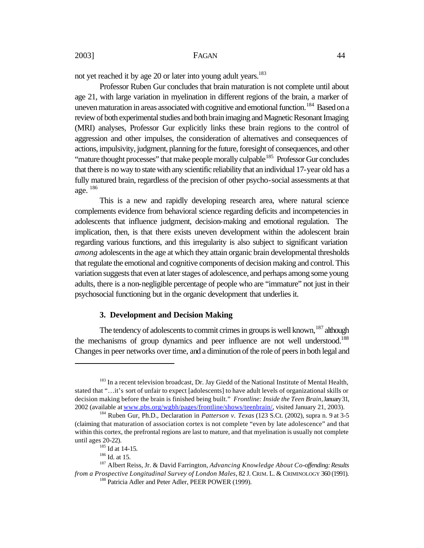not yet reached it by age 20 or later into young adult years.<sup>183</sup>

Professor Ruben Gur concludes that brain maturation is not complete until about age 21, with large variation in myelination in different regions of the brain, a marker of uneven maturation in areas associated with cognitive and emotional function.<sup>184</sup> Based on a review of both experimental studies and both brain imaging and Magnetic Resonant Imaging (MRI) analyses, Professor Gur explicitly links these brain regions to the control of aggression and other impulses, the consideration of alternatives and consequences of actions, impulsivity, judgment, planning for the future, foresight of consequences, and other "mature thought processes" that make people morally culpable<sup>185</sup> Professor Gur concludes that there is no way to state with any scientific reliability that an individual 17-year old has a fully matured brain, regardless of the precision of other psycho-social assessments at that age. <sup>186</sup>

This is a new and rapidly developing research area, where natural science complements evidence from behavioral science regarding deficits and incompetencies in adolescents that influence judgment, decision-making and emotional regulation. The implication, then, is that there exists uneven development within the adolescent brain regarding various functions, and this irregularity is also subject to significant variation *among* adolescents in the age at which they attain organic brain developmental thresholds that regulate the emotional and cognitive components of decision making and control. This variation suggests that even at later stages of adolescence, and perhaps among some young adults, there is a non-negligible percentage of people who are "immature" not just in their psychosocial functioning but in the organic development that underlies it.

#### **3. Development and Decision Making**

The tendency of adolescents to commit crimes in groups is well known,  $187$  although the mechanisms of group dynamics and peer influence are not well understood.<sup>188</sup> Changes in peer networks over time, and a diminution of the role of peers in both legal and

<sup>&</sup>lt;sup>183</sup> In a recent television broadcast, Dr. Jay Giedd of the National Institute of Mental Health, stated that "…it's sort of unfair to expect [adolescents] to have adult levels of organizational skills or decision making before the brain is finished being built." *Frontline: Inside the Teen Brain*, January 31, 2002 (available at www.pbs.org/wgbh/pages/frontline/shows/teenbrain/, visited January 21, 2003).

<sup>184</sup> Ruben Gur, Ph.D., Declaration in *Patterson v. Texas* (123 S.Ct. (2002), supra n. 9 at 3-5 (claiming that maturation of association cortex is not complete "even by late adolescence" and that within this cortex, the prefrontal regions are last to mature, and that myelination is usually not complete until ages 20-22).

<sup>&</sup>lt;sup>185</sup> Id at 14-15.

 $186$  Id. at 15.

<sup>187</sup> Albert Reiss, Jr. & David Farrington, *Advancing Knowledge About Co-offending: Results from a Prospective Longitudinal Survey of London Males*, 82 J. CRIM. L. & CRIMINOLOGY 360 (1991).

<sup>&</sup>lt;sup>188</sup> Patricia Adler and Peter Adler, PEER POWER (1999).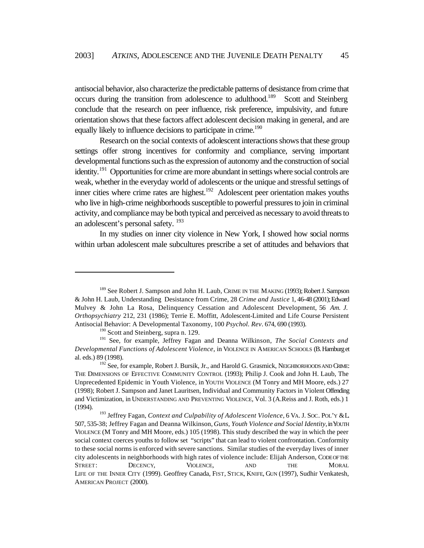antisocial behavior, also characterize the predictable patterns of desistance from crime that occurs during the transition from adolescence to adulthood.<sup>189</sup> Scott and Steinberg conclude that the research on peer influence, risk preference, impulsivity, and future orientation shows that these factors affect adolescent decision making in general, and are equally likely to influence decisions to participate in crime.<sup>190</sup>

Research on the social contexts of adolescent interactions shows that these group settings offer strong incentives for conformity and compliance, serving important developmental functions such as the expression of autonomy and the construction of social identity.<sup>191</sup> Opportunities for crime are more abundant in settings where social controls are weak, whether in the everyday world of adolescents or the unique and stressful settings of inner cities where crime rates are highest.<sup>192</sup> Adolescent peer orientation makes youths who live in high-crime neighborhoods susceptible to powerful pressures to join in criminal activity, and compliance may be both typical and perceived as necessary to avoid threats to an adolescent's personal safety. <sup>193</sup>

In my studies on inner city violence in New York, I showed how social norms within urban adolescent male subcultures prescribe a set of attitudes and behaviors that

<sup>&</sup>lt;sup>189</sup> See Robert J. Sampson and John H. Laub, CRIME IN THE MAKING (1993); Robert J. Sampson & John H. Laub, Understanding Desistance from Crime, 28 *Crime and Justice* 1, 46-48 (2001); Edward Mulvey & John La Rosa, Delinquency Cessation and Adolescent Development, 56 *Am. J. Orthopsychiatry* 212, 231 (1986); Terrie E. Moffitt, Adolescent-Limited and Life Course Persistent Antisocial Behavior: A Developmental Taxonomy, 100 *Psychol. Rev*. 674, 690 (1993).

<sup>&</sup>lt;sup>190</sup> Scott and Steinberg, supra n. 129.

<sup>191</sup> See, for example, Jeffrey Fagan and Deanna Wilkinson, *The Social Contexts and Developmental Functions of Adolescent Violence*, in VIOLENCE IN AMERICAN SCHOOLS (B. Hamburg et al. eds.) 89 (1998).

<sup>&</sup>lt;sup>192</sup> See, for example, Robert J. Bursik, Jr., and Harold G. Grasmick, NEIGHBORHOODS AND CRIME: THE DIMENSIONS OF EFFECTIVE COMMUNITY CONTROL (1993); Philip J. Cook and John H. Laub, The Unprecedented Epidemic in Youth Violence, in YOUTH VIOLENCE (M Tonry and MH Moore, eds.) 27 (1998); Robert J. Sampson and Janet Lauritsen, Individual and Community Factors in Violent Offending and Victimization, in UNDERSTANDING AND PREVENTING VIOLENCE, Vol. 3 (A.Reiss and J. Roth, eds.) 1 (1994).

<sup>193</sup> Jeffrey Fagan, *Context and Culpability of Adolescent Violence*, 6 VA. J. SOC. POL'Y & L. 507, 535-38; Jeffrey Fagan and Deanna Wilkinson, *Guns, Youth Violence and Social Identity*, in YOUTH VIOLENCE (M Tonry and MH Moore, eds.) 105 (1998). This study described the way in which the peer social context coerces youths to follow set "scripts" that can lead to violent confrontation. Conformity to these social norms is enforced with severe sanctions. Similar studies of the everyday lives of inner city adolescents in neighborhoods with high rates of violence include: Elijah Anderson, CODE OF THE STREET: DECENCY, VIOLENCE, AND THE MORAL LIFE OF THE INNER CITY (1999). Geoffrey Canada, FIST, STICK, KNIFE, GUN (1997), Sudhir Venkatesh, AMERICAN PROJECT (2000).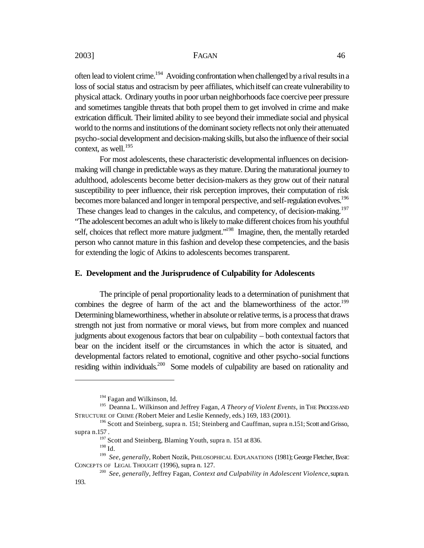often lead to violent crime.<sup>194</sup> Avoiding confrontation when challenged by a rival results in a loss of social status and ostracism by peer affiliates, which itself can create vulnerability to physical attack. Ordinary youths in poor urban neighborhoods face coercive peer pressure and sometimes tangible threats that both propel them to get involved in crime and make extrication difficult. Their limited ability to see beyond their immediate social and physical world to the norms and institutions of the dominant society reflects not only their attenuated psycho-social development and decision-making skills, but also the influence of their social context, as well. 195

For most adolescents, these characteristic developmental influences on decisionmaking will change in predictable ways as they mature. During the maturational journey to adulthood, adolescents become better decision-makers as they grow out of their natural susceptibility to peer influence, their risk perception improves, their computation of risk becomes more balanced and longer in temporal perspective, and self-regulation evolves.<sup>196</sup> These changes lead to changes in the calculus, and competency, of decision-making.<sup>197</sup> "The adolescent becomes an adult who is likely to make different choices from his youthful self, choices that reflect more mature judgment."<sup>198</sup> Imagine, then, the mentally retarded person who cannot mature in this fashion and develop these competencies, and the basis for extending the logic of Atkins to adolescents becomes transparent.

#### **E. Development and the Jurisprudence of Culpability for Adolescents**

The principle of penal proportionality leads to a determination of punishment that combines the degree of harm of the act and the blameworthiness of the actor.<sup>199</sup> Determining blameworthiness, whether in absolute or relative terms, is a process that draws strength not just from normative or moral views, but from more complex and nuanced judgments about exogenous factors that bear on culpability – both contextual factors that bear on the incident itself or the circumstances in which the actor is situated, and developmental factors related to emotional, cognitive and other psycho-social functions residing within individuals.<sup>200</sup> Some models of culpability are based on rationality and

 $\overline{a}$ 

193.

<sup>&</sup>lt;sup>194</sup> Fagan and Wilkinson, Id.

<sup>195</sup> Deanna L. Wilkinson and Jeffrey Fagan, *A Theory of Violent Events*, in THE PROCESS AND STRUCTURE OF CRIME *(*Robert Meier and Leslie Kennedy, eds.) 169, 183 (2001).

<sup>&</sup>lt;sup>196</sup> Scott and Steinberg, supra n. 151; Steinberg and Cauffman, supra n.151; Scott and Grisso, supra n.157 .

<sup>&</sup>lt;sup>197</sup> Scott and Steinberg, Blaming Youth, supra n. 151 at 836.

<sup>198</sup> Id.

<sup>199</sup> *See, generally*, Robert Nozik, PHILOSOPHICAL EXPLANATIONS (1981); George Fletcher, BASIC CONCEPTS OF LEGAL THOUGHT (1996), supra n. 127.

<sup>&</sup>lt;sup>200</sup> See, generally, Jeffrey Fagan, Context and Culpability in Adolescent Violence, supran.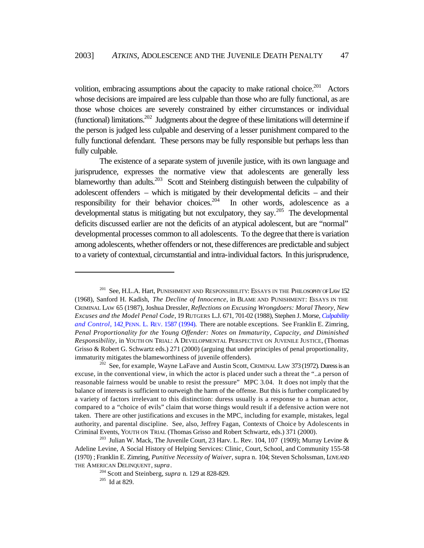volition, embracing assumptions about the capacity to make rational choice.<sup>201</sup> Actors whose decisions are impaired are less culpable than those who are fully functional, as are those whose choices are severely constrained by either circumstances or individual (functional) limitations.<sup>202</sup> Judgments about the degree of these limitations will determine if the person is judged less culpable and deserving of a lesser punishment compared to the fully functional defendant. These persons may be fully responsible but perhaps less than fully culpable.

The existence of a separate system of juvenile justice, with its own language and jurisprudence, expresses the normative view that adolescents are generally less blameworthy than adults.<sup>203</sup> Scott and Steinberg distinguish between the culpability of adolescent offenders – which is mitigated by their developmental deficits – and their responsibility for their behavior choices.<sup>204</sup> In other words, adolescence as a developmental status is mitigating but not exculpatory, they say.<sup>205</sup> The developmental deficits discussed earlier are not the deficits of an atypical adolescent, but are "normal" developmental processes common to all adolescents. To the degree that there is variation among adolescents, whether offenders or not, these differences are predictable and subject to a variety of contextual, circumstantial and intra-individual factors. In this jurisprudence,

 $201$  See, H.L.A. Hart, PUNISHMENT AND RESPONSIBILITY: ESSAYS IN THE PHILOSOPHY OF LAW 152 (1968), Sanford H. Kadish, *The Decline of Innocence*, in BLAME AND PUNISHMENT: ESSAYS IN THE CRIMINAL LAW 65 (1987), Joshua Dressler, *Reflections on Excusing Wrongdoers: Moral Theory, New Excuses and the Model Penal Code*, 19 RUTGERS L.J. 671, 701-02 (1988), Stephen J. Morse, *Culpability and Control*, 142 PENN. L. REV. 1587 (1994). There are notable exceptions. See Franklin E. Zimring, *Penal Proportionality for the Young Offender: Notes on Immaturity, Capacity, and Diminished Responsibility*, in YOUTH ON TRIAL: A DEVELOPMENTAL PERSPECTIVE ON JUVENILE JUSTICE, (Thomas Grisso & Robert G. Schwartz eds.) 271 (2000) (arguing that under principles of penal proportionality, immaturity mitigates the blameworthiness of juvenile offenders).

 $202$  See, for example, Wayne LaFave and Austin Scott, CRIMINAL LAW 373 (1972). Duress is an excuse, in the conventional view, in which the actor is placed under such a threat the "..a person of reasonable fairness would be unable to resist the pressure" MPC 3.04. It does not imply that the balance of interests is sufficient to outweigh the harm of the offense. But this is further complicated by a variety of factors irrelevant to this distinction: duress usually is a response to a human actor, compared to a "choice of evils" claim that worse things would result if a defensive action were not taken. There are other justifications and excuses in the MPC, including for example, mistakes, legal authority, and parental discipline. See, also, Jeffrey Fagan, Contexts of Choice by Adolescents in Criminal Events, YOUTH ON TRIAL (Thomas Grisso and Robert Schwartz, eds.) 371 (2000).

<sup>&</sup>lt;sup>203</sup> Julian W. Mack, The Juvenile Court, 23 Harv. L. Rev. 104, 107 (1909); Murray Levine & Adeline Levine, A Social History of Helping Services: Clinic, Court, School, and Community 155-58 (1970) ; Franklin E. Zimring, *Punitive Necessity of Waiver*, supra n. 104; Steven Scholssman, LOVE AND THE AMERICAN DELINQUENT, *supra*.

<sup>204</sup> Scott and Steinberg, *supra* n. 129 at 828-829.

 $205$  Id at 829.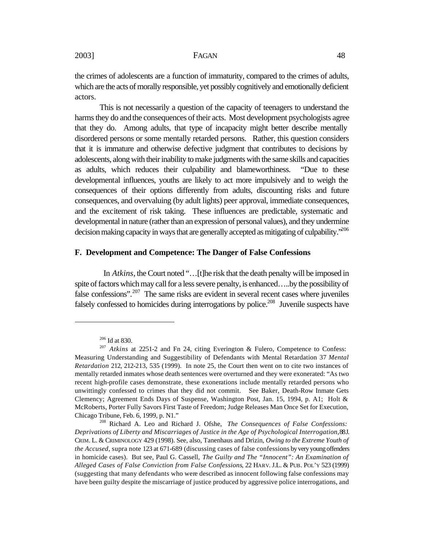the crimes of adolescents are a function of immaturity, compared to the crimes of adults, which are the acts of morally responsible, yet possibly cognitively and emotionally deficient actors.

This is not necessarily a question of the capacity of teenagers to understand the harms they do and the consequences of their acts. Most development psychologists agree that they do. Among adults, that type of incapacity might better describe mentally disordered persons or some mentally retarded persons. Rather, this question considers that it is immature and otherwise defective judgment that contributes to decisions by adolescents, along with their inability to make judgments with the same skills and capacities as adults, which reduces their culpability and blameworthiness. "Due to these developmental influences, youths are likely to act more impulsively and to weigh the consequences of their options differently from adults, discounting risks and future consequences, and overvaluing (by adult lights) peer approval, immediate consequences, and the excitement of risk taking. These influences are predictable, systematic and developmental in nature (rather than an expression of personal values), and they undermine decision making capacity in ways that are generally accepted as mitigating of culpability.<sup>5206</sup>

#### **F. Development and Competence: The Danger of False Confessions**

In *Atkins*, the Court noted "...[t]he risk that the death penalty will be imposed in spite of factors which may call for a less severe penalty, is enhanced…..by the possibility of false confessions".<sup>207</sup> The same risks are evident in several recent cases where juveniles falsely confessed to homicides during interrogations by police.<sup>208</sup> Juvenile suspects have

<sup>206</sup> Id at 830.

<sup>&</sup>lt;sup>207</sup> *Atkins* at 2251-2 and Fn 24, citing Everington & Fulero, Competence to Confess: Measuring Understanding and Suggestibility of Defendants with Mental Retardation 37 *Mental Retardation* 212, 212-213, 535 (1999). In note 25, the Court then went on to cite two instances of mentally retarded inmates whose death sentences were overturned and they were exonerated: "As two recent high-profile cases demonstrate, these exonerations include mentally retarded persons who unwittingly confessed to crimes that they did not commit. See Baker, Death-Row Inmate Gets Clemency; Agreement Ends Days of Suspense, Washington Post, Jan. 15, 1994, p. A1; Holt & McRoberts, Porter Fully Savors First Taste of Freedom; Judge Releases Man Once Set for Execution, Chicago Tribune, Feb. 6, 1999, p. N1."

<sup>208</sup> Richard A. Leo and Richard J. Ofshe, *The Consequences of False Confessions: Deprivations of Liberty and Miscarriages of Justice in the Age of Psychological Interrogation*, 88 J. CRIM. L. & CRIMINOLOGY 429 (1998). See, also, Tanenhaus and Drizin, *Owing to the Extreme Youth of the Accused*, supra note 123 at 671-689 (discussing cases of false confessions by very young offenders in homicide cases). But see, Paul G. Cassell, *The Guilty and The "Innocent": An Examination of Alleged Cases of False Conviction from False Confessions*, 22 HARV. J.L. & PUB. POL'Y 523 (1999) (suggesting that many defendants who were described as innocent following false confessions may have been guilty despite the miscarriage of justice produced by aggressive police interrogations, and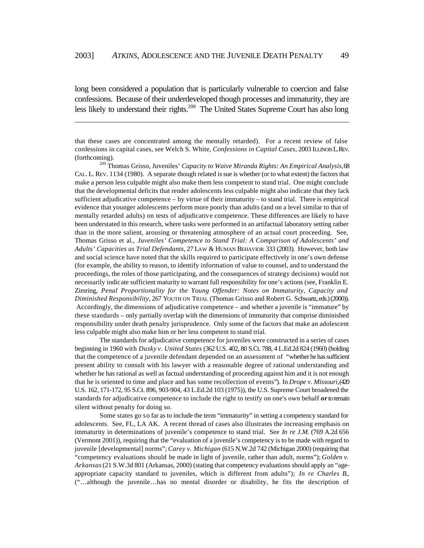long been considered a population that is particularly vulnerable to coercion and false confessions. Because of their underdeveloped though processes and immaturity, they are less likely to understand their rights.<sup>209</sup> The United States Supreme Court has also long

 $\overline{a}$ 

that these cases are concentrated among the mentally retarded). For a recent review of false confessions in capital cases, see Welch S. White, *Confessions in Capital Cases*, 2003 ILLINOIS L. REV. (forthcoming).

<sup>209</sup> Thomas Grisso, Juveniles' *Capacity to Waive Miranda Rights: An Empirical Analysis*, 68 CAL. L. REV. 1134 (1980). A separate though related issue is whether (or to what extent) the factors that make a person less culpable might also make them less competent to stand trial. One might conclude that the developmental deficits that render adolescents less culpable might also indicate that they lack sufficient adjudicative competence  $-$  by virtue of their immaturity  $-$  to stand trial. There is empirical evidence that younger adolescents perform more poorly than adults (and on a level similar to that of mentally retarded adults) on tests of adjudicative competence. These differences are likely to have been understated in this research, where tasks were performed in an artifactual laboratory setting rather than in the more salient, arousing or threatening atmosphere of an actual court proceeding. See, Thomas Grisso et al., *Juveniles' Competence to Stand Trial: A Comparison of Adolescents' and Adults' Capacities as Trial Defendants*, 27 LAW & HUMAN BEHAVIOR 333 (2003). However, both law and social science have noted that the skills required to participate effectively in one's own defense (for example, the ability to reason, to identify information of value to counsel, and to understand the proceedings, the roles of those participating, and the consequences of strategy decisions) would not necessarily indicate sufficient maturity to warrant full responsibility for one's actions (see, Franklin E. Zimring, *Penal Proportionality for the Young Offender: Notes on Immaturity, Capacity and Diminished Responsibility*, 267 YOUTH ON TRIAL (Thomas Grisso and Robert G. Schwartz, eds.) (2000)). Accordingly, the dimensions of adjudicative competence – and whether a juvenile is "immature" by these standards – only partially overlap with the dimensions of immaturity that comprise diminished responsibility under death penalty jurisprudence. Only some of the factors that make an adolescent less culpable might also make him or her less competent to stand trial.

The standards for adjudicative competence for juveniles were constructed in a series of cases beginning in 1960 with *Dusky v. United States* (362 U.S. 402, 80 S.Ct. 788, 4 L.Ed.2d 824 (1960) (holding that the competence of a juvenile defendant depended on an assessment of "whether he has sufficient present ability to consult with his lawyer with a reasonable degree of rational understanding and whether he has rational as well as factual understanding of proceeding against him and it is not enough that he is oriented to time and place and has some recollection of events"). In *Drope v. Missouri*, (420 U.S. 162, 171-172, 95 S.Ct. 896, 903-904, 43 L.Ed.2d 103 (1975)), the U.S. Supreme Court broadened the standards for adjudicative competence to include the right to testify on one's own behalf *or* to remain silent without penalty for doing so.

Some states go so far as to include the term "immaturity" in setting a competency standard for adolescents. See, FL, LA AK. A recent thread of cases also illustrates the increasing emphasis on immaturity in determinations of juvenile's competence to stand trial. See *In re J.M.* (769 A.2d 656 (Vermont 2001)), requiring that the "evaluation of a juvenile's competency is to be made with regard to juvenile [developmental] norms"; *Carey v. Michigan* (615 N.W.2d 742 (Michigan 2000) (requiring that "competency evaluations should be made in light of juvenile, rather than adult, norms"); *Golden v. Arkansas* (21 S.W.3d 801 (Arkansas, 2000) (stating that competency evaluations should apply an "ageappropriate capacity standard to juveniles, which is different from adults"); *In re Charles B*., ("…although the juvenile…has no mental disorder or disability, he fits the description of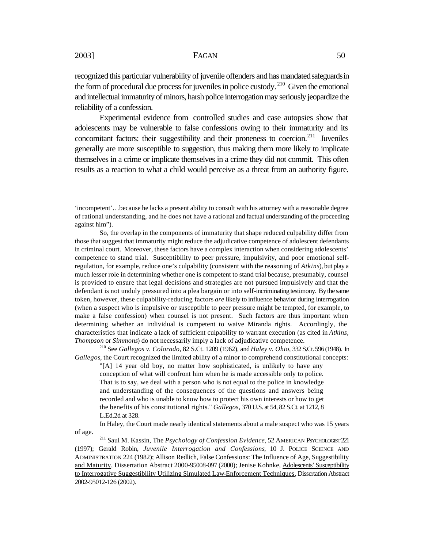recognized this particular vulnerability of juvenile offenders and has mandated safeguards in the form of procedural due process for juveniles in police custody. <sup>210</sup> Given the emotional and intellectual immaturity of minors, harsh police interrogation may seriously jeopardize the reliability of a confession.

Experimental evidence from controlled studies and case autopsies show that adolescents may be vulnerable to false confessions owing to their immaturity and its concomitant factors: their suggestibility and their proneness to coercion.<sup>211</sup> Juveniles generally are more susceptible to suggestion, thus making them more likely to implicate themselves in a crime or implicate themselves in a crime they did not commit. This often results as a reaction to what a child would perceive as a threat from an authority figure.

So, the overlap in the components of immaturity that shape reduced culpability differ from those that suggest that immaturity might reduce the adjudicative competence of adolescent defendants in criminal court. Moreover, these factors have a complex interaction when considering adolescents' competence to stand trial. Susceptibility to peer pressure, impulsivity, and poor emotional selfregulation, for example, reduce one's culpability (consistent with the reasoning of *Atkins*), but play a much lesser role in determining whether one is competent to stand trial because, presumably, counsel is provided to ensure that legal decisions and strategies are not pursued impulsively and that the defendant is not unduly pressured into a plea bargain or into self-incriminating testimony. By the same token, however, these culpability-reducing factors *are* likely to influence behavior during interrogation (when a suspect who is impulsive or susceptible to peer pressure might be tempted, for example, to make a false confession) when counsel is not present. Such factors are thus important when determining whether an individual is competent to waive Miranda rights. Accordingly, the characteristics that indicate a lack of sufficient culpability to warrant execution (as cited in *Atkins, Thompson* or *Simmons*) do not necessarily imply a lack of adjudicative competence.

<sup>210</sup> See *Gallegos v. Colorado*, 82 S.Ct. 1209 (1962), and *Haley v. Ohio*, 332 S.Ct. 596 (1948). In *Gallegos*, the Court recognized the limited ability of a minor to comprehend constitutional concepts:

"[A] 14 year old boy, no matter how sophisticated, is unlikely to have any conception of what will confront him when he is made accessible only to police. That is to say, we deal with a person who is not equal to the police in knowledge and understanding of the consequences of the questions and answers being recorded and who is unable to know how to protect his own interests or how to get the benefits of his constitutional rights." *Gallegos,* 370 U.S. at 54, 82 S.Ct. at 1212, 8 L.Ed.2d at 328.

In Haley, the Court made nearly identical statements about a male suspect who was 15 years of age.

<sup>211</sup> Saul M. Kassin, The *Psychology of Confession Evidence*, 52 AMERICAN PSYCHOLOGIST 221 (1997); Gerald Robin, *Juvenile Interrogation and Confessions*, 10 J. POLICE SCIENCE AND ADMINISTRATION 224 (1982); Allison Redlich, False Confessions: The Influence of Age, Suggestibility and Maturity, Dissertation Abstract 2000-95008-097 (2000); Jenise Kohnke, Adolescents' Susceptibility to Interrogative Suggestibility Utilizing Simulated Law-Enforcement Techniques, Dissertation Abstract 2002-95012-126 (2002).

<sup>&#</sup>x27;incompetent'…because he lacks a present ability to consult with his attorney with a reasonable degree of rational understanding, and he does not have a rational and factual understanding of the proceeding against him").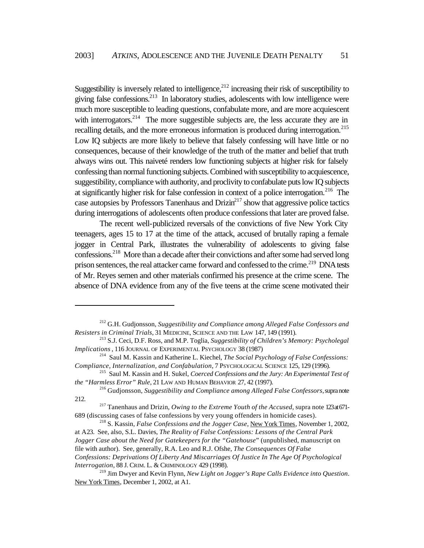Suggestibility is inversely related to intelligence,  $212$  increasing their risk of susceptibility to giving false confessions.<sup>213</sup> In laboratory studies, adolescents with low intelligence were much more susceptible to leading questions, confabulate more, and are more acquiescent with interrogators.<sup>214</sup> The more suggestible subjects are, the less accurate they are in recalling details, and the more erroneous information is produced during interrogation.<sup>215</sup> Low IQ subjects are more likely to believe that falsely confessing will have little or no consequences, because of their knowledge of the truth of the matter and belief that truth always wins out. This naiveté renders low functioning subjects at higher risk for falsely confessing than normal functioning subjects. Combined with susceptibility to acquiescence, suggestibility, compliance with authority, and proclivity to confabulate puts low IQ subjects at significantly higher risk for false confession in context of a police interrogation.<sup>216</sup> The case autopsies by Professors Tanenhaus and Drizin<sup>217</sup> show that aggressive police tactics during interrogations of adolescents often produce confessions that later are proved false.

The recent well-publicized reversals of the convictions of five New York City teenagers, ages 15 to 17 at the time of the attack, accused of brutally raping a female jogger in Central Park, illustrates the vulnerability of adolescents to giving false confessions.<sup>218</sup> More than a decade after their convictions and after some had served long prison sentences, the real attacker came forward and confessed to the crime.<sup>219</sup> DNA tests of Mr. Reyes semen and other materials confirmed his presence at the crime scene. The absence of DNA evidence from any of the five teens at the crime scene motivated their

<sup>212</sup> G.H. Gudjonsson*, Suggestibility and Compliance among Alleged False Confessors and Resisters in Criminal Trials*, 31 MEDICINE, SCIENCE AND THE LAW 147, 149 (1991).

<sup>213</sup> S.J. Ceci, D.F. Ross, and M.P. Toglia, *Suggestibility of Children's Memory: Psycholegal Implications* , 116 JOURNAL OF EXPERIMENTAL PSYCHOLOGY 38 (1987)

<sup>214</sup> Saul M. Kassin and Katherine L. Kiechel, *The Social Psychology of False Confessions: Compliance, Internalization, and Confabulation*, 7 PSYCHOLOGICAL SCIENCE 125, 129 (1996).

<sup>215</sup> Saul M. Kassin and H. Sukel, *Coerced Confessions and the Jury: An Experimental Test of the "Harmless Error" Rule*, 21 LAW AND HUMAN BEHAVIOR 27, 42 (1997).

<sup>216</sup> Gudjonsson, *Suggestibility and Compliance among Alleged False Confessors*, supra note 212.

<sup>&</sup>lt;sup>217</sup> Tanenhaus and Drizin, *Owing to the Extreme Youth of the Accused*, supra note 123 at 671-689 (discussing cases of false confessions by very young offenders in homicide cases).

<sup>218</sup> S. Kassin, *False Confessions and the Jogger Case*, New York Times, November 1, 2002, at A23. See, also, S.L. Davies, *The Reality of False Confessions: Lessons of the Central Park Jogger Case about the Need for Gatekeepers for the "Gatehouse*" (unpublished, manuscript on file with author). See, generally, R.A. Leo and R.J. Ofshe, *The Consequences Of False Confessions: Deprivations Of Liberty And Miscarriages Of Justice In The Age Of Psychological Interrogation*, 88 J. CRIM. L. & CRIMINOLOGY 429 (1998).

<sup>219</sup> Jim Dwyer and Kevin Flynn, *New Light on Jogger's Rape Calls Evidence into Question*. New York Times, December 1, 2002, at A1.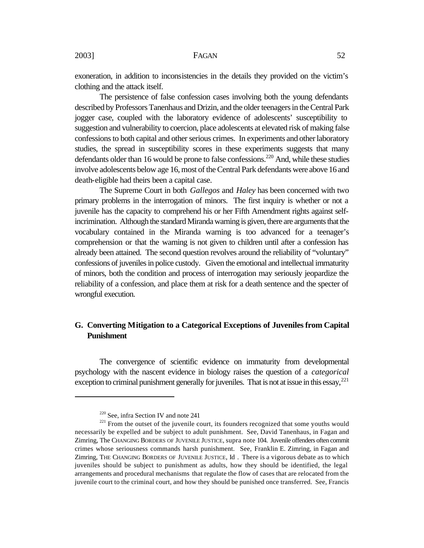exoneration, in addition to inconsistencies in the details they provided on the victim's clothing and the attack itself.

The persistence of false confession cases involving both the young defendants described by Professors Tanenhaus and Drizin, and the older teenagers in the Central Park jogger case, coupled with the laboratory evidence of adolescents' susceptibility to suggestion and vulnerability to coercion, place adolescents at elevated risk of making false confessions to both capital and other serious crimes. In experiments and other laboratory studies, the spread in susceptibility scores in these experiments suggests that many defendants older than 16 would be prone to false confessions.<sup>220</sup> And, while these studies involve adolescents below age 16, most of the Central Park defendants were above 16 and death-eligible had theirs been a capital case.

The Supreme Court in both *Gallegos* and *Haley* has been concerned with two primary problems in the interrogation of minors. The first inquiry is whether or not a juvenile has the capacity to comprehend his or her Fifth Amendment rights against selfincrimination. Although the standard Miranda warning is given, there are arguments that the vocabulary contained in the Miranda warning is too advanced for a teenager's comprehension or that the warning is not given to children until after a confession has already been attained. The second question revolves around the reliability of "voluntary" confessions of juveniles in police custody. Given the emotional and intellectual immaturity of minors, both the condition and process of interrogation may seriously jeopardize the reliability of a confession, and place them at risk for a death sentence and the specter of wrongful execution.

#### **G. Converting Mitigation to a Categorical Exceptions of Juveniles from Capital Punishment**

The convergence of scientific evidence on immaturity from developmental psychology with the nascent evidence in biology raises the question of a *categorical* exception to criminal punishment generally for juveniles. That is not at issue in this essay,  $2^{21}$ 

<sup>220</sup> See, infra Section IV and note 241

<sup>&</sup>lt;sup>221</sup> From the outset of the juvenile court, its founders recognized that some youths would necessarily be expelled and be subject to adult punishment. See, David Tanenhaus, in Fagan and Zimring, The CHANGING BORDERS OF JUVENILE JUSTICE, supra note 104. Juvenile offenders often commit crimes whose seriousness commands harsh punishment. See, Franklin E. Zimring, in Fagan and Zimring, THE CHANGING BORDERS OF JUVENILE JUSTICE, Id . There is a vigorous debate as to which juveniles should be subject to punishment as adults, how they should be identified, the legal arrangements and procedural mechanisms that regulate the flow of cases that are relocated from the juvenile court to the criminal court, and how they should be punished once transferred. See, Francis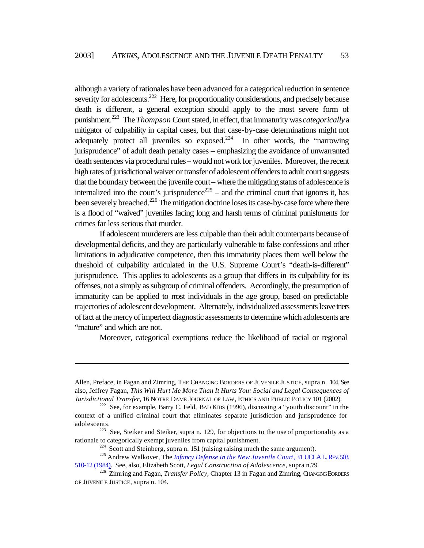although a variety of rationales have been advanced for a categorical reduction in sentence severity for adolescents.<sup>222</sup> Here, for proportionality considerations, and precisely because death is different, a general exception should apply to the most severe form of punishment.<sup>223</sup> The *Thompson* Court stated, in effect, that immaturity was *categorically* a mitigator of culpability in capital cases, but that case-by-case determinations might not adequately protect all juveniles so exposed.<sup>224</sup> In other words, the "narrowing" jurisprudence" of adult death penalty cases – emphasizing the avoidance of unwarranted death sentences via procedural rules – would not work for juveniles. Moreover, the recent high rates of jurisdictional waiver or transfer of adolescent offenders to adult court suggests that the boundary between the juvenile court – where the mitigating status of adolescence is internalized into the court's jurisprudence<sup>225</sup> – and the criminal court that ignores it, has been severely breached.<sup>226</sup> The mitigation doctrine loses its case-by-case force where there is a flood of "waived" juveniles facing long and harsh terms of criminal punishments for crimes far less serious that murder.

If adolescent murderers are less culpable than their adult counterparts because of developmental deficits, and they are particularly vulnerable to false confessions and other limitations in adjudicative competence, then this immaturity places them well below the threshold of culpability articulated in the U.S. Supreme Court's "death-is-different" jurisprudence. This applies to adolescents as a group that differs in its culpability for its offenses, not a simply as subgroup of criminal offenders. Accordingly, the presumption of immaturity can be applied to most individuals in the age group, based on predictable trajectories of adolescent development. Alternately, individualized assessments leave triers of fact at the mercy of imperfect diagnostic assessments to determine which adolescents are "mature" and which are not.

Moreover, categorical exemptions reduce the likelihood of racial or regional

Allen, Preface, in Fagan and Zimring, THE CHANGING BORDERS OF JUVENILE JUSTICE, supra n. 104. See also, Jeffrey Fagan, *This Will Hurt Me More Than It Hurts You: Social and Legal Consequences of Jurisdictional Transfer*, 16 NOTRE DAME JOURNAL OF LAW, ETHICS AND PUBLIC POLICY 101 (2002).

 $222$  See, for example, Barry C. Feld, BAD KIDS (1996), discussing a "youth discount" in the context of a unified criminal court that eliminates separate jurisdiction and jurisprudence for adolescents.

 $223$  See, Steiker and Steiker, supra n. 129, for objections to the use of proportionality as a rationale to categorically exempt juveniles from capital punishment.

 $224$  Scott and Steinberg, supra n. 151 (raising raising much the same argument).

<sup>&</sup>lt;sup>225</sup> Andrew Walkover, The *Infancy Defense in the New Juvenile Court*, 31 UCLA L. REV. 503, 510-12 (1984). See, also, Elizabeth Scott, *Legal Construction of Adolescence*, supra n.79.

<sup>226</sup> Zimring and Fagan, *Transfer Policy*, Chapter 13 in Fagan and Zimring, CHANGING BORDERS OF JUVENILE JUSTICE, supra n. 104.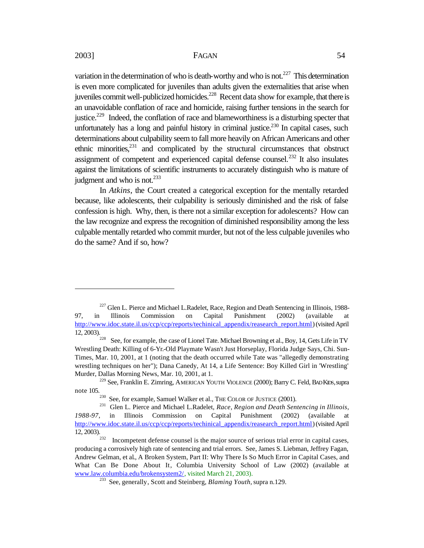variation in the determination of who is death-worthy and who is not.<sup>227</sup> This determination is even more complicated for juveniles than adults given the externalities that arise when juveniles commit well-publicized homicides.<sup>228</sup> Recent data show for example, that there is an unavoidable conflation of race and homicide, raising further tensions in the search for justice.<sup>229</sup> Indeed, the conflation of race and blameworthiness is a disturbing specter that unfortunately has a long and painful history in criminal justice.<sup>230</sup> In capital cases, such determinations about culpability seem to fall more heavily on African Americans and other ethnic minorities, $231$  and complicated by the structural circumstances that obstruct assignment of competent and experienced capital defense counsel.<sup>232</sup> It also insulates against the limitations of scientific instruments to accurately distinguish who is mature of judgment and who is not. $^{233}$ 

In *Atkins*, the Court created a categorical exception for the mentally retarded because, like adolescents, their culpability is seriously diminished and the risk of false confession is high. Why, then, is there not a similar exception for adolescents? How can the law recognize and express the recognition of diminished responsibility among the less culpable mentally retarded who commit murder, but not of the less culpable juveniles who do the same? And if so, how?

<sup>&</sup>lt;sup>227</sup> Glen L. Pierce and Michael L.Radelet, Race, Region and Death Sentencing in Illinois, 1988-97, in Illinois Commission on Capital Punishment (2002) (available http://www.idoc.state.il.us/ccp/ccp/reports/techinical\_appendix/reasearch\_report.html) (visited April  $\frac{\ln(\mu_0)}{12, 2003}$ .

See, for example, the case of Lionel Tate. Michael Browning et al., Boy, 14, Gets Life in TV Wrestling Death: Killing of 6-Yr.-Old Playmate Wasn't Just Horseplay, Florida Judge Says, Chi. Sun-Times, Mar. 10, 2001, at 1 (noting that the death occurred while Tate was "allegedly demonstrating wrestling techniques on her"); Dana Canedy, At 14, a Life Sentence: Boy Killed Girl in 'Wrestling' Murder, Dallas Morning News, Mar. 10, 2001, at 1.

<sup>&</sup>lt;sup>229</sup> See, Franklin E. Zimring, AMERICAN YOUTH VIOLENCE (2000); Barry C. Feld, BAD KIDS, supra note 105.

<sup>&</sup>lt;sup>230</sup> See, for example, Samuel Walker et al., THE COLOR OF JUSTICE (2001).<br><sup>231</sup> Glen J. Pierce and Michael J. Radelet, *Race, Region and Death Seni* 

<sup>231</sup> Glen L. Pierce and Michael L.Radelet, *Race, Region and Death Sentencing in Illinois*, *1988-97*, in Illinois Commission on Capital Punishment (2002) (available at http://www.idoc.state.il.us/ccp/ccp/reports/techinical\_appendix/reasearch\_report.html) (visited April 12, 2003).  $\frac{12,2003}{232}$ 

Incompetent defense counsel is the major source of serious trial error in capital cases, producing a corrosively high rate of sentencing and trial errors. See, James S. Liebman, Jeffrey Fagan, Andrew Gelman, et al., A Broken System, Part II: Why There Is So Much Error in Capital Cases, and What Can Be Done About It, Columbia University School of Law (2002) (available at www.law.columbia.edu/brokensystem2/, visited March 21, 2003).

<sup>233</sup> See, generally, Scott and Steinberg, *Blaming Youth,* supra n.129.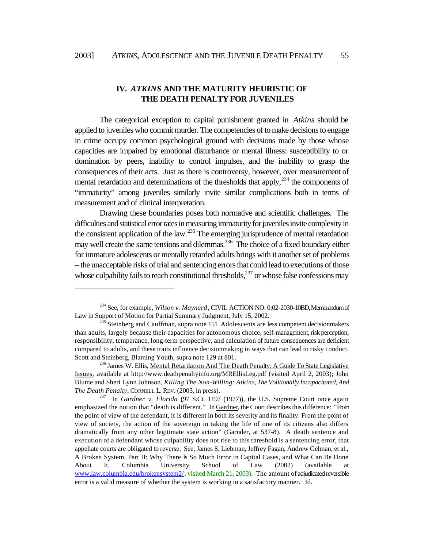$\overline{a}$ 

#### **IV.** *ATKINS* **AND THE MATURITY HEURISTIC OF THE DEATH PENALTY FOR JUVENILES**

The categorical exception to capital punishment granted in *Atkins* should be applied to juveniles who commit murder. The competencies of to make decisions to engage in crime occupy common psychological ground with decisions made by those whose capacities are impaired by emotional disturbance or mental illness: susceptibility to or domination by peers, inability to control impulses, and the inability to grasp the consequences of their acts. Just as there is controversy, however, over measurement of mental retardation and determinations of the thresholds that apply,  $^{234}$  the components of "immaturity" among juveniles similarly invite similar complications both in terms of measurement and of clinical interpretation.

Drawing these boundaries poses both normative and scientific challenges. The difficulties and statistical error rates in measuring immaturity for juveniles invite complexity in the consistent application of the law.<sup>235</sup> The emerging jurisprudence of mental retardation may well create the same tensions and dilemmas.<sup>236</sup> The choice of a fixed boundary either for immature adolescents or mentally retarded adults brings with it another set of problems – the unacceptable risks of trial and sentencing errors that could lead to executions of those whose culpability fails to reach constitutional thresholds, $237$  or whose false confessions may

<sup>234</sup> See, for example, *Wilson v. Maynard*, CIVIL ACTION NO. 0:02-2030-10BD, Memorandum of Law in Support of Motion for Partial Summary Judgment, July 15, 2002.

 $235$  Steinberg and Cauffman, supra note 151 Adolescents are less competent decisionmakers than adults, largely because their capacities for autonomous choice, self-management, risk perception, responsibility, temperance, long-term perspective, and calculation of future consequences are deficient compared to adults, and these traits influence decisionmaking in ways that can lead to risky conduct. Scott and Steinberg, Blaming Youth, supra note 129 at 801.

<sup>&</sup>lt;sup>236</sup> James W. Ellis, Mental Retardation And The Death Penalty: A Guide To State Legislative Issues, available at http://www.deathpenaltyinfo.org/MREllisLeg.pdf (visited April 2, 2003); John Blume and Sheri Lynn Johnson, *Killing The Non-Willing: Atkins, The Volitionally Incapacitated, And The Death Penalty*, CORNELL L. REV. (2003, in press).

<sup>237</sup> In *Gardner v. Florida* (97 S.Ct. 1197 (1977)), the U.S. Supreme Court once again emphasized the notion that "death is different." In Gardner, the Court describes this difference: "From the point of view of the defendant, it is different in both its severity and its finality. From the point of view of society, the action of the sovereign in taking the life of one of its citizens also differs dramatically from any other legitimate state action" (Garnder, at 537-8). A death sentence and execution of a defendant whose culpability does not rise to this threshold is a sentencing error, that appellate courts are obligated to reverse. See, James S. Liebman, Jeffrey Fagan, Andrew Gelman, et al., A Broken System, Part II: Why There Is So Much Error in Capital Cases, and What Can Be Done About It, Columbia University School of Law (2002) (available at www.law.columbia.edu/brokensystem2/, visited March 21, 2003). The amount of adjudicated reversible error is a valid measure of whether the system is working in a satisfactory manner. Id.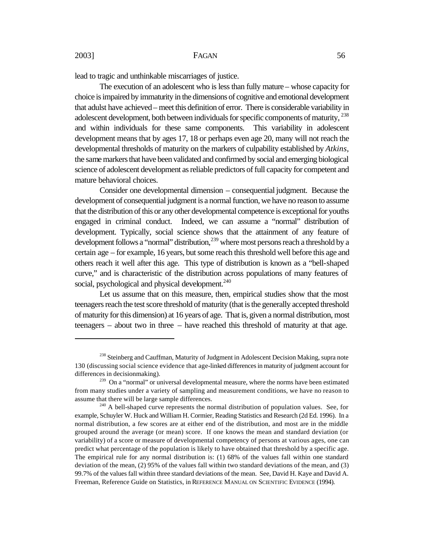lead to tragic and unthinkable miscarriages of justice.

The execution of an adolescent who is less than fully mature – whose capacity for choice is impaired by immaturity in the dimensions of cognitive and emotional development that adulst have achieved – meet this definition of error. There is considerable variability in adolescent development, both between individuals for specific components of maturity, <sup>238</sup> and within individuals for these same components. This variability in adolescent development means that by ages 17, 18 or perhaps even age 20, many will not reach the developmental thresholds of maturity on the markers of culpability established by *Atkins*, the same markers that have been validated and confirmed by social and emerging biological science of adolescent development as reliable predictors of full capacity for competent and mature behavioral choices.

Consider one developmental dimension – consequential judgment. Because the development of consequential judgment is a normal function, we have no reason to assume that the distribution of this or any other developmental competence is exceptional for youths engaged in criminal conduct. Indeed, we can assume a "normal" distribution of development. Typically, social science shows that the attainment of any feature of development follows a "normal" distribution,<sup>239</sup> where most persons reach a threshold by a certain age – for example, 16 years, but some reach this threshold well before this age and others reach it well after this age. This type of distribution is known as a "bell-shaped curve," and is characteristic of the distribution across populations of many features of social, psychological and physical development.<sup>240</sup>

Let us assume that on this measure, then, empirical studies show that the most teenagers reach the test score threshold of maturity (that is the generally accepted threshold of maturity for this dimension) at 16 years of age. That is, given a normal distribution, most teenagers – about two in three – have reached this threshold of maturity at that age.

<sup>&</sup>lt;sup>238</sup> Steinberg and Cauffman, Maturity of Judgment in Adolescent Decision Making, supra note 130 (discussing social science evidence that age-linked differences in maturity of judgment account for differences in decisionmaking).

<sup>&</sup>lt;sup>239</sup> On a "normal" or universal developmental measure, where the norms have been estimated from many studies under a variety of sampling and measurement conditions, we have no reason to assume that there will be large sample differences.

 $240$  A bell-shaped curve represents the normal distribution of population values. See, for example, Schuyler W. Huck and William H. Cormier, Reading Statistics and Research (2d Ed. 1996). In a normal distribution, a few scores are at either end of the distribution, and most are in the middle grouped around the average (or mean) score. If one knows the mean and standard deviation (or variability) of a score or measure of developmental competency of persons at various ages, one can predict what percentage of the population is likely to have obtained that threshold by a specific age. The empirical rule for any normal distribution is: (1) 68% of the values fall within one standard deviation of the mean, (2) 95% of the values fall within two standard deviations of the mean, and (3) 99.7% of the values fall within three standard deviations of the mean. See, David H. Kaye and David A. Freeman, Reference Guide on Statistics, in REFERENCE MANUAL ON SCIENTIFIC EVIDENCE (1994).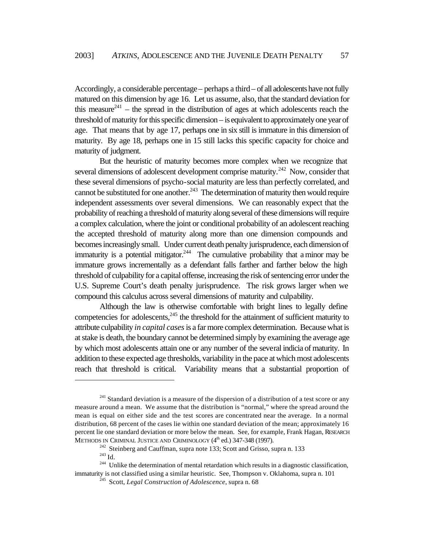Accordingly, a considerable percentage – perhaps a third – of all adolescents have not fully matured on this dimension by age 16. Let us assume, also, that the standard deviation for this measure<sup>241</sup> – the spread in the distribution of ages at which adolescents reach the threshold of maturity for this specific dimension – is equivalent to approximately one year of age. That means that by age 17, perhaps one in six still is immature in this dimension of maturity. By age 18, perhaps one in 15 still lacks this specific capacity for choice and maturity of judgment.

But the heuristic of maturity becomes more complex when we recognize that several dimensions of adolescent development comprise maturity.<sup>242</sup> Now, consider that these several dimensions of psycho-social maturity are less than perfectly correlated, and cannot be substituted for one another.<sup>243</sup> The determination of maturity then would require independent assessments over several dimensions. We can reasonably expect that the probability of reaching a threshold of maturity along several of these dimensions will require a complex calculation, where the joint or conditional probability of an adolescent reaching the accepted threshold of maturity along more than one dimension compounds and becomes increasingly small. Under current death penalty jurisprudence, each dimension of immaturity is a potential mitigator.<sup>244</sup> The cumulative probability that a minor may be immature grows incrementally as a defendant falls farther and farther below the high threshold of culpability for a capital offense, increasing the risk of sentencing error under the U.S. Supreme Court's death penalty jurisprudence. The risk grows larger when we compound this calculus across several dimensions of maturity and culpability.

Although the law is otherwise comfortable with bright lines to legally define competencies for adolescents,<sup>245</sup> the threshold for the attainment of sufficient maturity to attribute culpability *in capital cases* is a far more complex determination. Because what is at stake is death, the boundary cannot be determined simply by examining the average age by which most adolescents attain one or any number of the several indicia of maturity. In addition to these expected age thresholds, variability in the pace at which most adolescents reach that threshold is critical. Variability means that a substantial proportion of

 $241$  Standard deviation is a measure of the dispersion of a distribution of a test score or any measure around a mean. We assume that the distribution is "normal," where the spread around the mean is equal on either side and the test scores are concentrated near the average. In a normal distribution, 68 percent of the cases lie within one standard deviation of the mean; approximately 16 percent lie one standard deviation or more below the mean. See, for example, Frank Hagan, RESEARCH METHODS IN CRIMINAL JUSTICE AND CRIMINOLOGY (4<sup>th</sup> ed.) 347-348 (1997).

 $242$  Steinberg and Cauffman, supra note 133; Scott and Grisso, supra n. 133

 $^{243}$  Id.

<sup>&</sup>lt;sup>244</sup> Unlike the determination of mental retardation which results in a diagnostic classification, immaturity is not classified using a similar heuristic. See, Thompson v. Oklahoma, supra n. 101

<sup>245</sup> Scott, *Legal Construction of Adolescence*, supra n. 68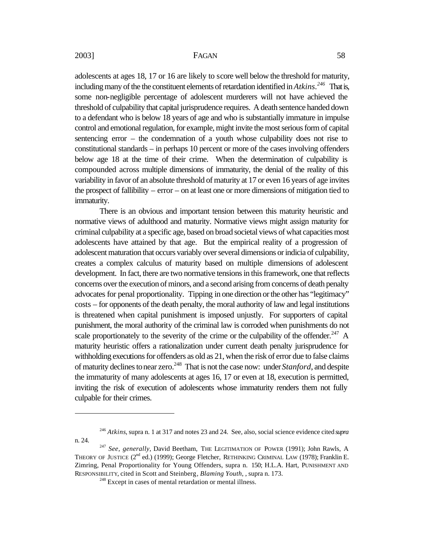adolescents at ages 18, 17 or 16 are likely to score well below the threshold for maturity, including many of the the constituent elements of retardation identified in *Atkins.<sup>246</sup>* That is, some non-negligible percentage of adolescent murderers will not have achieved the threshold of culpability that capital jurisprudence requires. A death sentence handed down to a defendant who is below 18 years of age and who is substantially immature in impulse control and emotional regulation, for example, might invite the most serious form of capital sentencing error – the condemnation of a youth whose culpability does not rise to constitutional standards – in perhaps 10 percent or more of the cases involving offenders below age 18 at the time of their crime. When the determination of culpability is compounded across multiple dimensions of immaturity, the denial of the reality of this variability in favor of an absolute threshold of maturity at 17 or even 16 years of age invites the prospect of fallibility – error – on at least one or more dimensions of mitigation tied to immaturity.

There is an obvious and important tension between this maturity heuristic and normative views of adulthood and maturity. Normative views might assign maturity for criminal culpability at a specific age, based on broad societal views of what capacities most adolescents have attained by that age. But the empirical reality of a progression of adolescent maturation that occurs variably over several dimensions or indicia of culpability, creates a complex calculus of maturity based on multiple dimensions of adolescent development. In fact, there are two normative tensions in this framework, one that reflects concerns over the execution of minors, and a second arising from concerns of death penalty advocates for penal proportionality. Tipping in one direction or the other has "legitimacy" costs – for opponents of the death penalty, the moral authority of law and legal institutions is threatened when capital punishment is imposed unjustly. For supporters of capital punishment, the moral authority of the criminal law is corroded when punishments do not scale proportionately to the severity of the crime or the culpability of the offender. $247$  A maturity heuristic offers a rationalization under current death penalty jurisprudence for withholding executions for offenders as old as 21, when the risk of error due to false claims of maturity declines to near zero.<sup>248</sup> That is not the case now: under *Stanford*, and despite the immaturity of many adolescents at ages 16, 17 or even at 18, execution is permitted, inviting the risk of execution of adolescents whose immaturity renders them not fully culpable for their crimes.

<sup>246</sup> *Atkins*, supra n. 1 at 317 and notes 23 and 24. See, also, social science evidence cited *supra* n. 24.

<sup>&</sup>lt;sup>247</sup> See, generally, David Beetham, THE LEGITIMATION OF POWER (1991); John Rawls, A THEORY OF JUSTICE (2<sup>nd</sup> ed.) (1999); George Fletcher, RETHINKING CRIMINAL LAW (1978); Franklin E. Zimring, Penal Proportionality for Young Offenders, supra n. 150; H.L.A. Hart, PUNISHMENT AND RESPONSIBILITY, cited in Scott and Steinberg*, Blaming Youth*, , supra n. 173.

 $248$  Except in cases of mental retardation or mental illness.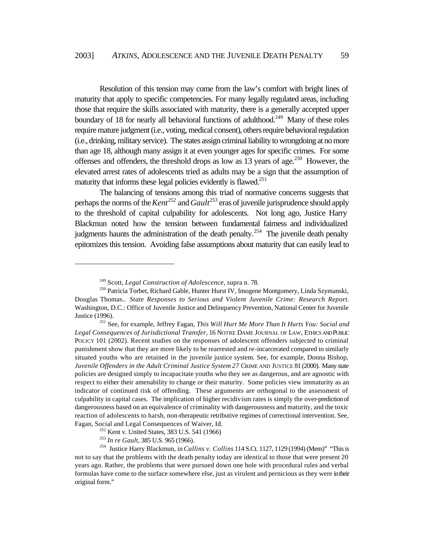Resolution of this tension may come from the law's comfort with bright lines of maturity that apply to specific competencies. For many legally regulated areas, including those that require the skills associated with maturity, there is a generally accepted upper boundary of 18 for nearly all behavioral functions of adulthood.<sup>249</sup> Many of these roles require mature judgment (i.e., voting, medical consent), others require behavioral regulation (i.e., drinking, military service). The states assign criminal liability to wrongdoing at no more than age 18, although many assign it at even younger ages for specific crimes. For some offenses and offenders, the threshold drops as low as 13 years of age.<sup>250</sup> However, the elevated arrest rates of adolescents tried as adults may be a sign that the assumption of maturity that informs these legal policies evidently is flawed. $^{251}$ 

The balancing of tensions among this triad of normative concerns suggests that perhaps the norms of the *Kent<sup>252</sup>* and *Gault* <sup>253</sup> eras of juvenile jurisprudence should apply to the threshold of capital culpability for adolescents. Not long ago, Justice Harry Blackmun noted how the tension between fundamental fairness and individualized judgments haunts the administration of the death penalty.<sup>254</sup> The juvenile death penalty epitomizes this tension. Avoiding false assumptions about maturity that can easily lead to

<sup>249</sup> Scott, *Legal Construction of Adolescence*, supra n. 78.

<sup>250</sup> Patricia Torbet, Richard Gable, Hunter Hurst IV, Imogene Montgomery, Linda Szymanski, Douglas Thomas.. *State Responses to Serious and Violent Juvenile Crime: Research Report*. Washington, D.C.: Office of Juvenile Justice and Delinquency Prevention, National Center for Juvenile Justice (1996).

<sup>251</sup> See, for example, Jeffrey Fagan, *This Will Hurt Me More Than It Hurts You: Social and Legal Consequences of Jurisdictional Transfer*, 16 NOTRE DAME JOURNAL OF LAW, ETHICS AND PUBLIC POLICY 101 (2002). Recent studies on the responses of adolescent offenders subjected to criminal punishment show that they are more likely to be rearrested and re-incarcerated compared to similarly situated youths who are retained in the juvenile justice system. See, for example, Donna Bishop, *Juvenile Offenders in the Adult Criminal Justice System 27* CRIME AND JUSTICE 81 (2000). Many state policies are designed simply to incapacitate youths who they see as dangerous, and are agnostic with respect to either their amenability to change or their maturity. Some policies view immaturity as an indicator of continued risk of offending. These arguments are orthogonal to the assessment of culpability in capital cases. The implication of higher recidivism rates is simply the over-prediction of dangerousness based on an equivalence of criminality with dangerousness and maturity, and the toxic reaction of adolescents to harsh, non-therapeutic retributive regimes of correctional intervention. See, Fagan, Social and Legal Consequences of Waiver, Id.

<sup>&</sup>lt;sup>252</sup> Kent v. United States, 383 U.S. 541 (1966)

<sup>253</sup> *In re Gault*, 385 U.S. 965 (1966).

<sup>254</sup> Justice Harry Blackmun, in *Callins v. Collins* 114 S.Ct. 1127, 1129 (1994) (Mem)" "This is not to say that the problems with the death penalty today are identical to those that were present 20 years ago. Rather, the problems that were pursued down one hole with procedural rules and verbal formulas have come to the surface somewhere else, just as virulent and pernicious as they were in their original form."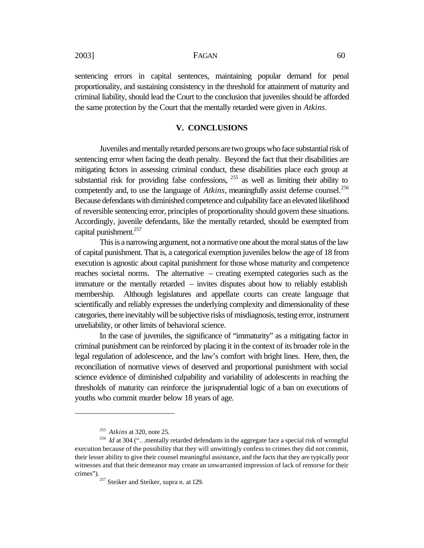sentencing errors in capital sentences, maintaining popular demand for penal proportionality, and sustaining consistency in the threshold for attainment of maturity and criminal liability, should lead the Court to the conclusion that juveniles should be afforded the same protection by the Court that the mentally retarded were given in *Atkins*.

#### **V. CONCLUSIONS**

Juveniles and mentally retarded persons are two groups who face substantial risk of sentencing error when facing the death penalty. Beyond the fact that their disabilities are mitigating factors in assessing criminal conduct, these disabilities place each group at substantial risk for providing false confessions,  $255$  as well as limiting their ability to competently and, to use the language of *Atkins*, meaningfully assist defense counsel.<sup>256</sup> Because defendants with diminished competence and culpability face an elevated likelihood of reversible sentencing error, principles of proportionality should govern these situations. Accordingly, juvenile defendants, like the mentally retarded, should be exempted from capital punishment.<sup>257</sup>

This is a narrowing argument, not a normative one about the moral status of the law of capital punishment. That is, a categorical exemption juveniles below the age of 18 from execution is agnostic about capital punishment for those whose maturity and competence reaches societal norms. The alternative – creating exempted categories such as the immature or the mentally retarded – invites disputes about how to reliably establish membership. Although legislatures and appellate courts can create language that scientifically and reliably expresses the underlying complexity and dimensionality of these categories, there inevitably will be subjective risks of misdiagnosis, testing error, instrument unreliability, or other limits of behavioral science.

In the case of juveniles, the significance of "immaturity" as a mitigating factor in criminal punishment can be reinforced by placing it in the context of its broader role in the legal regulation of adolescence, and the law's comfort with bright lines. Here, then, the reconciliation of normative views of deserved and proportional punishment with social science evidence of diminished culpability and variability of adolescents in reaching the thresholds of maturity can reinforce the jurisprudential logic of a ban on executions of youths who commit murder below 18 years of age.

<sup>255</sup> *Atkins* at 320, note 25.

<sup>&</sup>lt;sup>256</sup> *Id* at 304 ("...mentally retarded defendants in the aggregate face a special risk of wrongful execution because of the possibility that they will unwittingly confess to crimes they did not commit, their lesser ability to give their counsel meaningful assistance, and the facts that they are typically poor witnesses and that their demeanor may create an unwarranted impression of lack of remorse for their crimes").

<sup>&</sup>lt;sup>257</sup> Steiker and Steiker, supra n. at 129.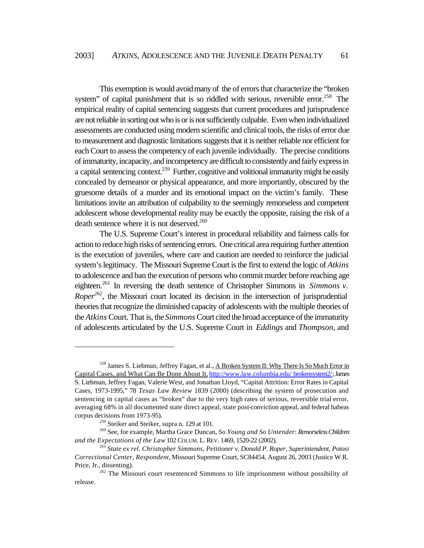This exemption is would avoid many of the of errors that characterize the "broken system" of capital punishment that is so riddled with serious, reversible error.<sup>258</sup> The empirical reality of capital sentencing suggests that current procedures and jurisprudence are not reliable in sorting out who is or is not sufficiently culpable. Even when individualized assessments are conducted using modern scientific and clinical tools, the risks of error due to measurement and diagnostic limitations suggests that it is neither reliable nor efficient for each Court to assess the competency of each juvenile individually. The precise conditions of immaturity, incapacity, and incompetency are difficult to consistently and fairly express in a capital sentencing context.<sup>259</sup> Further, cognitive and volitional immaturity might be easily concealed by demeanor or physical appearance, and more importantly, obscured by the gruesome details of a murder and its emotional impact on the victim's family. These limitations invite an attribution of culpability to the seemingly remorseless and competent adolescent whose developmental reality may be exactly the opposite, raising the risk of a death sentence where it is not deserved. $260$ 

The U.S. Supreme Court's interest in procedural reliability and fairness calls for action to reduce high risks of sentencing errors. One critical area requiring further attention is the execution of juveniles, where care and caution are needed to reinforce the judicial system's legitimacy. The Missouri Supreme Court is the first to extend the logic of *Atkins* to adolescence and ban the execution of persons who commit murder before reaching age eighteen.<sup>261</sup> In reversing the death sentence of Christopher Simmons in *Simmons v. Roper*<sup>262</sup>, the Missouri court located its decision in the intersection of jurisprudential theories that recognize the diminished capacity of adolescents with the multiple theories of the *Atkins* Court. That is, the *Simmons* Court cited the broad acceptance of the immaturity of adolescents articulated by the U.S. Supreme Court in *Eddings* and *Thompson*, and

<sup>&</sup>lt;sup>258</sup> James S. Liebman, Jeffrey Fagan, et al., <u>A Broken System II: Why There Is So Much Error in</u> Capital Cases, and What Can Be Done About It, http://www.law.columbia.edu/ brokensystem2/; James S. Liebman, Jeffrey Fagan, Valerie West, and Jonathan Lloyd, "Capital Attrition: Error Rates in Capital Cases, 1973-1995," 78 *Texas Law Review* 1839 (2000) (describing the system of prosecution and sentencing in capital cases as "broken" due to the very high rates of serious, reversible trial error, averaging 68% in all documented state direct appeal, state post-conviction appeal, and federal habeas corpus decisions from 1973-95).

<sup>&</sup>lt;sup>259</sup> Steiker and Steiker, supra n. 129 at 101.

<sup>260</sup> See, for example, Martha Grace Duncan, *So Young and So Untender*: *Remorseless Children and the Expectations of the Law* 102 COLUM. L. REV. 1469, 1520-22 (2002).

<sup>261</sup> *State ex rel. Christopher Simmons, Petitioner v. Donald P. Roper, Superintendent, Potosi Correctional Center, Respondent,* Missouri Supreme Court, SC84454, August 26, 2003 (Justice W.R. Price, Jr., dissenting).

<sup>&</sup>lt;sup>262</sup> The Missouri court resentenced Simmons to life imprisonment without possibility of release.